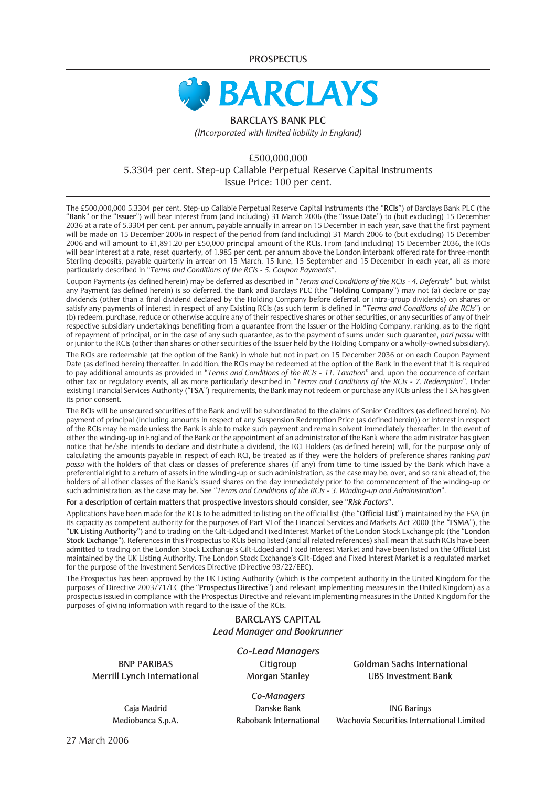**PROSPECTUS**



#### **BARCLAYS BANK PLC**

*(incorporated with limited liability in England)*

### £500,000,000 5.3304 per cent. Step-up Callable Perpetual Reserve Capital Instruments Issue Price: 100 per cent.

The £500,000,000 5.3304 per cent. Step-up Callable Perpetual Reserve Capital Instruments (the "**RCIs**") of Barclays Bank PLC (the "**Bank**" or the "**Issuer**") will bear interest from (and including) 31 March 2006 (the "**Issue Date**") to (but excluding) 15 December 2036 at a rate of 5.3304 per cent. per annum, payable annually in arrear on 15 December in each year, save that the first payment will be made on 15 December 2006 in respect of the period from (and including) 31 March 2006 to (but excluding) 15 December 2006 and will amount to £1,891.20 per £50,000 principal amount of the RCIs. From (and including) 15 December 2036, the RCIs will bear interest at a rate, reset quarterly, of 1.985 per cent. per annum above the London interbank offered rate for three-month Sterling deposits, payable quarterly in arrear on 15 March, 15 June, 15 September and 15 December in each year, all as more particularly described in "*Terms and Conditions of the RCIs - 5. Coupon Payments*".

Coupon Payments (as defined herein) may be deferred as described in "*Terms and Conditions of the RCIs - 4. Deferrals*" but, whilst any Payment (as defined herein) is so deferred, the Bank and Barclays PLC (the "**Holding Company**") may not (a) declare or pay dividends (other than a final dividend declared by the Holding Company before deferral, or intra-group dividends) on shares or satisfy any payments of interest in respect of any Existing RCIs (as such term is defined in "*Terms and Conditions of the RCIs*") or (b) redeem, purchase, reduce or otherwise acquire any of their respective shares or other securities, or any securities of any of their respective subsidiary undertakings benefiting from a guarantee from the Issuer or the Holding Company, ranking, as to the right of repayment of principal, or in the case of any such guarantee, as to the payment of sums under such guarantee, *pari passu* with or junior to the RCIs (other than shares or other securities of the Issuer held by the Holding Company or a wholly-owned subsidiary).

The RCIs are redeemable (at the option of the Bank) in whole but not in part on 15 December 2036 or on each Coupon Payment Date (as defined herein) thereafter. In addition, the RCIs may be redeemed at the option of the Bank in the event that it is required to pay additional amounts as provided in "*Terms and Conditions of the RCIs - 11. Taxation*" and, upon the occurrence of certain other tax or regulatory events, all as more particularly described in "*Terms and Conditions of the RCIs - 7. Redemption*". Under existing Financial Services Authority ("**FSA**") requirements, the Bank may not redeem or purchase any RCIs unless the FSA has given its prior consent.

The RCIs will be unsecured securities of the Bank and will be subordinated to the claims of Senior Creditors (as defined herein). No payment of principal (including amounts in respect of any Suspension Redemption Price (as defined herein)) or interest in respect of the RCIs may be made unless the Bank is able to make such payment and remain solvent immediately thereafter. In the event of either the winding-up in England of the Bank or the appointment of an administrator of the Bank where the administrator has given notice that he/she intends to declare and distribute a dividend, the RCI Holders (as defined herein) will, for the purpose only of calculating the amounts payable in respect of each RCI, be treated as if they were the holders of preference shares ranking *pari passu* with the holders of that class or classes of preference shares (if any) from time to time issued by the Bank which have a preferential right to a return of assets in the winding-up or such administration, as the case may be, over, and so rank ahead of, the holders of all other classes of the Bank's issued shares on the day immediately prior to the commencement of the winding-up or such administration, as the case may be. See "*Terms and Conditions of the RCIs - 3. Winding-up and Administration*".

#### **For a description of certain matters that prospective investors should consider, see "***Risk Factors***".**

Applications have been made for the RCIs to be admitted to listing on the official list (the "**Official List**") maintained by the FSA (in its capacity as competent authority for the purposes of Part VI of the Financial Services and Markets Act 2000 (the "**FSMA**"), the "**UK Listing Authority**") and to trading on the Gilt-Edged and Fixed Interest Market of the London Stock Exchange plc (the "**London Stock Exchange**"). References in this Prospectus to RCIs being listed (and all related references) shall mean that such RCIs have been admitted to trading on the London Stock Exchange's Gilt-Edged and Fixed Interest Market and have been listed on the Official List maintained by the UK Listing Authority. The London Stock Exchange's Gilt-Edged and Fixed Interest Market is a regulated market for the purpose of the Investment Services Directive (Directive 93/22/EEC).

The Prospectus has been approved by the UK Listing Authority (which is the competent authority in the United Kingdom for the purposes of Directive 2003/71/EC (the "**Prospectus Directive**") and relevant implementing measures in the United Kingdom) as a prospectus issued in compliance with the Prospectus Directive and relevant implementing measures in the United Kingdom for the purposes of giving information with regard to the issue of the RCIs.

#### **BARCLAYS CAPITAL** *Lead Manager and Bookrunner*

**Merrill Lynch International Morgan Stanley UBS Investment Bank**

*Co-Lead Managers*

**BNP PARIBAS Citigroup Goldman Sachs International**

*Co-Managers* **Caja Madrid Danske Bank ING Barings Mediobanca S.p.A. Rabobank International Wachovia Securities International Limited**

27 March 2006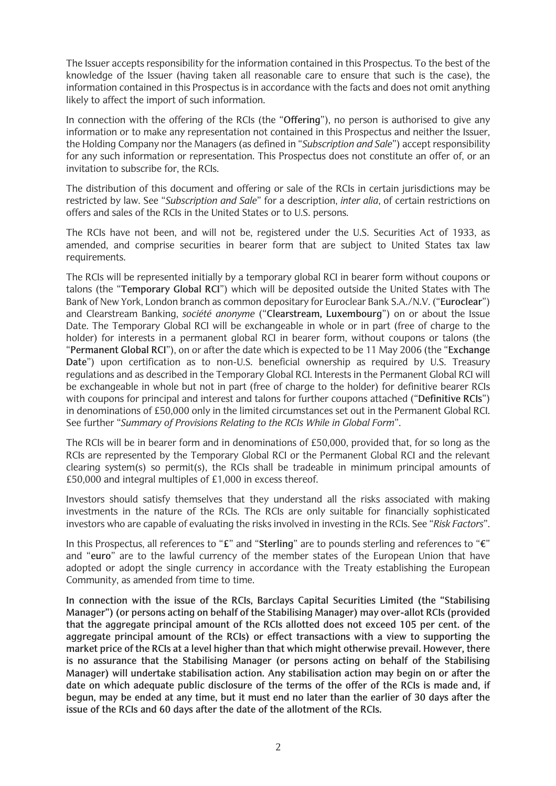The Issuer accepts responsibility for the information contained in this Prospectus. To the best of the knowledge of the Issuer (having taken all reasonable care to ensure that such is the case), the information contained in this Prospectus is in accordance with the facts and does not omit anything likely to affect the import of such information.

In connection with the offering of the RCIs (the "**Offering**"), no person is authorised to give any information or to make any representation not contained in this Prospectus and neither the Issuer, the Holding Company nor the Managers (as defined in "*Subscription and Sale*") accept responsibility for any such information or representation. This Prospectus does not constitute an offer of, or an invitation to subscribe for, the RCIs.

The distribution of this document and offering or sale of the RCIs in certain jurisdictions may be restricted by law. See "*Subscription and Sale*" for a description, *inter alia*, of certain restrictions on offers and sales of the RCIs in the United States or to U.S. persons.

The RCIs have not been, and will not be, registered under the U.S. Securities Act of 1933, as amended, and comprise securities in bearer form that are subject to United States tax law requirements.

The RCIs will be represented initially by a temporary global RCI in bearer form without coupons or talons (the "**Temporary Global RCI**") which will be deposited outside the United States with The Bank of New York, London branch as common depositary for Euroclear Bank S.A./N.V. ("**Euroclear**") and Clearstream Banking, *société anonyme* ("**Clearstream, Luxembourg**") on or about the Issue Date. The Temporary Global RCI will be exchangeable in whole or in part (free of charge to the holder) for interests in a permanent global RCI in bearer form, without coupons or talons (the "**Permanent Global RCI**"), on or after the date which is expected to be 11 May 2006 (the "**Exchange Date**") upon certification as to non-U.S. beneficial ownership as required by U.S. Treasury regulations and as described in the Temporary Global RCI. Interests in the Permanent Global RCI will be exchangeable in whole but not in part (free of charge to the holder) for definitive bearer RCIs with coupons for principal and interest and talons for further coupons attached ("**Definitive RCIs**") in denominations of £50,000 only in the limited circumstances set out in the Permanent Global RCI. See further "*Summary of Provisions Relating to the RCIs While in Global Form*".

The RCIs will be in bearer form and in denominations of £50,000, provided that, for so long as the RCIs are represented by the Temporary Global RCI or the Permanent Global RCI and the relevant clearing system(s) so permit(s), the RCIs shall be tradeable in minimum principal amounts of £50,000 and integral multiples of £1,000 in excess thereof.

Investors should satisfy themselves that they understand all the risks associated with making investments in the nature of the RCIs. The RCIs are only suitable for financially sophisticated investors who are capable of evaluating the risks involved in investing in the RCIs. See "*Risk Factors*".

In this Prospectus, all references to "**£**" and "**Sterling**" are to pounds sterling and references to "**¤**" and "**euro**" are to the lawful currency of the member states of the European Union that have adopted or adopt the single currency in accordance with the Treaty establishing the European Community, as amended from time to time.

**In connection with the issue of the RCIs, Barclays Capital Securities Limited (the "Stabilising Manager") (or persons acting on behalf of the Stabilising Manager) may over-allot RCIs (provided that the aggregate principal amount of the RCIs allotted does not exceed 105 per cent. of the aggregate principal amount of the RCIs) or effect transactions with a view to supporting the market price of the RCIs at a level higher than that which might otherwise prevail. However, there is no assurance that the Stabilising Manager (or persons acting on behalf of the Stabilising Manager) will undertake stabilisation action. Any stabilisation action may begin on or after the date on which adequate public disclosure of the terms of the offer of the RCIs is made and, if begun, may be ended at any time, but it must end no later than the earlier of 30 days after the issue of the RCIs and 60 days after the date of the allotment of the RCIs.**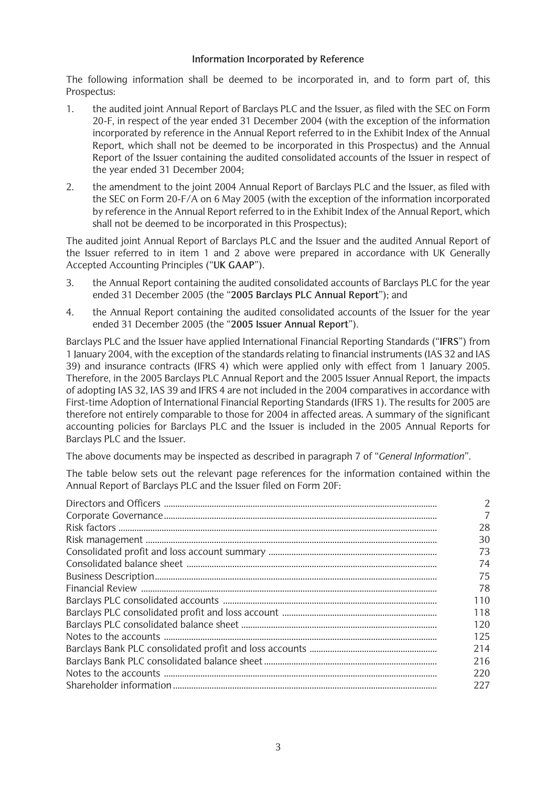### **Information Incorporated by Reference**

The following information shall be deemed to be incorporated in, and to form part of, this Prospectus:

- 1. the audited joint Annual Report of Barclays PLC and the Issuer, as filed with the SEC on Form 20-F, in respect of the year ended 31 December 2004 (with the exception of the information incorporated by reference in the Annual Report referred to in the Exhibit Index of the Annual Report, which shall not be deemed to be incorporated in this Prospectus) and the Annual Report of the Issuer containing the audited consolidated accounts of the Issuer in respect of the year ended 31 December 2004;
- 2. the amendment to the joint 2004 Annual Report of Barclays PLC and the Issuer, as filed with the SEC on Form 20-F/A on 6 May 2005 (with the exception of the information incorporated by reference in the Annual Report referred to in the Exhibit Index of the Annual Report, which shall not be deemed to be incorporated in this Prospectus);

The audited joint Annual Report of Barclays PLC and the Issuer and the audited Annual Report of the Issuer referred to in item 1 and 2 above were prepared in accordance with UK Generally Accepted Accounting Principles ("**UK GAAP**").

- 3. the Annual Report containing the audited consolidated accounts of Barclays PLC for the year ended 31 December 2005 (the "**2005 Barclays PLC Annual Report**"); and
- 4. the Annual Report containing the audited consolidated accounts of the Issuer for the year ended 31 December 2005 (the "**2005 Issuer Annual Report**").

Barclays PLC and the Issuer have applied International Financial Reporting Standards ("**IFRS**") from 1 January 2004, with the exception of the standards relating to financial instruments (IAS 32 and IAS 39) and insurance contracts (IFRS 4) which were applied only with effect from 1 January 2005. Therefore, in the 2005 Barclays PLC Annual Report and the 2005 Issuer Annual Report, the impacts of adopting IAS 32, IAS 39 and IFRS 4 are not included in the 2004 comparatives in accordance with First-time Adoption of International Financial Reporting Standards (IFRS 1). The results for 2005 are therefore not entirely comparable to those for 2004 in affected areas. A summary of the significant accounting policies for Barclays PLC and the Issuer is included in the 2005 Annual Reports for Barclays PLC and the Issuer.

The above documents may be inspected as described in paragraph 7 of "*General Information*".

The table below sets out the relevant page references for the information contained within the Annual Report of Barclays PLC and the Issuer filed on Form 20F:

| 28  |
|-----|
| 30  |
| 73  |
| 74  |
| 75  |
| 78  |
| 110 |
| 118 |
| 120 |
| 125 |
| 214 |
| 216 |
| 220 |
| 227 |
|     |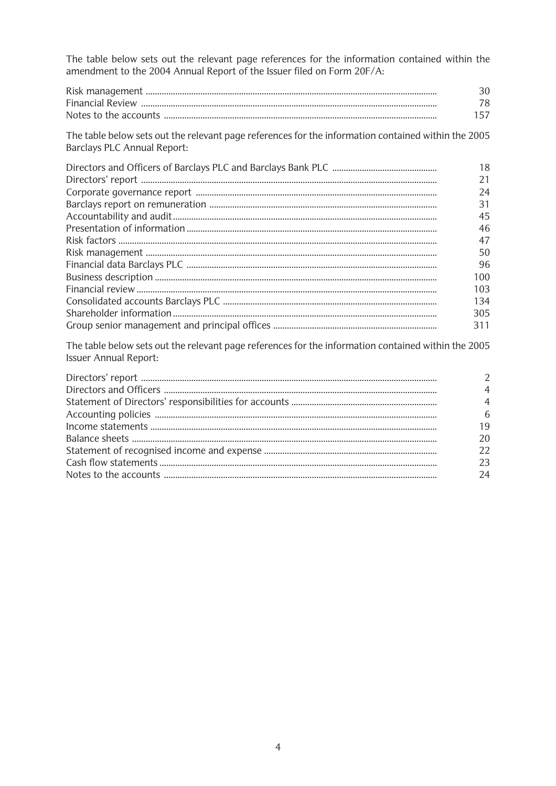The table below sets out the relevant page references for the information contained within the amendment to the 2004 Annual Report of the Issuer filed on Form 20F/A:

|                                                                                                                                           | 30<br>78<br>157 |
|-------------------------------------------------------------------------------------------------------------------------------------------|-----------------|
| The table below sets out the relevant page references for the information contained within the 2005<br><b>Barclays PLC Annual Report:</b> |                 |
|                                                                                                                                           | 18              |
|                                                                                                                                           | 21              |
|                                                                                                                                           | 24              |
|                                                                                                                                           | 31              |
|                                                                                                                                           | 45              |
|                                                                                                                                           | 46              |
|                                                                                                                                           | 47              |
|                                                                                                                                           | 50              |
|                                                                                                                                           | 96              |
|                                                                                                                                           | 100             |
|                                                                                                                                           | 103             |
|                                                                                                                                           | 134             |
|                                                                                                                                           | 305             |
|                                                                                                                                           | 311             |
| The table below sets out the relevant page references for the information contained within the 2005                                       |                 |

| $\mathcal{P}$  |
|----------------|
| $\overline{4}$ |
| $\overline{4}$ |
| 6              |
| 19             |
| 20             |
| 22             |
| 23             |
| 24             |

Issuer Annual Report: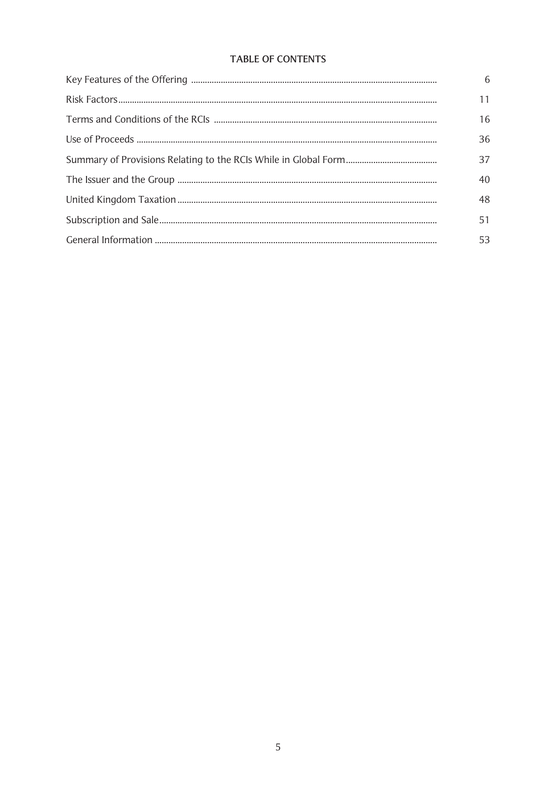# TABLE OF CONTENTS

| 6  |
|----|
| 11 |
| 16 |
| 36 |
| 37 |
| 40 |
| 48 |
| 51 |
| 53 |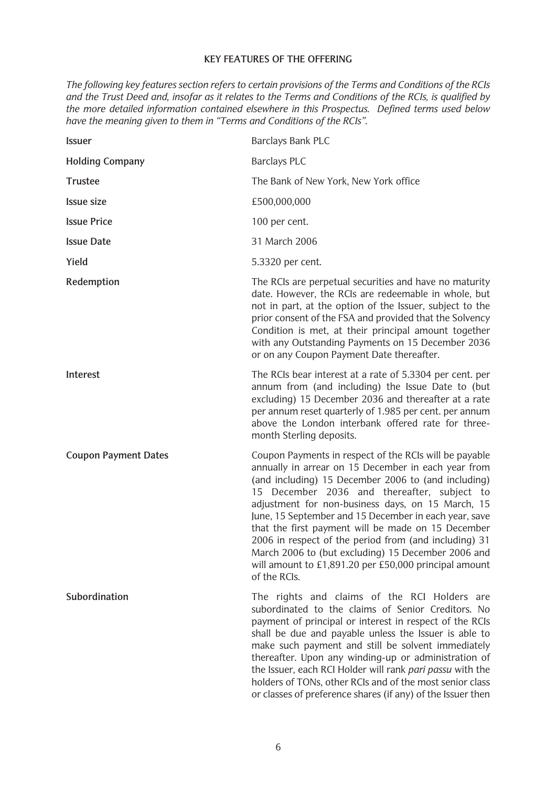### **KEY FEATURES OF THE OFFERING**

*The following key features section refers to certain provisions of the Terms and Conditions of the RCIs and the Trust Deed and, insofar as it relates to the Terms and Conditions of the RCIs, is qualified by the more detailed information contained elsewhere in this Prospectus. Defined terms used below have the meaning given to them in "Terms and Conditions of the RCIs".*

| <b>Issuer</b>               | Barclays Bank PLC                                                                                                                                                                                                                                                                                                                                                                                                                                                                                                                                                               |
|-----------------------------|---------------------------------------------------------------------------------------------------------------------------------------------------------------------------------------------------------------------------------------------------------------------------------------------------------------------------------------------------------------------------------------------------------------------------------------------------------------------------------------------------------------------------------------------------------------------------------|
| <b>Holding Company</b>      | <b>Barclays PLC</b>                                                                                                                                                                                                                                                                                                                                                                                                                                                                                                                                                             |
| <b>Trustee</b>              | The Bank of New York, New York office                                                                                                                                                                                                                                                                                                                                                                                                                                                                                                                                           |
| <b>Issue size</b>           | £500,000,000                                                                                                                                                                                                                                                                                                                                                                                                                                                                                                                                                                    |
| <b>Issue Price</b>          | 100 per cent.                                                                                                                                                                                                                                                                                                                                                                                                                                                                                                                                                                   |
| <b>Issue Date</b>           | 31 March 2006                                                                                                                                                                                                                                                                                                                                                                                                                                                                                                                                                                   |
| Yield                       | 5.3320 per cent.                                                                                                                                                                                                                                                                                                                                                                                                                                                                                                                                                                |
| Redemption                  | The RCIs are perpetual securities and have no maturity<br>date. However, the RCIs are redeemable in whole, but<br>not in part, at the option of the Issuer, subject to the<br>prior consent of the FSA and provided that the Solvency<br>Condition is met, at their principal amount together<br>with any Outstanding Payments on 15 December 2036<br>or on any Coupon Payment Date thereafter.                                                                                                                                                                                 |
| Interest                    | The RCIs bear interest at a rate of 5.3304 per cent. per<br>annum from (and including) the Issue Date to (but<br>excluding) 15 December 2036 and thereafter at a rate<br>per annum reset quarterly of 1.985 per cent. per annum<br>above the London interbank offered rate for three-<br>month Sterling deposits.                                                                                                                                                                                                                                                               |
| <b>Coupon Payment Dates</b> | Coupon Payments in respect of the RCIs will be payable<br>annually in arrear on 15 December in each year from<br>(and including) 15 December 2006 to (and including)<br>15 December 2036 and thereafter, subject to<br>adjustment for non-business days, on 15 March, 15<br>June, 15 September and 15 December in each year, save<br>that the first payment will be made on 15 December<br>2006 in respect of the period from (and including) 31<br>March 2006 to (but excluding) 15 December 2006 and<br>will amount to £1,891.20 per £50,000 principal amount<br>of the RCIs. |
| Subordination               | The rights and claims of the RCI Holders are<br>subordinated to the claims of Senior Creditors. No<br>payment of principal or interest in respect of the RCIs<br>shall be due and payable unless the Issuer is able to<br>make such payment and still be solvent immediately<br>thereafter. Upon any winding-up or administration of<br>the Issuer, each RCI Holder will rank pari passu with the<br>holders of TONs, other RCIs and of the most senior class<br>or classes of preference shares (if any) of the Issuer then                                                    |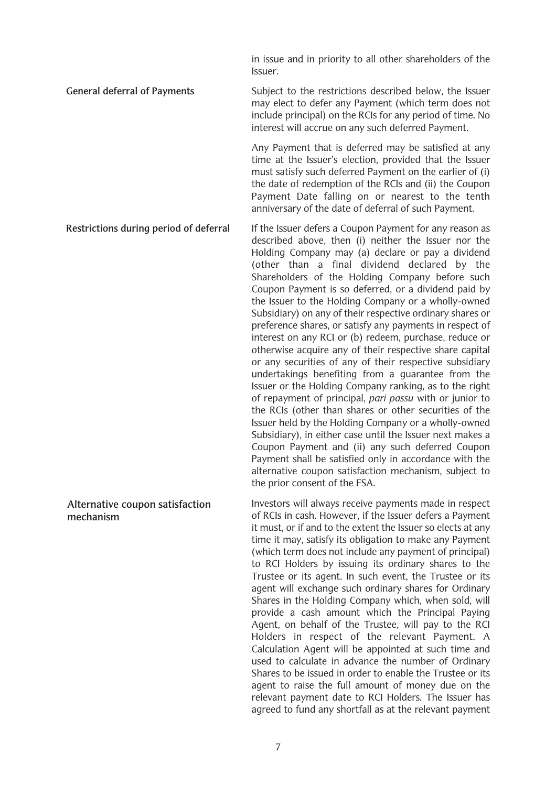in issue and in priority to all other shareholders of the Issuer.

**General deferral of Payments** Subject to the restrictions described below, the Issuer may elect to defer any Payment (which term does not include principal) on the RCIs for any period of time. No interest will accrue on any such deferred Payment.

> Any Payment that is deferred may be satisfied at any time at the Issuer's election, provided that the Issuer must satisfy such deferred Payment on the earlier of (i) the date of redemption of the RCIs and (ii) the Coupon Payment Date falling on or nearest to the tenth anniversary of the date of deferral of such Payment.

**Restrictions during period of deferral** If the Issuer defers a Coupon Payment for any reason as described above, then (i) neither the Issuer nor the Holding Company may (a) declare or pay a dividend (other than a final dividend declared by the Shareholders of the Holding Company before such Coupon Payment is so deferred, or a dividend paid by the Issuer to the Holding Company or a wholly-owned Subsidiary) on any of their respective ordinary shares or preference shares, or satisfy any payments in respect of interest on any RCI or (b) redeem, purchase, reduce or otherwise acquire any of their respective share capital or any securities of any of their respective subsidiary undertakings benefiting from a guarantee from the Issuer or the Holding Company ranking, as to the right of repayment of principal, *pari passu* with or junior to the RCIs (other than shares or other securities of the Issuer held by the Holding Company or a wholly-owned Subsidiary), in either case until the Issuer next makes a Coupon Payment and (ii) any such deferred Coupon Payment shall be satisfied only in accordance with the alternative coupon satisfaction mechanism, subject to the prior consent of the FSA. Investors will always receive payments made in respect **Alternative coupon satisfaction**

**mechanism**

of RCIs in cash. However, if the Issuer defers a Payment it must, or if and to the extent the Issuer so elects at any time it may, satisfy its obligation to make any Payment (which term does not include any payment of principal) to RCI Holders by issuing its ordinary shares to the Trustee or its agent. In such event, the Trustee or its agent will exchange such ordinary shares for Ordinary Shares in the Holding Company which, when sold, will provide a cash amount which the Principal Paying Agent, on behalf of the Trustee, will pay to the RCI Holders in respect of the relevant Payment. A Calculation Agent will be appointed at such time and used to calculate in advance the number of Ordinary Shares to be issued in order to enable the Trustee or its agent to raise the full amount of money due on the relevant payment date to RCI Holders. The Issuer has agreed to fund any shortfall as at the relevant payment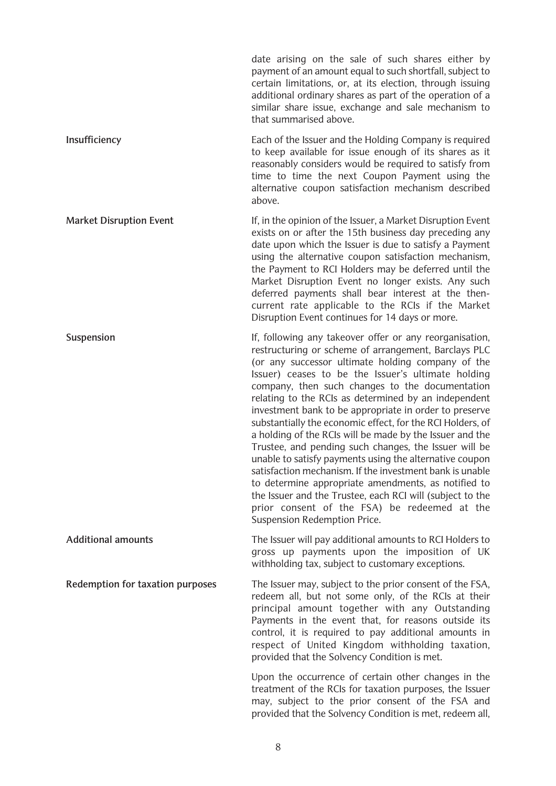date arising on the sale of such shares either by payment of an amount equal to such shortfall, subject to certain limitations, or, at its election, through issuing additional ordinary shares as part of the operation of a similar share issue, exchange and sale mechanism to that summarised above. **Insufficiency** Each of the Issuer and the Holding Company is required to keep available for issue enough of its shares as it reasonably considers would be required to satisfy from time to time the next Coupon Payment using the alternative coupon satisfaction mechanism described above. **Market Disruption Event** If, in the opinion of the Issuer, a Market Disruption Event exists on or after the 15th business day preceding any date upon which the Issuer is due to satisfy a Payment using the alternative coupon satisfaction mechanism, the Payment to RCI Holders may be deferred until the Market Disruption Event no longer exists. Any such deferred payments shall bear interest at the thencurrent rate applicable to the RCIs if the Market Disruption Event continues for 14 days or more. **Suspension** Telecomes and the If, following any takeover offer or any reorganisation, restructuring or scheme of arrangement, Barclays PLC (or any successor ultimate holding company of the Issuer) ceases to be the Issuer's ultimate holding company, then such changes to the documentation relating to the RCIs as determined by an independent investment bank to be appropriate in order to preserve substantially the economic effect, for the RCI Holders, of a holding of the RCIs will be made by the Issuer and the Trustee, and pending such changes, the Issuer will be unable to satisfy payments using the alternative coupon satisfaction mechanism. If the investment bank is unable to determine appropriate amendments, as notified to the Issuer and the Trustee, each RCI will (subject to the prior consent of the FSA) be redeemed at the Suspension Redemption Price. **Additional amounts** The Issuer will pay additional amounts to RCI Holders to gross up payments upon the imposition of UK withholding tax, subject to customary exceptions. **Redemption for taxation purposes** The Issuer may, subject to the prior consent of the FSA, redeem all, but not some only, of the RCIs at their principal amount together with any Outstanding Payments in the event that, for reasons outside its control, it is required to pay additional amounts in respect of United Kingdom withholding taxation, provided that the Solvency Condition is met. Upon the occurrence of certain other changes in the treatment of the RCIs for taxation purposes, the Issuer may, subject to the prior consent of the FSA and

provided that the Solvency Condition is met, redeem all,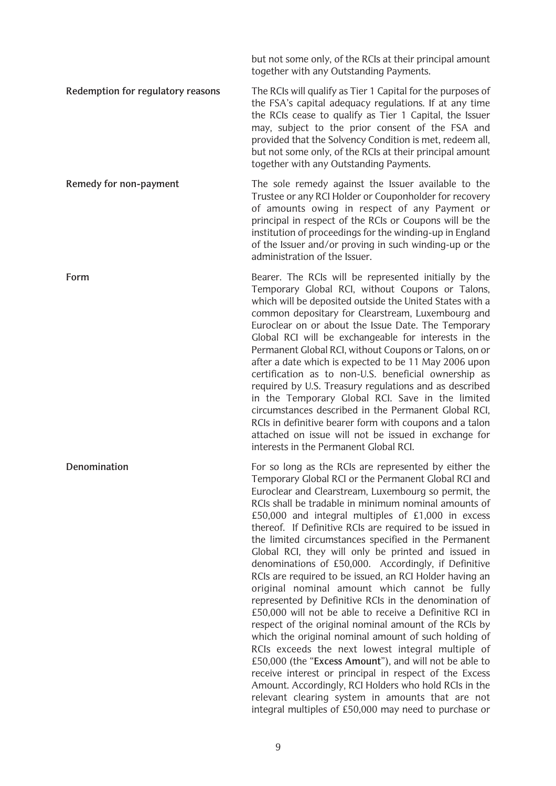but not some only, of the RCIs at their principal amount together with any Outstanding Payments.

**Redemption for regulatory reasons** The RCIs will qualify as Tier 1 Capital for the purposes of the FSA's capital adequacy regulations. If at any time the RCIs cease to qualify as Tier 1 Capital, the Issuer may, subject to the prior consent of the FSA and provided that the Solvency Condition is met, redeem all, but not some only, of the RCIs at their principal amount together with any Outstanding Payments.

**Remedy for non-payment** The sole remedy against the Issuer available to the Trustee or any RCI Holder or Couponholder for recovery of amounts owing in respect of any Payment or principal in respect of the RCIs or Coupons will be the institution of proceedings for the winding-up in England of the Issuer and/or proving in such winding-up or the administration of the Issuer.

**Form Bearer.** The RCIs will be represented initially by the Temporary Global RCI, without Coupons or Talons, which will be deposited outside the United States with a common depositary for Clearstream, Luxembourg and Euroclear on or about the Issue Date. The Temporary Global RCI will be exchangeable for interests in the Permanent Global RCI, without Coupons or Talons, on or after a date which is expected to be 11 May 2006 upon certification as to non-U.S. beneficial ownership as required by U.S. Treasury regulations and as described in the Temporary Global RCI. Save in the limited circumstances described in the Permanent Global RCI, RCIs in definitive bearer form with coupons and a talon attached on issue will not be issued in exchange for interests in the Permanent Global RCI.

**Denomination** For so long as the RCIs are represented by either the Temporary Global RCI or the Permanent Global RCI and Euroclear and Clearstream, Luxembourg so permit, the RCIs shall be tradable in minimum nominal amounts of £50,000 and integral multiples of £1,000 in excess thereof. If Definitive RCIs are required to be issued in the limited circumstances specified in the Permanent Global RCI, they will only be printed and issued in denominations of £50,000. Accordingly, if Definitive RCIs are required to be issued, an RCI Holder having an original nominal amount which cannot be fully represented by Definitive RCIs in the denomination of £50,000 will not be able to receive a Definitive RCI in respect of the original nominal amount of the RCIs by which the original nominal amount of such holding of RCIs exceeds the next lowest integral multiple of £50,000 (the "**Excess Amount**"), and will not be able to receive interest or principal in respect of the Excess Amount. Accordingly, RCI Holders who hold RCIs in the relevant clearing system in amounts that are not integral multiples of £50,000 may need to purchase or

9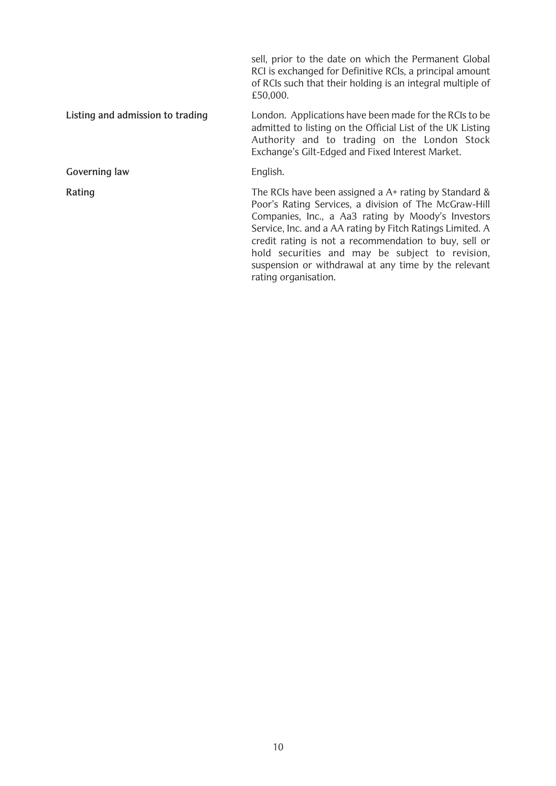sell, prior to the date on which the Permanent Global RCI is exchanged for Definitive RCIs, a principal amount of RCIs such that their holding is an integral multiple of £50,000. **Listing and admission to trading** London. Applications have been made for the RCIs to be admitted to listing on the Official List of the UK Listing Authority and to trading on the London Stock Exchange's Gilt-Edged and Fixed Interest Market. Governing law **English. Rating** The RCIs have been assigned a A+ rating by Standard & Poor's Rating Services, a division of The McGraw-Hill Companies, Inc., a Aa3 rating by Moody's Investors Service, Inc. and a AA rating by Fitch Ratings Limited. A credit rating is not a recommendation to buy, sell or hold securities and may be subject to revision, suspension or withdrawal at any time by the relevant rating organisation.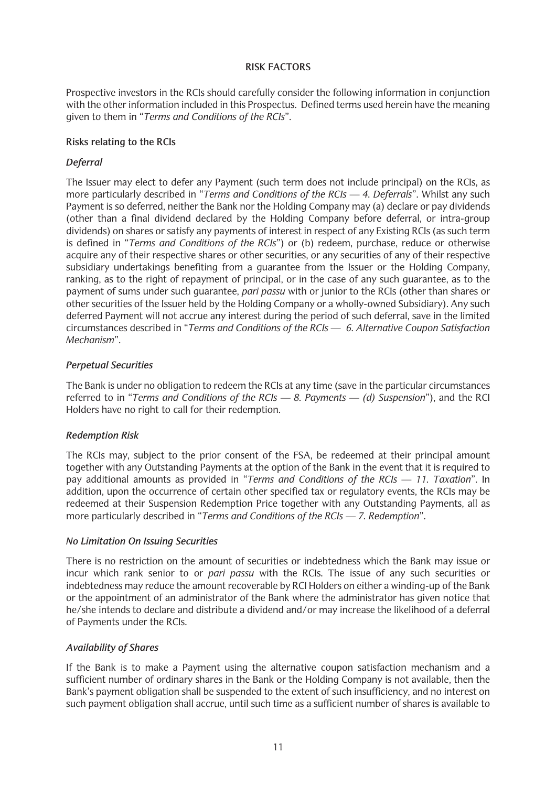### **RISK FACTORS**

Prospective investors in the RCIs should carefully consider the following information in conjunction with the other information included in this Prospectus. Defined terms used herein have the meaning given to them in "*Terms and Conditions of the RCIs*".

## **Risks relating to the RCIs**

## *Deferral*

The Issuer may elect to defer any Payment (such term does not include principal) on the RCIs, as more particularly described in "*Terms and Conditions of the RCIs — 4. Deferrals*". Whilst any such Payment is so deferred, neither the Bank nor the Holding Company may (a) declare or pay dividends (other than a final dividend declared by the Holding Company before deferral, or intra-group dividends) on shares or satisfy any payments of interest in respect of any Existing RCIs (as such term is defined in "*Terms and Conditions of the RCIs*") or (b) redeem, purchase, reduce or otherwise acquire any of their respective shares or other securities, or any securities of any of their respective subsidiary undertakings benefiting from a guarantee from the Issuer or the Holding Company, ranking, as to the right of repayment of principal, or in the case of any such guarantee, as to the payment of sums under such guarantee, *pari passu* with or junior to the RCIs (other than shares or other securities of the Issuer held by the Holding Company or a wholly-owned Subsidiary). Any such deferred Payment will not accrue any interest during the period of such deferral, save in the limited circumstances described in "*Terms and Conditions of the RCIs — 6. Alternative Coupon Satisfaction Mechanism*".

## *Perpetual Securities*

The Bank is under no obligation to redeem the RCIs at any time (save in the particular circumstances referred to in "*Terms and Conditions of the RCIs — 8. Payments — (d) Suspension*"), and the RCI Holders have no right to call for their redemption.

## *Redemption Risk*

The RCIs may, subject to the prior consent of the FSA, be redeemed at their principal amount together with any Outstanding Payments at the option of the Bank in the event that it is required to pay additional amounts as provided in "*Terms and Conditions of the RCIs — 11. Taxation*". In addition, upon the occurrence of certain other specified tax or regulatory events, the RCIs may be redeemed at their Suspension Redemption Price together with any Outstanding Payments, all as more particularly described in "*Terms and Conditions of the RCIs — 7. Redemption*".

### *No Limitation On Issuing Securities*

There is no restriction on the amount of securities or indebtedness which the Bank may issue or incur which rank senior to or *pari passu* with the RCIs. The issue of any such securities or indebtedness may reduce the amount recoverable by RCI Holders on either a winding-up of the Bank or the appointment of an administrator of the Bank where the administrator has given notice that he/she intends to declare and distribute a dividend and/or may increase the likelihood of a deferral of Payments under the RCIs.

## *Availability of Shares*

If the Bank is to make a Payment using the alternative coupon satisfaction mechanism and a sufficient number of ordinary shares in the Bank or the Holding Company is not available, then the Bank's payment obligation shall be suspended to the extent of such insufficiency, and no interest on such payment obligation shall accrue, until such time as a sufficient number of shares is available to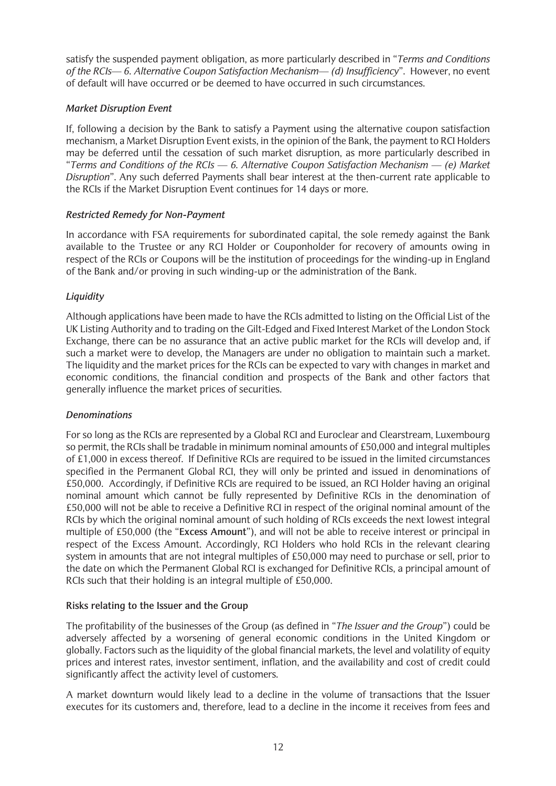satisfy the suspended payment obligation, as more particularly described in "*Terms and Conditions of the RCIs— 6. Alternative Coupon Satisfaction Mechanism— (d) Insufficiency*". However, no event of default will have occurred or be deemed to have occurred in such circumstances.

## *Market Disruption Event*

If, following a decision by the Bank to satisfy a Payment using the alternative coupon satisfaction mechanism, a Market Disruption Event exists, in the opinion of the Bank, the payment to RCI Holders may be deferred until the cessation of such market disruption, as more particularly described in "*Terms and Conditions of the RCIs — 6. Alternative Coupon Satisfaction Mechanism — (e) Market Disruption*". Any such deferred Payments shall bear interest at the then-current rate applicable to the RCIs if the Market Disruption Event continues for 14 days or more.

## *Restricted Remedy for Non-Payment*

In accordance with FSA requirements for subordinated capital, the sole remedy against the Bank available to the Trustee or any RCI Holder or Couponholder for recovery of amounts owing in respect of the RCIs or Coupons will be the institution of proceedings for the winding-up in England of the Bank and/or proving in such winding-up or the administration of the Bank.

## *Liquidity*

Although applications have been made to have the RCIs admitted to listing on the Official List of the UK Listing Authority and to trading on the Gilt-Edged and Fixed Interest Market of the London Stock Exchange, there can be no assurance that an active public market for the RCIs will develop and, if such a market were to develop, the Managers are under no obligation to maintain such a market. The liquidity and the market prices for the RCIs can be expected to vary with changes in market and economic conditions, the financial condition and prospects of the Bank and other factors that generally influence the market prices of securities.

## *Denominations*

For so long as the RCIs are represented by a Global RCI and Euroclear and Clearstream, Luxembourg so permit, the RCIs shall be tradable in minimum nominal amounts of £50,000 and integral multiples of £1,000 in excess thereof. If Definitive RCIs are required to be issued in the limited circumstances specified in the Permanent Global RCI, they will only be printed and issued in denominations of £50,000. Accordingly, if Definitive RCIs are required to be issued, an RCI Holder having an original nominal amount which cannot be fully represented by Definitive RCIs in the denomination of £50,000 will not be able to receive a Definitive RCI in respect of the original nominal amount of the RCIs by which the original nominal amount of such holding of RCIs exceeds the next lowest integral multiple of £50,000 (the "**Excess Amount**"), and will not be able to receive interest or principal in respect of the Excess Amount. Accordingly, RCI Holders who hold RCIs in the relevant clearing system in amounts that are not integral multiples of £50,000 may need to purchase or sell, prior to the date on which the Permanent Global RCI is exchanged for Definitive RCIs, a principal amount of RCIs such that their holding is an integral multiple of £50,000.

## **Risks relating to the Issuer and the Group**

The profitability of the businesses of the Group (as defined in "*The Issuer and the Group*") could be adversely affected by a worsening of general economic conditions in the United Kingdom or globally. Factors such as the liquidity of the global financial markets, the level and volatility of equity prices and interest rates, investor sentiment, inflation, and the availability and cost of credit could significantly affect the activity level of customers.

A market downturn would likely lead to a decline in the volume of transactions that the Issuer executes for its customers and, therefore, lead to a decline in the income it receives from fees and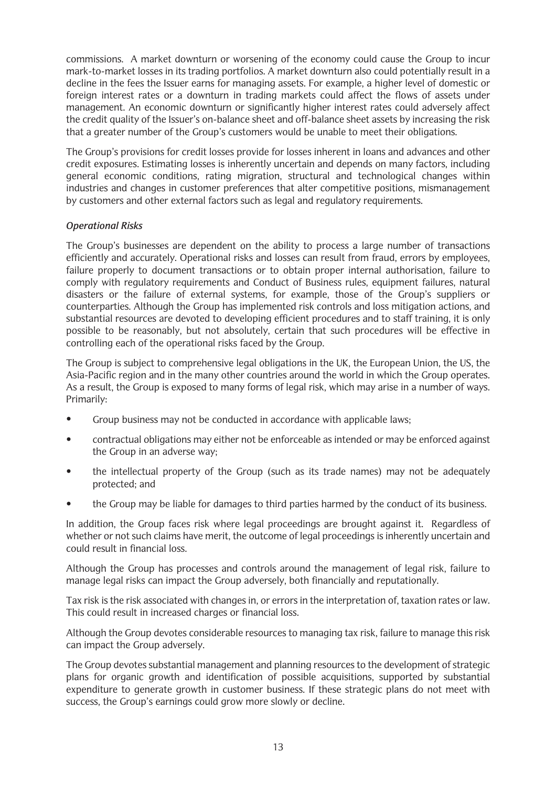commissions. A market downturn or worsening of the economy could cause the Group to incur mark-to-market losses in its trading portfolios. A market downturn also could potentially result in a decline in the fees the Issuer earns for managing assets. For example, a higher level of domestic or foreign interest rates or a downturn in trading markets could affect the flows of assets under management. An economic downturn or significantly higher interest rates could adversely affect the credit quality of the Issuer's on-balance sheet and off-balance sheet assets by increasing the risk that a greater number of the Group's customers would be unable to meet their obligations.

The Group's provisions for credit losses provide for losses inherent in loans and advances and other credit exposures. Estimating losses is inherently uncertain and depends on many factors, including general economic conditions, rating migration, structural and technological changes within industries and changes in customer preferences that alter competitive positions, mismanagement by customers and other external factors such as legal and regulatory requirements.

## *Operational Risks*

The Group's businesses are dependent on the ability to process a large number of transactions efficiently and accurately. Operational risks and losses can result from fraud, errors by employees, failure properly to document transactions or to obtain proper internal authorisation, failure to comply with regulatory requirements and Conduct of Business rules, equipment failures, natural disasters or the failure of external systems, for example, those of the Group's suppliers or counterparties. Although the Group has implemented risk controls and loss mitigation actions, and substantial resources are devoted to developing efficient procedures and to staff training, it is only possible to be reasonably, but not absolutely, certain that such procedures will be effective in controlling each of the operational risks faced by the Group.

The Group is subject to comprehensive legal obligations in the UK, the European Union, the US, the Asia-Pacific region and in the many other countries around the world in which the Group operates. As a result, the Group is exposed to many forms of legal risk, which may arise in a number of ways. Primarily:

- Group business may not be conducted in accordance with applicable laws;
- contractual obligations may either not be enforceable as intended or may be enforced against the Group in an adverse way;
- the intellectual property of the Group (such as its trade names) may not be adequately protected; and
- the Group may be liable for damages to third parties harmed by the conduct of its business.

In addition, the Group faces risk where legal proceedings are brought against it. Regardless of whether or not such claims have merit, the outcome of legal proceedings is inherently uncertain and could result in financial loss.

Although the Group has processes and controls around the management of legal risk, failure to manage legal risks can impact the Group adversely, both financially and reputationally.

Tax risk is the risk associated with changes in, or errors in the interpretation of, taxation rates or law. This could result in increased charges or financial loss.

Although the Group devotes considerable resources to managing tax risk, failure to manage this risk can impact the Group adversely.

The Group devotes substantial management and planning resources to the development of strategic plans for organic growth and identification of possible acquisitions, supported by substantial expenditure to generate growth in customer business. If these strategic plans do not meet with success, the Group's earnings could grow more slowly or decline.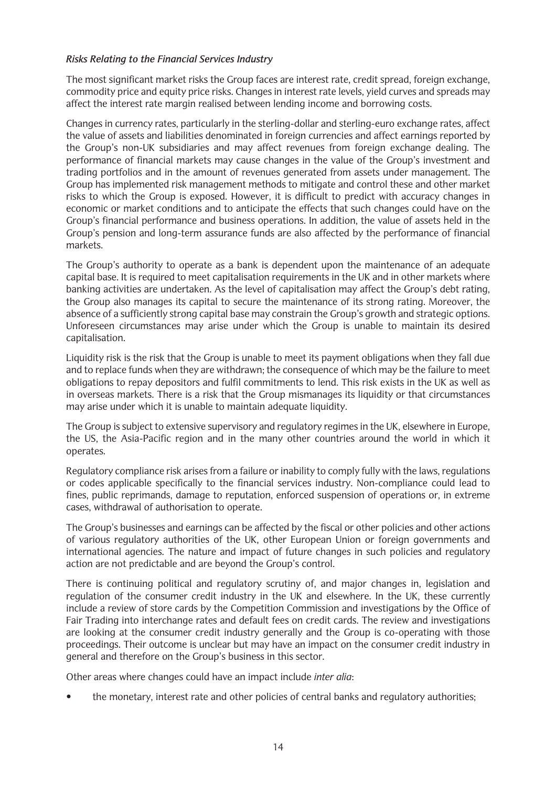## *Risks Relating to the Financial Services Industry*

The most significant market risks the Group faces are interest rate, credit spread, foreign exchange, commodity price and equity price risks. Changes in interest rate levels, yield curves and spreads may affect the interest rate margin realised between lending income and borrowing costs.

Changes in currency rates, particularly in the sterling-dollar and sterling-euro exchange rates, affect the value of assets and liabilities denominated in foreign currencies and affect earnings reported by the Group's non-UK subsidiaries and may affect revenues from foreign exchange dealing. The performance of financial markets may cause changes in the value of the Group's investment and trading portfolios and in the amount of revenues generated from assets under management. The Group has implemented risk management methods to mitigate and control these and other market risks to which the Group is exposed. However, it is difficult to predict with accuracy changes in economic or market conditions and to anticipate the effects that such changes could have on the Group's financial performance and business operations. In addition, the value of assets held in the Group's pension and long-term assurance funds are also affected by the performance of financial markets.

The Group's authority to operate as a bank is dependent upon the maintenance of an adequate capital base. It is required to meet capitalisation requirements in the UK and in other markets where banking activities are undertaken. As the level of capitalisation may affect the Group's debt rating, the Group also manages its capital to secure the maintenance of its strong rating. Moreover, the absence of a sufficiently strong capital base may constrain the Group's growth and strategic options. Unforeseen circumstances may arise under which the Group is unable to maintain its desired capitalisation.

Liquidity risk is the risk that the Group is unable to meet its payment obligations when they fall due and to replace funds when they are withdrawn; the consequence of which may be the failure to meet obligations to repay depositors and fulfil commitments to lend. This risk exists in the UK as well as in overseas markets. There is a risk that the Group mismanages its liquidity or that circumstances may arise under which it is unable to maintain adequate liquidity.

The Group is subject to extensive supervisory and regulatory regimes in the UK, elsewhere in Europe, the US, the Asia-Pacific region and in the many other countries around the world in which it operates.

Regulatory compliance risk arises from a failure or inability to comply fully with the laws, regulations or codes applicable specifically to the financial services industry. Non-compliance could lead to fines, public reprimands, damage to reputation, enforced suspension of operations or, in extreme cases, withdrawal of authorisation to operate.

The Group's businesses and earnings can be affected by the fiscal or other policies and other actions of various regulatory authorities of the UK, other European Union or foreign governments and international agencies. The nature and impact of future changes in such policies and regulatory action are not predictable and are beyond the Group's control.

There is continuing political and regulatory scrutiny of, and major changes in, legislation and regulation of the consumer credit industry in the UK and elsewhere. In the UK, these currently include a review of store cards by the Competition Commission and investigations by the Office of Fair Trading into interchange rates and default fees on credit cards. The review and investigations are looking at the consumer credit industry generally and the Group is co-operating with those proceedings. Their outcome is unclear but may have an impact on the consumer credit industry in general and therefore on the Group's business in this sector.

Other areas where changes could have an impact include *inter alia*:

• the monetary, interest rate and other policies of central banks and regulatory authorities;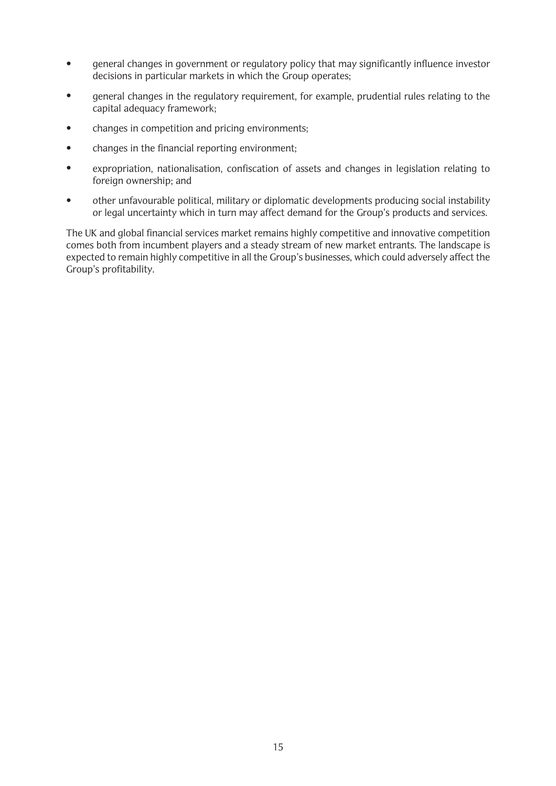- general changes in government or regulatory policy that may significantly influence investor decisions in particular markets in which the Group operates;
- general changes in the regulatory requirement, for example, prudential rules relating to the capital adequacy framework;
- changes in competition and pricing environments:
- changes in the financial reporting environment;
- expropriation, nationalisation, confiscation of assets and changes in legislation relating to foreign ownership; and
- other unfavourable political, military or diplomatic developments producing social instability or legal uncertainty which in turn may affect demand for the Group's products and services.

The UK and global financial services market remains highly competitive and innovative competition comes both from incumbent players and a steady stream of new market entrants. The landscape is expected to remain highly competitive in all the Group's businesses, which could adversely affect the Group's profitability.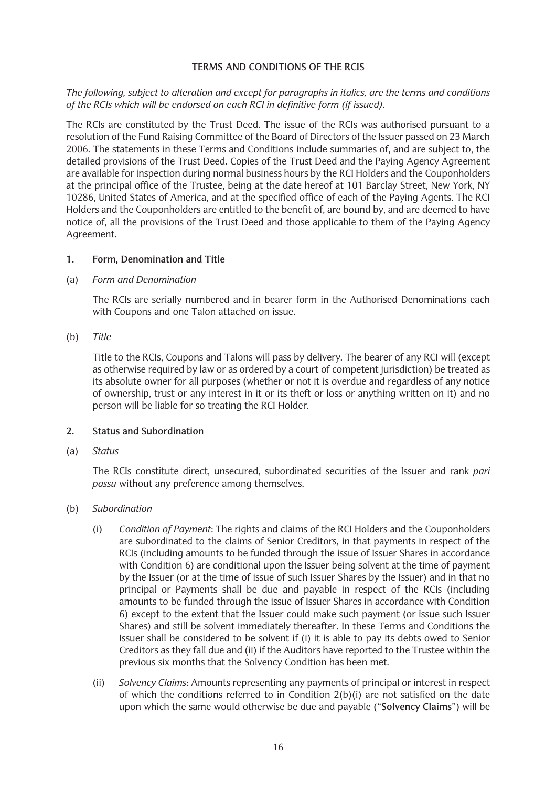### **TERMS AND CONDITIONS OF THE RCIS**

*The following, subject to alteration and except for paragraphs in italics, are the terms and conditions of the RCIs which will be endorsed on each RCI in definitive form (if issued).*

The RCIs are constituted by the Trust Deed. The issue of the RCIs was authorised pursuant to a resolution of the Fund Raising Committee of the Board of Directors of the Issuer passed on 23 March 2006. The statements in these Terms and Conditions include summaries of, and are subject to, the detailed provisions of the Trust Deed. Copies of the Trust Deed and the Paying Agency Agreement are available for inspection during normal business hours by the RCI Holders and the Couponholders at the principal office of the Trustee, being at the date hereof at 101 Barclay Street, New York, NY 10286, United States of America, and at the specified office of each of the Paying Agents. The RCI Holders and the Couponholders are entitled to the benefit of, are bound by, and are deemed to have notice of, all the provisions of the Trust Deed and those applicable to them of the Paying Agency Agreement.

### **1. Form, Denomination and Title**

### (a) *Form and Denomination*

The RCIs are serially numbered and in bearer form in the Authorised Denominations each with Coupons and one Talon attached on issue.

### (b) *Title*

Title to the RCIs, Coupons and Talons will pass by delivery. The bearer of any RCI will (except as otherwise required by law or as ordered by a court of competent jurisdiction) be treated as its absolute owner for all purposes (whether or not it is overdue and regardless of any notice of ownership, trust or any interest in it or its theft or loss or anything written on it) and no person will be liable for so treating the RCI Holder.

### **2. Status and Subordination**

(a) *Status*

The RCIs constitute direct, unsecured, subordinated securities of the Issuer and rank *pari passu* without any preference among themselves.

### (b) *Subordination*

- (i) *Condition of Payment*: The rights and claims of the RCI Holders and the Couponholders are subordinated to the claims of Senior Creditors, in that payments in respect of the RCIs (including amounts to be funded through the issue of Issuer Shares in accordance with Condition 6) are conditional upon the Issuer being solvent at the time of payment by the Issuer (or at the time of issue of such Issuer Shares by the Issuer) and in that no principal or Payments shall be due and payable in respect of the RCIs (including amounts to be funded through the issue of Issuer Shares in accordance with Condition 6) except to the extent that the Issuer could make such payment (or issue such Issuer Shares) and still be solvent immediately thereafter. In these Terms and Conditions the Issuer shall be considered to be solvent if (i) it is able to pay its debts owed to Senior Creditors as they fall due and (ii) if the Auditors have reported to the Trustee within the previous six months that the Solvency Condition has been met.
- (ii) *Solvency Claims*: Amounts representing any payments of principal or interest in respect of which the conditions referred to in Condition  $2(b)(i)$  are not satisfied on the date upon which the same would otherwise be due and payable ("**Solvency Claims**") will be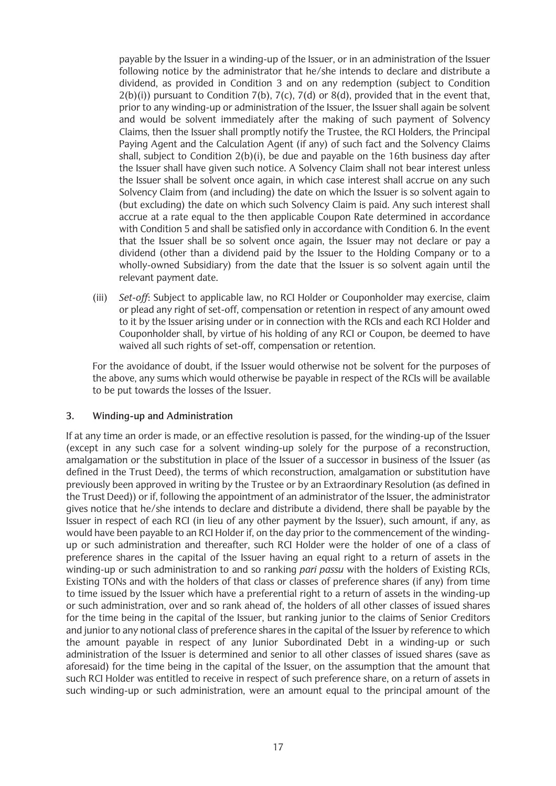payable by the Issuer in a winding-up of the Issuer, or in an administration of the Issuer following notice by the administrator that he/she intends to declare and distribute a dividend, as provided in Condition 3 and on any redemption (subject to Condition  $2(b)(i)$ ) pursuant to Condition 7(b), 7(c), 7(d) or 8(d), provided that in the event that, prior to any winding-up or administration of the Issuer, the Issuer shall again be solvent and would be solvent immediately after the making of such payment of Solvency Claims, then the Issuer shall promptly notify the Trustee, the RCI Holders, the Principal Paying Agent and the Calculation Agent (if any) of such fact and the Solvency Claims shall, subject to Condition 2(b)(i), be due and payable on the 16th business day after the Issuer shall have given such notice. A Solvency Claim shall not bear interest unless the Issuer shall be solvent once again, in which case interest shall accrue on any such Solvency Claim from (and including) the date on which the Issuer is so solvent again to (but excluding) the date on which such Solvency Claim is paid. Any such interest shall accrue at a rate equal to the then applicable Coupon Rate determined in accordance with Condition 5 and shall be satisfied only in accordance with Condition 6. In the event that the Issuer shall be so solvent once again, the Issuer may not declare or pay a dividend (other than a dividend paid by the Issuer to the Holding Company or to a wholly-owned Subsidiary) from the date that the Issuer is so solvent again until the relevant payment date.

(iii) *Set-off*: Subject to applicable law, no RCI Holder or Couponholder may exercise, claim or plead any right of set-off, compensation or retention in respect of any amount owed to it by the Issuer arising under or in connection with the RCIs and each RCI Holder and Couponholder shall, by virtue of his holding of any RCI or Coupon, be deemed to have waived all such rights of set-off, compensation or retention.

For the avoidance of doubt, if the Issuer would otherwise not be solvent for the purposes of the above, any sums which would otherwise be payable in respect of the RCIs will be available to be put towards the losses of the Issuer.

## **3. Winding-up and Administration**

If at any time an order is made, or an effective resolution is passed, for the winding-up of the Issuer (except in any such case for a solvent winding-up solely for the purpose of a reconstruction, amalgamation or the substitution in place of the Issuer of a successor in business of the Issuer (as defined in the Trust Deed), the terms of which reconstruction, amalgamation or substitution have previously been approved in writing by the Trustee or by an Extraordinary Resolution (as defined in the Trust Deed)) or if, following the appointment of an administrator of the Issuer, the administrator gives notice that he/she intends to declare and distribute a dividend, there shall be payable by the Issuer in respect of each RCI (in lieu of any other payment by the Issuer), such amount, if any, as would have been payable to an RCI Holder if, on the day prior to the commencement of the windingup or such administration and thereafter, such RCI Holder were the holder of one of a class of preference shares in the capital of the Issuer having an equal right to a return of assets in the winding-up or such administration to and so ranking *pari passu* with the holders of Existing RCIs, Existing TONs and with the holders of that class or classes of preference shares (if any) from time to time issued by the Issuer which have a preferential right to a return of assets in the winding-up or such administration, over and so rank ahead of, the holders of all other classes of issued shares for the time being in the capital of the Issuer, but ranking junior to the claims of Senior Creditors and junior to any notional class of preference shares in the capital of the Issuer by reference to which the amount payable in respect of any Junior Subordinated Debt in a winding-up or such administration of the Issuer is determined and senior to all other classes of issued shares (save as aforesaid) for the time being in the capital of the Issuer, on the assumption that the amount that such RCI Holder was entitled to receive in respect of such preference share, on a return of assets in such winding-up or such administration, were an amount equal to the principal amount of the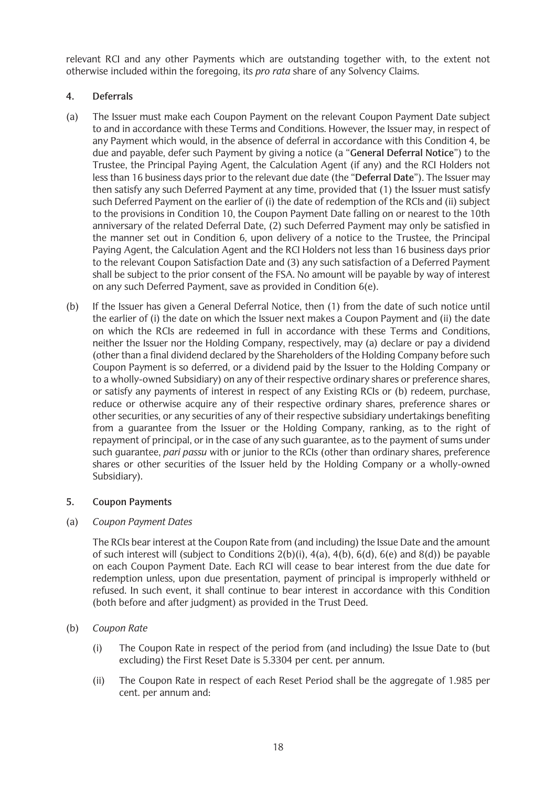relevant RCI and any other Payments which are outstanding together with, to the extent not otherwise included within the foregoing, its *pro rata* share of any Solvency Claims.

## **4. Deferrals**

- (a) The Issuer must make each Coupon Payment on the relevant Coupon Payment Date subject to and in accordance with these Terms and Conditions. However, the Issuer may, in respect of any Payment which would, in the absence of deferral in accordance with this Condition 4, be due and payable, defer such Payment by giving a notice (a "**General Deferral Notice**") to the Trustee, the Principal Paying Agent, the Calculation Agent (if any) and the RCI Holders not less than 16 business days prior to the relevant due date (the "**Deferral Date**"). The Issuer may then satisfy any such Deferred Payment at any time, provided that (1) the Issuer must satisfy such Deferred Payment on the earlier of (i) the date of redemption of the RCIs and (ii) subject to the provisions in Condition 10, the Coupon Payment Date falling on or nearest to the 10th anniversary of the related Deferral Date, (2) such Deferred Payment may only be satisfied in the manner set out in Condition 6, upon delivery of a notice to the Trustee, the Principal Paying Agent, the Calculation Agent and the RCI Holders not less than 16 business days prior to the relevant Coupon Satisfaction Date and (3) any such satisfaction of a Deferred Payment shall be subject to the prior consent of the FSA. No amount will be payable by way of interest on any such Deferred Payment, save as provided in Condition 6(e).
- (b) If the Issuer has given a General Deferral Notice, then (1) from the date of such notice until the earlier of (i) the date on which the Issuer next makes a Coupon Payment and (ii) the date on which the RCIs are redeemed in full in accordance with these Terms and Conditions, neither the Issuer nor the Holding Company, respectively, may (a) declare or pay a dividend (other than a final dividend declared by the Shareholders of the Holding Company before such Coupon Payment is so deferred, or a dividend paid by the Issuer to the Holding Company or to a wholly-owned Subsidiary) on any of their respective ordinary shares or preference shares, or satisfy any payments of interest in respect of any Existing RCIs or (b) redeem, purchase, reduce or otherwise acquire any of their respective ordinary shares, preference shares or other securities, or any securities of any of their respective subsidiary undertakings benefiting from a guarantee from the Issuer or the Holding Company, ranking, as to the right of repayment of principal, or in the case of any such guarantee, as to the payment of sums under such guarantee, *pari passu* with or junior to the RCIs (other than ordinary shares, preference shares or other securities of the Issuer held by the Holding Company or a wholly-owned Subsidiary).

## **5. Coupon Payments**

## (a) *Coupon Payment Dates*

The RCIs bear interest at the Coupon Rate from (and including) the Issue Date and the amount of such interest will (subject to Conditions 2(b)(i), 4(a), 4(b), 6(d), 6(e) and 8(d)) be payable on each Coupon Payment Date. Each RCI will cease to bear interest from the due date for redemption unless, upon due presentation, payment of principal is improperly withheld or refused. In such event, it shall continue to bear interest in accordance with this Condition (both before and after judgment) as provided in the Trust Deed.

- (b) *Coupon Rate*
	- (i) The Coupon Rate in respect of the period from (and including) the Issue Date to (but excluding) the First Reset Date is 5.3304 per cent. per annum.
	- (ii) The Coupon Rate in respect of each Reset Period shall be the aggregate of 1.985 per cent. per annum and: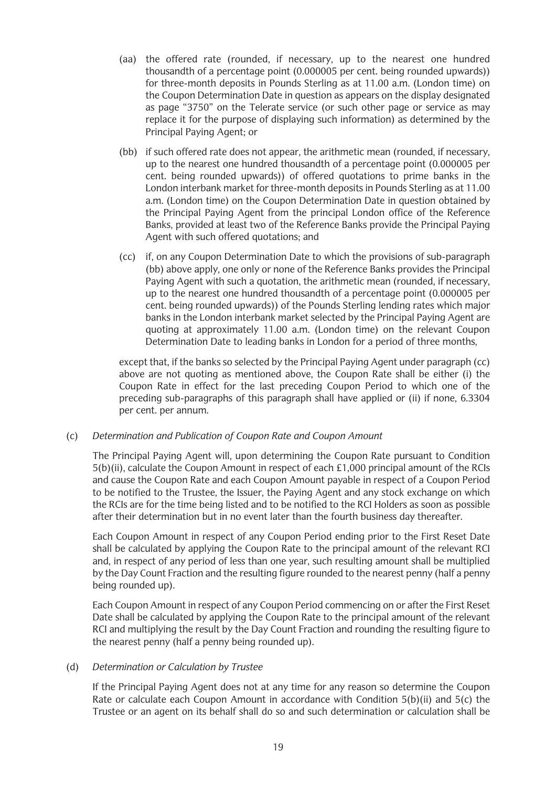- (aa) the offered rate (rounded, if necessary, up to the nearest one hundred thousandth of a percentage point (0.000005 per cent. being rounded upwards)) for three-month deposits in Pounds Sterling as at 11.00 a.m. (London time) on the Coupon Determination Date in question as appears on the display designated as page "3750" on the Telerate service (or such other page or service as may replace it for the purpose of displaying such information) as determined by the Principal Paying Agent; or
- (bb) if such offered rate does not appear, the arithmetic mean (rounded, if necessary, up to the nearest one hundred thousandth of a percentage point (0.000005 per cent. being rounded upwards)) of offered quotations to prime banks in the London interbank market for three-month deposits in Pounds Sterling as at 11.00 a.m. (London time) on the Coupon Determination Date in question obtained by the Principal Paying Agent from the principal London office of the Reference Banks, provided at least two of the Reference Banks provide the Principal Paying Agent with such offered quotations; and
- (cc) if, on any Coupon Determination Date to which the provisions of sub-paragraph (bb) above apply, one only or none of the Reference Banks provides the Principal Paying Agent with such a quotation, the arithmetic mean (rounded, if necessary, up to the nearest one hundred thousandth of a percentage point (0.000005 per cent. being rounded upwards)) of the Pounds Sterling lending rates which major banks in the London interbank market selected by the Principal Paying Agent are quoting at approximately 11.00 a.m. (London time) on the relevant Coupon Determination Date to leading banks in London for a period of three months,

except that, if the banks so selected by the Principal Paying Agent under paragraph (cc) above are not quoting as mentioned above, the Coupon Rate shall be either (i) the Coupon Rate in effect for the last preceding Coupon Period to which one of the preceding sub-paragraphs of this paragraph shall have applied or (ii) if none, 6.3304 per cent. per annum.

## (c) *Determination and Publication of Coupon Rate and Coupon Amount*

The Principal Paying Agent will, upon determining the Coupon Rate pursuant to Condition 5(b)(ii), calculate the Coupon Amount in respect of each £1,000 principal amount of the RCIs and cause the Coupon Rate and each Coupon Amount payable in respect of a Coupon Period to be notified to the Trustee, the Issuer, the Paying Agent and any stock exchange on which the RCIs are for the time being listed and to be notified to the RCI Holders as soon as possible after their determination but in no event later than the fourth business day thereafter.

Each Coupon Amount in respect of any Coupon Period ending prior to the First Reset Date shall be calculated by applying the Coupon Rate to the principal amount of the relevant RCI and, in respect of any period of less than one year, such resulting amount shall be multiplied by the Day Count Fraction and the resulting figure rounded to the nearest penny (half a penny being rounded up).

Each Coupon Amount in respect of any Coupon Period commencing on or after the First Reset Date shall be calculated by applying the Coupon Rate to the principal amount of the relevant RCI and multiplying the result by the Day Count Fraction and rounding the resulting figure to the nearest penny (half a penny being rounded up).

### (d) *Determination or Calculation by Trustee*

If the Principal Paying Agent does not at any time for any reason so determine the Coupon Rate or calculate each Coupon Amount in accordance with Condition 5(b)(ii) and 5(c) the Trustee or an agent on its behalf shall do so and such determination or calculation shall be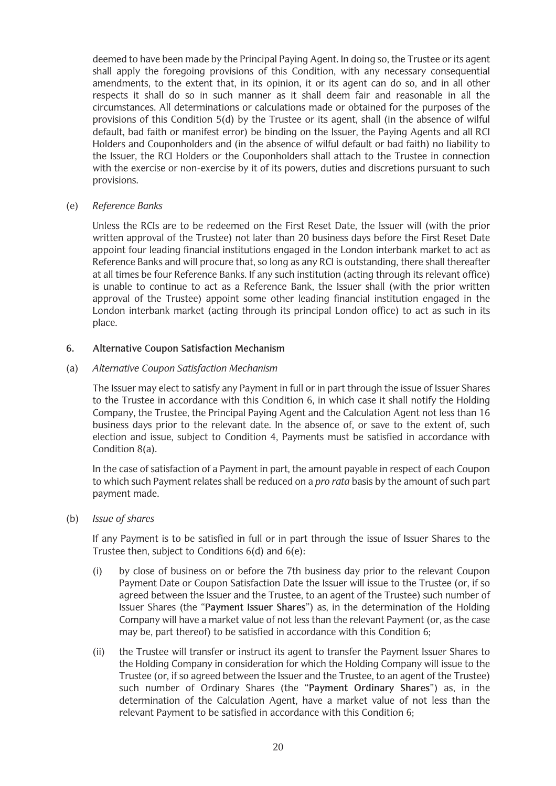deemed to have been made by the Principal Paying Agent. In doing so, the Trustee or its agent shall apply the foregoing provisions of this Condition, with any necessary consequential amendments, to the extent that, in its opinion, it or its agent can do so, and in all other respects it shall do so in such manner as it shall deem fair and reasonable in all the circumstances. All determinations or calculations made or obtained for the purposes of the provisions of this Condition 5(d) by the Trustee or its agent, shall (in the absence of wilful default, bad faith or manifest error) be binding on the Issuer, the Paying Agents and all RCI Holders and Couponholders and (in the absence of wilful default or bad faith) no liability to the Issuer, the RCI Holders or the Couponholders shall attach to the Trustee in connection with the exercise or non-exercise by it of its powers, duties and discretions pursuant to such provisions.

(e) *Reference Banks*

Unless the RCIs are to be redeemed on the First Reset Date, the Issuer will (with the prior written approval of the Trustee) not later than 20 business days before the First Reset Date appoint four leading financial institutions engaged in the London interbank market to act as Reference Banks and will procure that, so long as any RCI is outstanding, there shall thereafter at all times be four Reference Banks. If any such institution (acting through its relevant office) is unable to continue to act as a Reference Bank, the Issuer shall (with the prior written approval of the Trustee) appoint some other leading financial institution engaged in the London interbank market (acting through its principal London office) to act as such in its place.

### **6. Alternative Coupon Satisfaction Mechanism**

### (a) *Alternative Coupon Satisfaction Mechanism*

The Issuer may elect to satisfy any Payment in full or in part through the issue of Issuer Shares to the Trustee in accordance with this Condition 6, in which case it shall notify the Holding Company, the Trustee, the Principal Paying Agent and the Calculation Agent not less than 16 business days prior to the relevant date. In the absence of, or save to the extent of, such election and issue, subject to Condition 4, Payments must be satisfied in accordance with Condition 8(a).

In the case of satisfaction of a Payment in part, the amount payable in respect of each Coupon to which such Payment relates shall be reduced on a *pro rata* basis by the amount of such part payment made.

(b) *Issue of shares*

If any Payment is to be satisfied in full or in part through the issue of Issuer Shares to the Trustee then, subject to Conditions 6(d) and 6(e):

- (i) by close of business on or before the 7th business day prior to the relevant Coupon Payment Date or Coupon Satisfaction Date the Issuer will issue to the Trustee (or, if so agreed between the Issuer and the Trustee, to an agent of the Trustee) such number of Issuer Shares (the "**Payment Issuer Shares**") as, in the determination of the Holding Company will have a market value of not less than the relevant Payment (or, as the case may be, part thereof) to be satisfied in accordance with this Condition 6;
- (ii) the Trustee will transfer or instruct its agent to transfer the Payment Issuer Shares to the Holding Company in consideration for which the Holding Company will issue to the Trustee (or, if so agreed between the Issuer and the Trustee, to an agent of the Trustee) such number of Ordinary Shares (the "**Payment Ordinary Shares**") as, in the determination of the Calculation Agent, have a market value of not less than the relevant Payment to be satisfied in accordance with this Condition 6;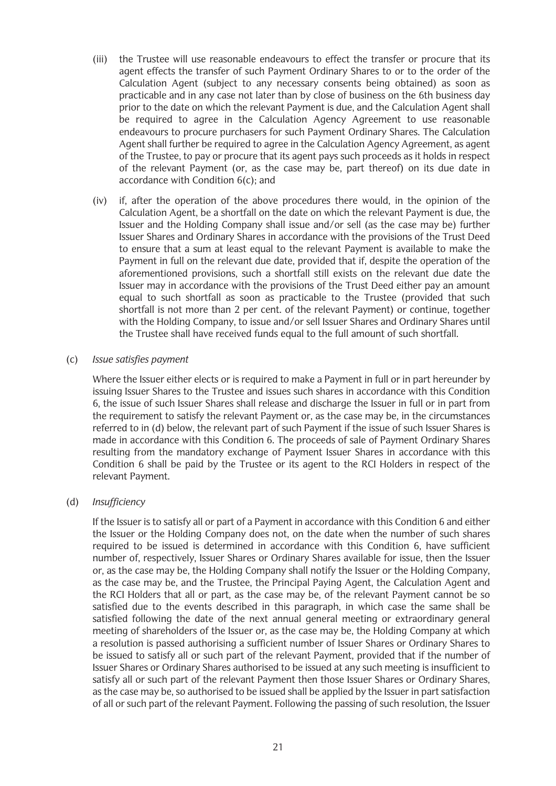- (iii) the Trustee will use reasonable endeavours to effect the transfer or procure that its agent effects the transfer of such Payment Ordinary Shares to or to the order of the Calculation Agent (subject to any necessary consents being obtained) as soon as practicable and in any case not later than by close of business on the 6th business day prior to the date on which the relevant Payment is due, and the Calculation Agent shall be required to agree in the Calculation Agency Agreement to use reasonable endeavours to procure purchasers for such Payment Ordinary Shares. The Calculation Agent shall further be required to agree in the Calculation Agency Agreement, as agent of the Trustee, to pay or procure that its agent pays such proceeds as it holds in respect of the relevant Payment (or, as the case may be, part thereof) on its due date in accordance with Condition 6(c); and
- (iv) if, after the operation of the above procedures there would, in the opinion of the Calculation Agent, be a shortfall on the date on which the relevant Payment is due, the Issuer and the Holding Company shall issue and/or sell (as the case may be) further Issuer Shares and Ordinary Shares in accordance with the provisions of the Trust Deed to ensure that a sum at least equal to the relevant Payment is available to make the Payment in full on the relevant due date, provided that if, despite the operation of the aforementioned provisions, such a shortfall still exists on the relevant due date the Issuer may in accordance with the provisions of the Trust Deed either pay an amount equal to such shortfall as soon as practicable to the Trustee (provided that such shortfall is not more than 2 per cent. of the relevant Payment) or continue, together with the Holding Company, to issue and/or sell Issuer Shares and Ordinary Shares until the Trustee shall have received funds equal to the full amount of such shortfall.

### (c) *Issue satisfies payment*

Where the Issuer either elects or is required to make a Payment in full or in part hereunder by issuing Issuer Shares to the Trustee and issues such shares in accordance with this Condition 6, the issue of such Issuer Shares shall release and discharge the Issuer in full or in part from the requirement to satisfy the relevant Payment or, as the case may be, in the circumstances referred to in (d) below, the relevant part of such Payment if the issue of such Issuer Shares is made in accordance with this Condition 6. The proceeds of sale of Payment Ordinary Shares resulting from the mandatory exchange of Payment Issuer Shares in accordance with this Condition 6 shall be paid by the Trustee or its agent to the RCI Holders in respect of the relevant Payment.

## (d) *Insufficiency*

If the Issuer is to satisfy all or part of a Payment in accordance with this Condition 6 and either the Issuer or the Holding Company does not, on the date when the number of such shares required to be issued is determined in accordance with this Condition 6, have sufficient number of, respectively, Issuer Shares or Ordinary Shares available for issue, then the Issuer or, as the case may be, the Holding Company shall notify the Issuer or the Holding Company, as the case may be, and the Trustee, the Principal Paying Agent, the Calculation Agent and the RCI Holders that all or part, as the case may be, of the relevant Payment cannot be so satisfied due to the events described in this paragraph, in which case the same shall be satisfied following the date of the next annual general meeting or extraordinary general meeting of shareholders of the Issuer or, as the case may be, the Holding Company at which a resolution is passed authorising a sufficient number of Issuer Shares or Ordinary Shares to be issued to satisfy all or such part of the relevant Payment, provided that if the number of Issuer Shares or Ordinary Shares authorised to be issued at any such meeting is insufficient to satisfy all or such part of the relevant Payment then those Issuer Shares or Ordinary Shares, as the case may be, so authorised to be issued shall be applied by the Issuer in part satisfaction of all or such part of the relevant Payment. Following the passing of such resolution, the Issuer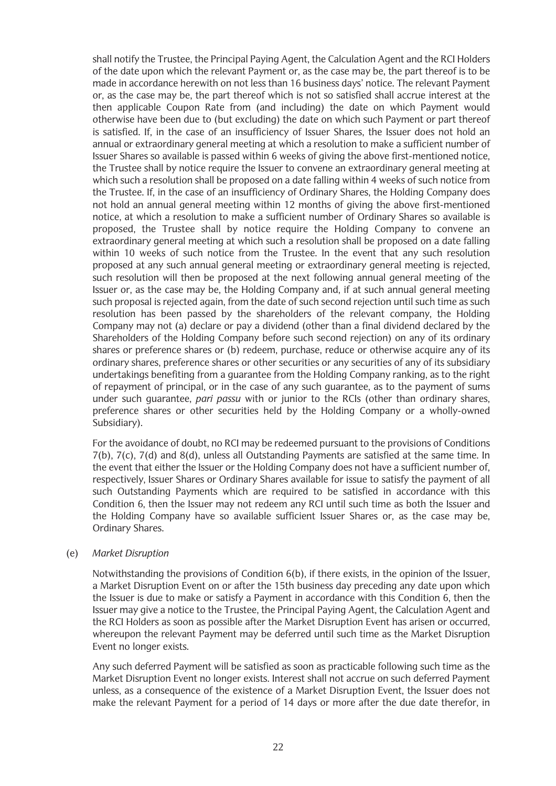shall notify the Trustee, the Principal Paying Agent, the Calculation Agent and the RCI Holders of the date upon which the relevant Payment or, as the case may be, the part thereof is to be made in accordance herewith on not less than 16 business days' notice. The relevant Payment or, as the case may be, the part thereof which is not so satisfied shall accrue interest at the then applicable Coupon Rate from (and including) the date on which Payment would otherwise have been due to (but excluding) the date on which such Payment or part thereof is satisfied. If, in the case of an insufficiency of Issuer Shares, the Issuer does not hold an annual or extraordinary general meeting at which a resolution to make a sufficient number of Issuer Shares so available is passed within 6 weeks of giving the above first-mentioned notice, the Trustee shall by notice require the Issuer to convene an extraordinary general meeting at which such a resolution shall be proposed on a date falling within 4 weeks of such notice from the Trustee. If, in the case of an insufficiency of Ordinary Shares, the Holding Company does not hold an annual general meeting within 12 months of giving the above first-mentioned notice, at which a resolution to make a sufficient number of Ordinary Shares so available is proposed, the Trustee shall by notice require the Holding Company to convene an extraordinary general meeting at which such a resolution shall be proposed on a date falling within 10 weeks of such notice from the Trustee. In the event that any such resolution proposed at any such annual general meeting or extraordinary general meeting is rejected, such resolution will then be proposed at the next following annual general meeting of the Issuer or, as the case may be, the Holding Company and, if at such annual general meeting such proposal is rejected again, from the date of such second rejection until such time as such resolution has been passed by the shareholders of the relevant company, the Holding Company may not (a) declare or pay a dividend (other than a final dividend declared by the Shareholders of the Holding Company before such second rejection) on any of its ordinary shares or preference shares or (b) redeem, purchase, reduce or otherwise acquire any of its ordinary shares, preference shares or other securities or any securities of any of its subsidiary undertakings benefiting from a guarantee from the Holding Company ranking, as to the right of repayment of principal, or in the case of any such guarantee, as to the payment of sums under such guarantee, *pari passu* with or junior to the RCIs (other than ordinary shares, preference shares or other securities held by the Holding Company or a wholly-owned Subsidiary).

For the avoidance of doubt, no RCI may be redeemed pursuant to the provisions of Conditions 7(b), 7(c), 7(d) and 8(d), unless all Outstanding Payments are satisfied at the same time. In the event that either the Issuer or the Holding Company does not have a sufficient number of, respectively, Issuer Shares or Ordinary Shares available for issue to satisfy the payment of all such Outstanding Payments which are required to be satisfied in accordance with this Condition 6, then the Issuer may not redeem any RCI until such time as both the Issuer and the Holding Company have so available sufficient Issuer Shares or, as the case may be, Ordinary Shares.

### (e) *Market Disruption*

Notwithstanding the provisions of Condition 6(b), if there exists, in the opinion of the Issuer, a Market Disruption Event on or after the 15th business day preceding any date upon which the Issuer is due to make or satisfy a Payment in accordance with this Condition 6, then the Issuer may give a notice to the Trustee, the Principal Paying Agent, the Calculation Agent and the RCI Holders as soon as possible after the Market Disruption Event has arisen or occurred, whereupon the relevant Payment may be deferred until such time as the Market Disruption Event no longer exists.

Any such deferred Payment will be satisfied as soon as practicable following such time as the Market Disruption Event no longer exists. Interest shall not accrue on such deferred Payment unless, as a consequence of the existence of a Market Disruption Event, the Issuer does not make the relevant Payment for a period of 14 days or more after the due date therefor, in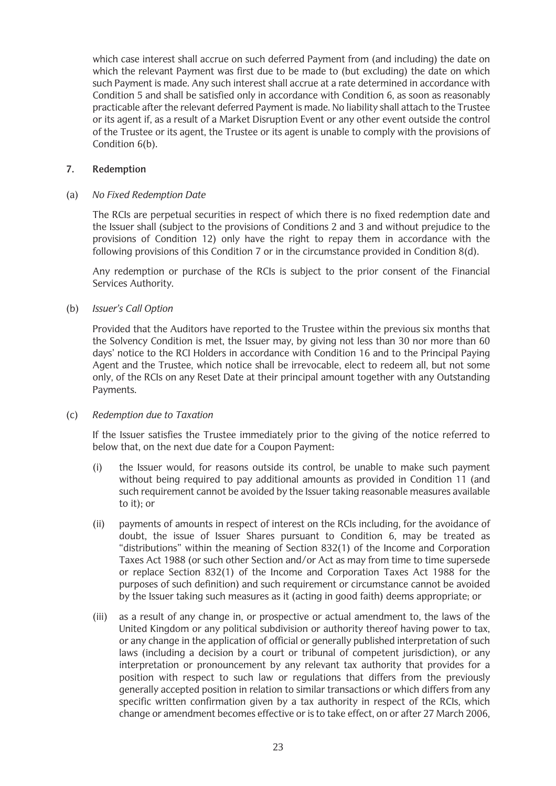which case interest shall accrue on such deferred Payment from (and including) the date on which the relevant Payment was first due to be made to (but excluding) the date on which such Payment is made. Any such interest shall accrue at a rate determined in accordance with Condition 5 and shall be satisfied only in accordance with Condition 6, as soon as reasonably practicable after the relevant deferred Payment is made. No liability shall attach to the Trustee or its agent if, as a result of a Market Disruption Event or any other event outside the control of the Trustee or its agent, the Trustee or its agent is unable to comply with the provisions of Condition 6(b).

### **7. Redemption**

### (a) *No Fixed Redemption Date*

The RCIs are perpetual securities in respect of which there is no fixed redemption date and the Issuer shall (subject to the provisions of Conditions 2 and 3 and without prejudice to the provisions of Condition 12) only have the right to repay them in accordance with the following provisions of this Condition 7 or in the circumstance provided in Condition 8(d).

Any redemption or purchase of the RCIs is subject to the prior consent of the Financial Services Authority.

### (b) *Issuer's Call Option*

Provided that the Auditors have reported to the Trustee within the previous six months that the Solvency Condition is met, the Issuer may, by giving not less than 30 nor more than 60 days' notice to the RCI Holders in accordance with Condition 16 and to the Principal Paying Agent and the Trustee, which notice shall be irrevocable, elect to redeem all, but not some only, of the RCIs on any Reset Date at their principal amount together with any Outstanding Payments.

### (c) *Redemption due to Taxation*

If the Issuer satisfies the Trustee immediately prior to the giving of the notice referred to below that, on the next due date for a Coupon Payment:

- (i) the Issuer would, for reasons outside its control, be unable to make such payment without being required to pay additional amounts as provided in Condition 11 (and such requirement cannot be avoided by the Issuer taking reasonable measures available to it); or
- (ii) payments of amounts in respect of interest on the RCIs including, for the avoidance of doubt, the issue of Issuer Shares pursuant to Condition 6, may be treated as "distributions" within the meaning of Section 832(1) of the Income and Corporation Taxes Act 1988 (or such other Section and/or Act as may from time to time supersede or replace Section 832(1) of the Income and Corporation Taxes Act 1988 for the purposes of such definition) and such requirement or circumstance cannot be avoided by the Issuer taking such measures as it (acting in good faith) deems appropriate; or
- (iii) as a result of any change in, or prospective or actual amendment to, the laws of the United Kingdom or any political subdivision or authority thereof having power to tax, or any change in the application of official or generally published interpretation of such laws (including a decision by a court or tribunal of competent jurisdiction), or any interpretation or pronouncement by any relevant tax authority that provides for a position with respect to such law or regulations that differs from the previously generally accepted position in relation to similar transactions or which differs from any specific written confirmation given by a tax authority in respect of the RCIs, which change or amendment becomes effective or is to take effect, on or after 27 March 2006,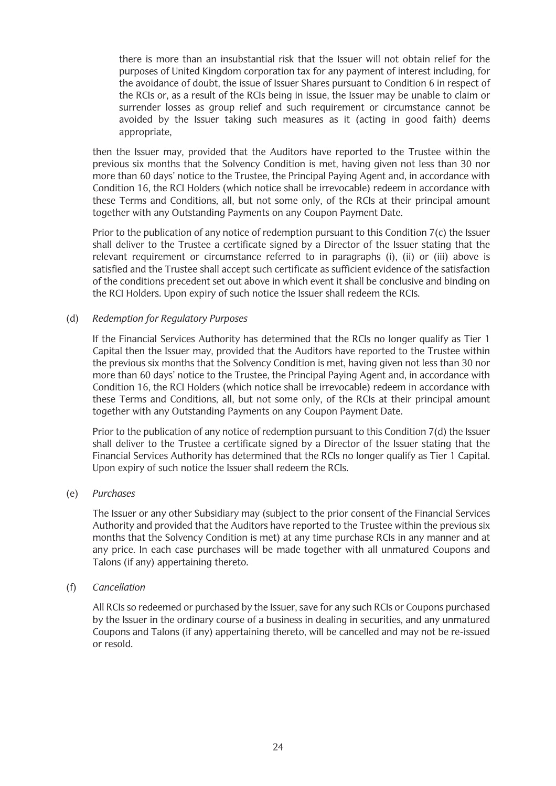there is more than an insubstantial risk that the Issuer will not obtain relief for the purposes of United Kingdom corporation tax for any payment of interest including, for the avoidance of doubt, the issue of Issuer Shares pursuant to Condition 6 in respect of the RCIs or, as a result of the RCIs being in issue, the Issuer may be unable to claim or surrender losses as group relief and such requirement or circumstance cannot be avoided by the Issuer taking such measures as it (acting in good faith) deems appropriate,

then the Issuer may, provided that the Auditors have reported to the Trustee within the previous six months that the Solvency Condition is met, having given not less than 30 nor more than 60 days' notice to the Trustee, the Principal Paying Agent and, in accordance with Condition 16, the RCI Holders (which notice shall be irrevocable) redeem in accordance with these Terms and Conditions, all, but not some only, of the RCIs at their principal amount together with any Outstanding Payments on any Coupon Payment Date.

Prior to the publication of any notice of redemption pursuant to this Condition 7(c) the Issuer shall deliver to the Trustee a certificate signed by a Director of the Issuer stating that the relevant requirement or circumstance referred to in paragraphs (i), (ii) or (iii) above is satisfied and the Trustee shall accept such certificate as sufficient evidence of the satisfaction of the conditions precedent set out above in which event it shall be conclusive and binding on the RCI Holders. Upon expiry of such notice the Issuer shall redeem the RCIs.

## (d) *Redemption for Regulatory Purposes*

If the Financial Services Authority has determined that the RCIs no longer qualify as Tier 1 Capital then the Issuer may, provided that the Auditors have reported to the Trustee within the previous six months that the Solvency Condition is met, having given not less than 30 nor more than 60 days' notice to the Trustee, the Principal Paying Agent and, in accordance with Condition 16, the RCI Holders (which notice shall be irrevocable) redeem in accordance with these Terms and Conditions, all, but not some only, of the RCIs at their principal amount together with any Outstanding Payments on any Coupon Payment Date.

Prior to the publication of any notice of redemption pursuant to this Condition 7(d) the Issuer shall deliver to the Trustee a certificate signed by a Director of the Issuer stating that the Financial Services Authority has determined that the RCIs no longer qualify as Tier 1 Capital. Upon expiry of such notice the Issuer shall redeem the RCIs.

### (e) *Purchases*

The Issuer or any other Subsidiary may (subject to the prior consent of the Financial Services Authority and provided that the Auditors have reported to the Trustee within the previous six months that the Solvency Condition is met) at any time purchase RCIs in any manner and at any price. In each case purchases will be made together with all unmatured Coupons and Talons (if any) appertaining thereto.

### (f) *Cancellation*

All RCIs so redeemed or purchased by the Issuer, save for any such RCIs or Coupons purchased by the Issuer in the ordinary course of a business in dealing in securities, and any unmatured Coupons and Talons (if any) appertaining thereto, will be cancelled and may not be re-issued or resold.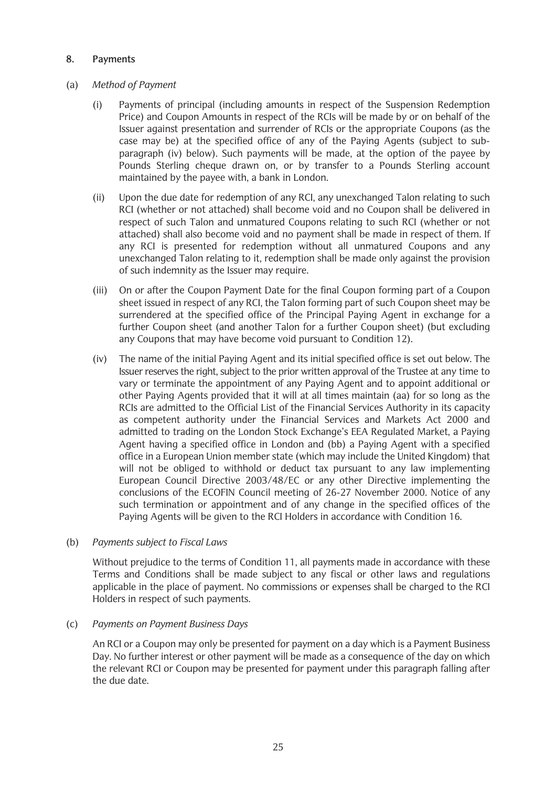## **8. Payments**

### (a) *Method of Payment*

- (i) Payments of principal (including amounts in respect of the Suspension Redemption Price) and Coupon Amounts in respect of the RCIs will be made by or on behalf of the Issuer against presentation and surrender of RCIs or the appropriate Coupons (as the case may be) at the specified office of any of the Paying Agents (subject to subparagraph (iv) below). Such payments will be made, at the option of the payee by Pounds Sterling cheque drawn on, or by transfer to a Pounds Sterling account maintained by the payee with, a bank in London.
- (ii) Upon the due date for redemption of any RCI, any unexchanged Talon relating to such RCI (whether or not attached) shall become void and no Coupon shall be delivered in respect of such Talon and unmatured Coupons relating to such RCI (whether or not attached) shall also become void and no payment shall be made in respect of them. If any RCI is presented for redemption without all unmatured Coupons and any unexchanged Talon relating to it, redemption shall be made only against the provision of such indemnity as the Issuer may require.
- (iii) On or after the Coupon Payment Date for the final Coupon forming part of a Coupon sheet issued in respect of any RCI, the Talon forming part of such Coupon sheet may be surrendered at the specified office of the Principal Paying Agent in exchange for a further Coupon sheet (and another Talon for a further Coupon sheet) (but excluding any Coupons that may have become void pursuant to Condition 12).
- (iv) The name of the initial Paying Agent and its initial specified office is set out below. The Issuer reserves the right, subject to the prior written approval of the Trustee at any time to vary or terminate the appointment of any Paying Agent and to appoint additional or other Paying Agents provided that it will at all times maintain (aa) for so long as the RCIs are admitted to the Official List of the Financial Services Authority in its capacity as competent authority under the Financial Services and Markets Act 2000 and admitted to trading on the London Stock Exchange's EEA Regulated Market, a Paying Agent having a specified office in London and (bb) a Paying Agent with a specified office in a European Union member state (which may include the United Kingdom) that will not be obliged to withhold or deduct tax pursuant to any law implementing European Council Directive 2003/48/EC or any other Directive implementing the conclusions of the ECOFIN Council meeting of 26-27 November 2000. Notice of any such termination or appointment and of any change in the specified offices of the Paying Agents will be given to the RCI Holders in accordance with Condition 16.

### (b) *Payments subject to Fiscal Laws*

Without prejudice to the terms of Condition 11, all payments made in accordance with these Terms and Conditions shall be made subject to any fiscal or other laws and regulations applicable in the place of payment. No commissions or expenses shall be charged to the RCI Holders in respect of such payments.

### (c) *Payments on Payment Business Days*

An RCI or a Coupon may only be presented for payment on a day which is a Payment Business Day. No further interest or other payment will be made as a consequence of the day on which the relevant RCI or Coupon may be presented for payment under this paragraph falling after the due date.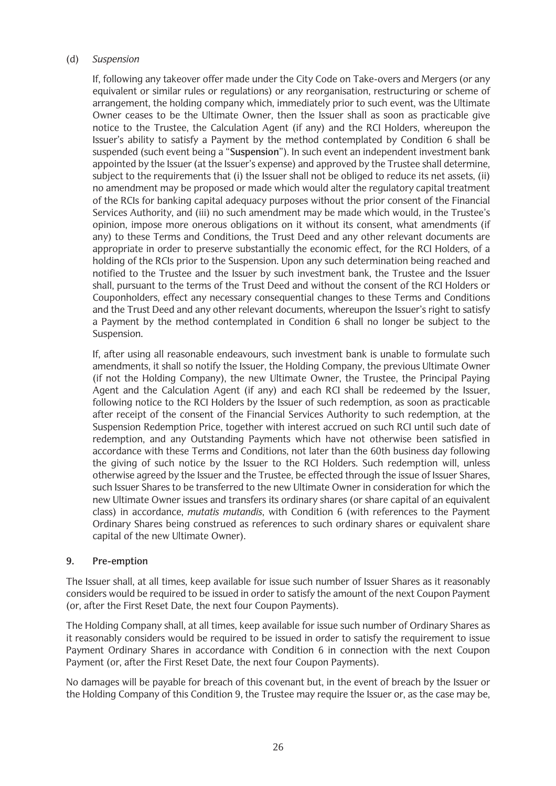### (d) *Suspension*

If, following any takeover offer made under the City Code on Take-overs and Mergers (or any equivalent or similar rules or regulations) or any reorganisation, restructuring or scheme of arrangement, the holding company which, immediately prior to such event, was the Ultimate Owner ceases to be the Ultimate Owner, then the Issuer shall as soon as practicable give notice to the Trustee, the Calculation Agent (if any) and the RCI Holders, whereupon the Issuer's ability to satisfy a Payment by the method contemplated by Condition 6 shall be suspended (such event being a "**Suspension**"). In such event an independent investment bank appointed by the Issuer (at the Issuer's expense) and approved by the Trustee shall determine, subject to the requirements that (i) the Issuer shall not be obliged to reduce its net assets, (ii) no amendment may be proposed or made which would alter the regulatory capital treatment of the RCIs for banking capital adequacy purposes without the prior consent of the Financial Services Authority, and (iii) no such amendment may be made which would, in the Trustee's opinion, impose more onerous obligations on it without its consent, what amendments (if any) to these Terms and Conditions, the Trust Deed and any other relevant documents are appropriate in order to preserve substantially the economic effect, for the RCI Holders, of a holding of the RCIs prior to the Suspension. Upon any such determination being reached and notified to the Trustee and the Issuer by such investment bank, the Trustee and the Issuer shall, pursuant to the terms of the Trust Deed and without the consent of the RCI Holders or Couponholders, effect any necessary consequential changes to these Terms and Conditions and the Trust Deed and any other relevant documents, whereupon the Issuer's right to satisfy a Payment by the method contemplated in Condition 6 shall no longer be subject to the Suspension.

If, after using all reasonable endeavours, such investment bank is unable to formulate such amendments, it shall so notify the Issuer, the Holding Company, the previous Ultimate Owner (if not the Holding Company), the new Ultimate Owner, the Trustee, the Principal Paying Agent and the Calculation Agent (if any) and each RCI shall be redeemed by the Issuer, following notice to the RCI Holders by the Issuer of such redemption, as soon as practicable after receipt of the consent of the Financial Services Authority to such redemption, at the Suspension Redemption Price, together with interest accrued on such RCI until such date of redemption, and any Outstanding Payments which have not otherwise been satisfied in accordance with these Terms and Conditions, not later than the 60th business day following the giving of such notice by the Issuer to the RCI Holders. Such redemption will, unless otherwise agreed by the Issuer and the Trustee, be effected through the issue of Issuer Shares, such Issuer Shares to be transferred to the new Ultimate Owner in consideration for which the new Ultimate Owner issues and transfers its ordinary shares (or share capital of an equivalent class) in accordance, *mutatis mutandis*, with Condition 6 (with references to the Payment Ordinary Shares being construed as references to such ordinary shares or equivalent share capital of the new Ultimate Owner).

## **9. Pre-emption**

The Issuer shall, at all times, keep available for issue such number of Issuer Shares as it reasonably considers would be required to be issued in order to satisfy the amount of the next Coupon Payment (or, after the First Reset Date, the next four Coupon Payments).

The Holding Company shall, at all times, keep available for issue such number of Ordinary Shares as it reasonably considers would be required to be issued in order to satisfy the requirement to issue Payment Ordinary Shares in accordance with Condition 6 in connection with the next Coupon Payment (or, after the First Reset Date, the next four Coupon Payments).

No damages will be payable for breach of this covenant but, in the event of breach by the Issuer or the Holding Company of this Condition 9, the Trustee may require the Issuer or, as the case may be,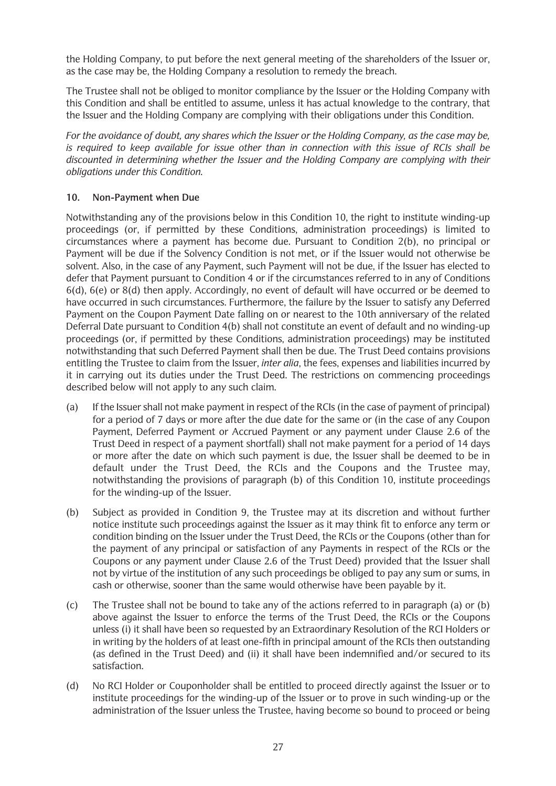the Holding Company, to put before the next general meeting of the shareholders of the Issuer or, as the case may be, the Holding Company a resolution to remedy the breach.

The Trustee shall not be obliged to monitor compliance by the Issuer or the Holding Company with this Condition and shall be entitled to assume, unless it has actual knowledge to the contrary, that the Issuer and the Holding Company are complying with their obligations under this Condition.

*For the avoidance of doubt, any shares which the Issuer or the Holding Company, as the case may be, is required to keep available for issue other than in connection with this issue of RCIs shall be discounted in determining whether the Issuer and the Holding Company are complying with their obligations under this Condition.*

## **10. Non-Payment when Due**

Notwithstanding any of the provisions below in this Condition 10, the right to institute winding-up proceedings (or, if permitted by these Conditions, administration proceedings) is limited to circumstances where a payment has become due. Pursuant to Condition 2(b), no principal or Payment will be due if the Solvency Condition is not met, or if the Issuer would not otherwise be solvent. Also, in the case of any Payment, such Payment will not be due, if the Issuer has elected to defer that Payment pursuant to Condition 4 or if the circumstances referred to in any of Conditions 6(d), 6(e) or 8(d) then apply. Accordingly, no event of default will have occurred or be deemed to have occurred in such circumstances. Furthermore, the failure by the Issuer to satisfy any Deferred Payment on the Coupon Payment Date falling on or nearest to the 10th anniversary of the related Deferral Date pursuant to Condition 4(b) shall not constitute an event of default and no winding-up proceedings (or, if permitted by these Conditions, administration proceedings) may be instituted notwithstanding that such Deferred Payment shall then be due. The Trust Deed contains provisions entitling the Trustee to claim from the Issuer, *inter alia*, the fees, expenses and liabilities incurred by it in carrying out its duties under the Trust Deed. The restrictions on commencing proceedings described below will not apply to any such claim.

- (a) If the Issuer shall not make payment in respect of the RCIs (in the case of payment of principal) for a period of 7 days or more after the due date for the same or (in the case of any Coupon Payment, Deferred Payment or Accrued Payment or any payment under Clause 2.6 of the Trust Deed in respect of a payment shortfall) shall not make payment for a period of 14 days or more after the date on which such payment is due, the Issuer shall be deemed to be in default under the Trust Deed, the RCIs and the Coupons and the Trustee may, notwithstanding the provisions of paragraph (b) of this Condition 10, institute proceedings for the winding-up of the Issuer.
- (b) Subject as provided in Condition 9, the Trustee may at its discretion and without further notice institute such proceedings against the Issuer as it may think fit to enforce any term or condition binding on the Issuer under the Trust Deed, the RCIs or the Coupons (other than for the payment of any principal or satisfaction of any Payments in respect of the RCIs or the Coupons or any payment under Clause 2.6 of the Trust Deed) provided that the Issuer shall not by virtue of the institution of any such proceedings be obliged to pay any sum or sums, in cash or otherwise, sooner than the same would otherwise have been payable by it.
- (c) The Trustee shall not be bound to take any of the actions referred to in paragraph (a) or (b) above against the Issuer to enforce the terms of the Trust Deed, the RCIs or the Coupons unless (i) it shall have been so requested by an Extraordinary Resolution of the RCI Holders or in writing by the holders of at least one-fifth in principal amount of the RCIs then outstanding (as defined in the Trust Deed) and (ii) it shall have been indemnified and/or secured to its satisfaction.
- (d) No RCI Holder or Couponholder shall be entitled to proceed directly against the Issuer or to institute proceedings for the winding-up of the Issuer or to prove in such winding-up or the administration of the Issuer unless the Trustee, having become so bound to proceed or being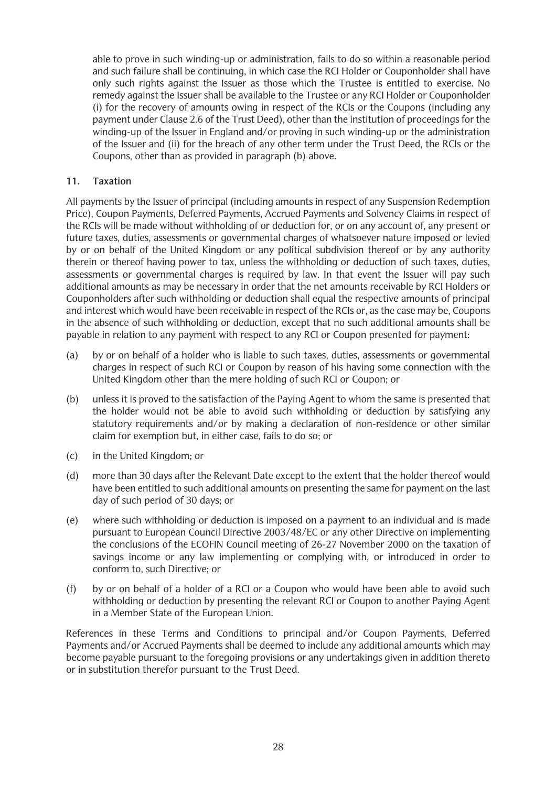able to prove in such winding-up or administration, fails to do so within a reasonable period and such failure shall be continuing, in which case the RCI Holder or Couponholder shall have only such rights against the Issuer as those which the Trustee is entitled to exercise. No remedy against the Issuer shall be available to the Trustee or any RCI Holder or Couponholder (i) for the recovery of amounts owing in respect of the RCIs or the Coupons (including any payment under Clause 2.6 of the Trust Deed), other than the institution of proceedings for the winding-up of the Issuer in England and/or proving in such winding-up or the administration of the Issuer and (ii) for the breach of any other term under the Trust Deed, the RCIs or the Coupons, other than as provided in paragraph (b) above.

## **11. Taxation**

All payments by the Issuer of principal (including amounts in respect of any Suspension Redemption Price), Coupon Payments, Deferred Payments, Accrued Payments and Solvency Claims in respect of the RCIs will be made without withholding of or deduction for, or on any account of, any present or future taxes, duties, assessments or governmental charges of whatsoever nature imposed or levied by or on behalf of the United Kingdom or any political subdivision thereof or by any authority therein or thereof having power to tax, unless the withholding or deduction of such taxes, duties, assessments or governmental charges is required by law. In that event the Issuer will pay such additional amounts as may be necessary in order that the net amounts receivable by RCI Holders or Couponholders after such withholding or deduction shall equal the respective amounts of principal and interest which would have been receivable in respect of the RCIs or, as the case may be, Coupons in the absence of such withholding or deduction, except that no such additional amounts shall be payable in relation to any payment with respect to any RCI or Coupon presented for payment:

- (a) by or on behalf of a holder who is liable to such taxes, duties, assessments or governmental charges in respect of such RCI or Coupon by reason of his having some connection with the United Kingdom other than the mere holding of such RCI or Coupon; or
- (b) unless it is proved to the satisfaction of the Paying Agent to whom the same is presented that the holder would not be able to avoid such withholding or deduction by satisfying any statutory requirements and/or by making a declaration of non-residence or other similar claim for exemption but, in either case, fails to do so; or
- (c) in the United Kingdom; or
- (d) more than 30 days after the Relevant Date except to the extent that the holder thereof would have been entitled to such additional amounts on presenting the same for payment on the last day of such period of 30 days; or
- (e) where such withholding or deduction is imposed on a payment to an individual and is made pursuant to European Council Directive 2003/48/EC or any other Directive on implementing the conclusions of the ECOFIN Council meeting of 26-27 November 2000 on the taxation of savings income or any law implementing or complying with, or introduced in order to conform to, such Directive; or
- (f) by or on behalf of a holder of a RCI or a Coupon who would have been able to avoid such withholding or deduction by presenting the relevant RCI or Coupon to another Paying Agent in a Member State of the European Union.

References in these Terms and Conditions to principal and/or Coupon Payments, Deferred Payments and/or Accrued Payments shall be deemed to include any additional amounts which may become payable pursuant to the foregoing provisions or any undertakings given in addition thereto or in substitution therefor pursuant to the Trust Deed.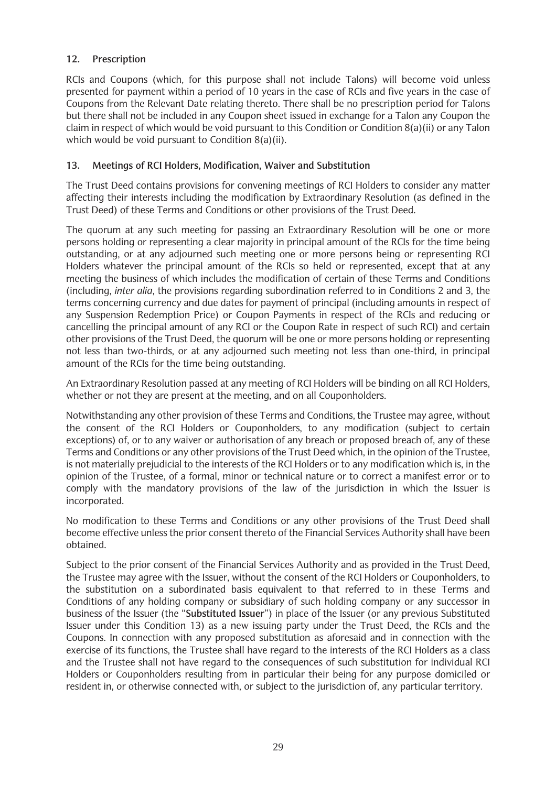## **12. Prescription**

RCIs and Coupons (which, for this purpose shall not include Talons) will become void unless presented for payment within a period of 10 years in the case of RCIs and five years in the case of Coupons from the Relevant Date relating thereto. There shall be no prescription period for Talons but there shall not be included in any Coupon sheet issued in exchange for a Talon any Coupon the claim in respect of which would be void pursuant to this Condition or Condition 8(a)(ii) or any Talon which would be void pursuant to Condition 8(a)(ii).

## **13. Meetings of RCI Holders, Modification, Waiver and Substitution**

The Trust Deed contains provisions for convening meetings of RCI Holders to consider any matter affecting their interests including the modification by Extraordinary Resolution (as defined in the Trust Deed) of these Terms and Conditions or other provisions of the Trust Deed.

The quorum at any such meeting for passing an Extraordinary Resolution will be one or more persons holding or representing a clear majority in principal amount of the RCIs for the time being outstanding, or at any adjourned such meeting one or more persons being or representing RCI Holders whatever the principal amount of the RCIs so held or represented, except that at any meeting the business of which includes the modification of certain of these Terms and Conditions (including, *inter alia*, the provisions regarding subordination referred to in Conditions 2 and 3, the terms concerning currency and due dates for payment of principal (including amounts in respect of any Suspension Redemption Price) or Coupon Payments in respect of the RCIs and reducing or cancelling the principal amount of any RCI or the Coupon Rate in respect of such RCI) and certain other provisions of the Trust Deed, the quorum will be one or more persons holding or representing not less than two-thirds, or at any adjourned such meeting not less than one-third, in principal amount of the RCIs for the time being outstanding.

An Extraordinary Resolution passed at any meeting of RCI Holders will be binding on all RCI Holders, whether or not they are present at the meeting, and on all Couponholders.

Notwithstanding any other provision of these Terms and Conditions, the Trustee may agree, without the consent of the RCI Holders or Couponholders, to any modification (subject to certain exceptions) of, or to any waiver or authorisation of any breach or proposed breach of, any of these Terms and Conditions or any other provisions of the Trust Deed which, in the opinion of the Trustee, is not materially prejudicial to the interests of the RCI Holders or to any modification which is, in the opinion of the Trustee, of a formal, minor or technical nature or to correct a manifest error or to comply with the mandatory provisions of the law of the jurisdiction in which the Issuer is incorporated.

No modification to these Terms and Conditions or any other provisions of the Trust Deed shall become effective unless the prior consent thereto of the Financial Services Authority shall have been obtained.

Subject to the prior consent of the Financial Services Authority and as provided in the Trust Deed, the Trustee may agree with the Issuer, without the consent of the RCI Holders or Couponholders, to the substitution on a subordinated basis equivalent to that referred to in these Terms and Conditions of any holding company or subsidiary of such holding company or any successor in business of the Issuer (the "**Substituted Issuer**") in place of the Issuer (or any previous Substituted Issuer under this Condition 13) as a new issuing party under the Trust Deed, the RCIs and the Coupons. In connection with any proposed substitution as aforesaid and in connection with the exercise of its functions, the Trustee shall have regard to the interests of the RCI Holders as a class and the Trustee shall not have regard to the consequences of such substitution for individual RCI Holders or Couponholders resulting from in particular their being for any purpose domiciled or resident in, or otherwise connected with, or subject to the jurisdiction of, any particular territory.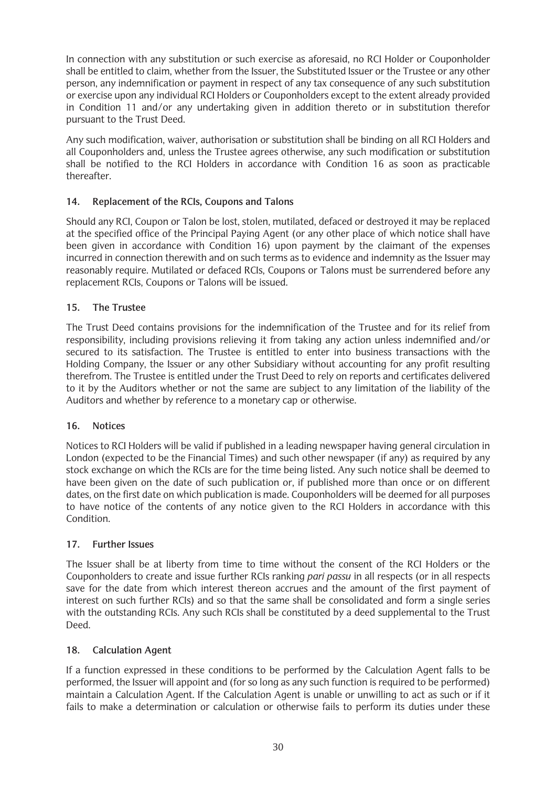In connection with any substitution or such exercise as aforesaid, no RCI Holder or Couponholder shall be entitled to claim, whether from the Issuer, the Substituted Issuer or the Trustee or any other person, any indemnification or payment in respect of any tax consequence of any such substitution or exercise upon any individual RCI Holders or Couponholders except to the extent already provided in Condition 11 and/or any undertaking given in addition thereto or in substitution therefor pursuant to the Trust Deed.

Any such modification, waiver, authorisation or substitution shall be binding on all RCI Holders and all Couponholders and, unless the Trustee agrees otherwise, any such modification or substitution shall be notified to the RCI Holders in accordance with Condition 16 as soon as practicable thereafter.

# **14. Replacement of the RCIs, Coupons and Talons**

Should any RCI, Coupon or Talon be lost, stolen, mutilated, defaced or destroyed it may be replaced at the specified office of the Principal Paying Agent (or any other place of which notice shall have been given in accordance with Condition 16) upon payment by the claimant of the expenses incurred in connection therewith and on such terms as to evidence and indemnity as the Issuer may reasonably require. Mutilated or defaced RCIs, Coupons or Talons must be surrendered before any replacement RCIs, Coupons or Talons will be issued.

## **15. The Trustee**

The Trust Deed contains provisions for the indemnification of the Trustee and for its relief from responsibility, including provisions relieving it from taking any action unless indemnified and/or secured to its satisfaction. The Trustee is entitled to enter into business transactions with the Holding Company, the Issuer or any other Subsidiary without accounting for any profit resulting therefrom. The Trustee is entitled under the Trust Deed to rely on reports and certificates delivered to it by the Auditors whether or not the same are subject to any limitation of the liability of the Auditors and whether by reference to a monetary cap or otherwise.

## **16. Notices**

Notices to RCI Holders will be valid if published in a leading newspaper having general circulation in London (expected to be the Financial Times) and such other newspaper (if any) as required by any stock exchange on which the RCIs are for the time being listed. Any such notice shall be deemed to have been given on the date of such publication or, if published more than once or on different dates, on the first date on which publication is made. Couponholders will be deemed for all purposes to have notice of the contents of any notice given to the RCI Holders in accordance with this Condition.

## **17. Further Issues**

The Issuer shall be at liberty from time to time without the consent of the RCI Holders or the Couponholders to create and issue further RCIs ranking *pari passu* in all respects (or in all respects save for the date from which interest thereon accrues and the amount of the first payment of interest on such further RCIs) and so that the same shall be consolidated and form a single series with the outstanding RCIs. Any such RCIs shall be constituted by a deed supplemental to the Trust Deed.

## **18. Calculation Agent**

If a function expressed in these conditions to be performed by the Calculation Agent falls to be performed, the Issuer will appoint and (for so long as any such function is required to be performed) maintain a Calculation Agent. If the Calculation Agent is unable or unwilling to act as such or if it fails to make a determination or calculation or otherwise fails to perform its duties under these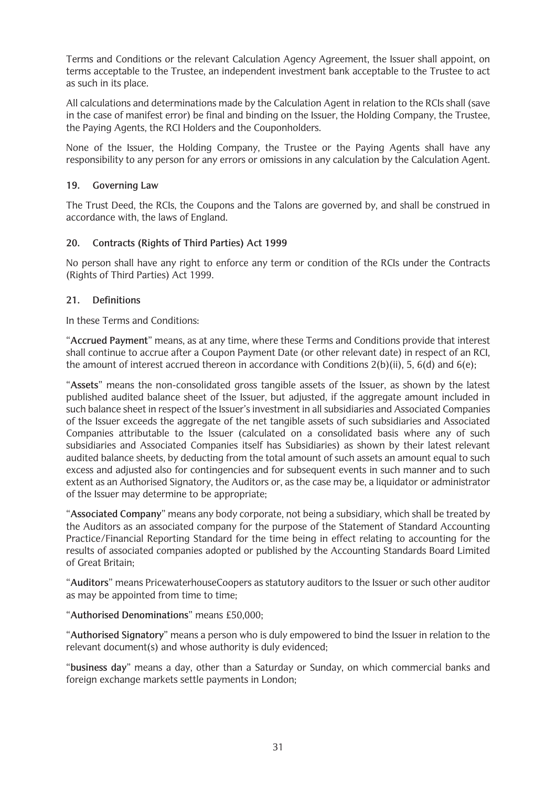Terms and Conditions or the relevant Calculation Agency Agreement, the Issuer shall appoint, on terms acceptable to the Trustee, an independent investment bank acceptable to the Trustee to act as such in its place.

All calculations and determinations made by the Calculation Agent in relation to the RCIs shall (save in the case of manifest error) be final and binding on the Issuer, the Holding Company, the Trustee, the Paying Agents, the RCI Holders and the Couponholders.

None of the Issuer, the Holding Company, the Trustee or the Paying Agents shall have any responsibility to any person for any errors or omissions in any calculation by the Calculation Agent.

## **19. Governing Law**

The Trust Deed, the RCIs, the Coupons and the Talons are governed by, and shall be construed in accordance with, the laws of England.

## **20. Contracts (Rights of Third Parties) Act 1999**

No person shall have any right to enforce any term or condition of the RCIs under the Contracts (Rights of Third Parties) Act 1999.

## **21. Definitions**

In these Terms and Conditions:

"**Accrued Payment**" means, as at any time, where these Terms and Conditions provide that interest shall continue to accrue after a Coupon Payment Date (or other relevant date) in respect of an RCI, the amount of interest accrued thereon in accordance with Conditions 2(b)(ii), 5, 6(d) and 6(e);

"**Assets**" means the non-consolidated gross tangible assets of the Issuer, as shown by the latest published audited balance sheet of the Issuer, but adjusted, if the aggregate amount included in such balance sheet in respect of the Issuer's investment in all subsidiaries and Associated Companies of the Issuer exceeds the aggregate of the net tangible assets of such subsidiaries and Associated Companies attributable to the Issuer (calculated on a consolidated basis where any of such subsidiaries and Associated Companies itself has Subsidiaries) as shown by their latest relevant audited balance sheets, by deducting from the total amount of such assets an amount equal to such excess and adjusted also for contingencies and for subsequent events in such manner and to such extent as an Authorised Signatory, the Auditors or, as the case may be, a liquidator or administrator of the Issuer may determine to be appropriate;

"**Associated Company**" means any body corporate, not being a subsidiary, which shall be treated by the Auditors as an associated company for the purpose of the Statement of Standard Accounting Practice/Financial Reporting Standard for the time being in effect relating to accounting for the results of associated companies adopted or published by the Accounting Standards Board Limited of Great Britain;

"**Auditors**" means PricewaterhouseCoopers as statutory auditors to the Issuer or such other auditor as may be appointed from time to time;

## "**Authorised Denominations**" means £50,000;

"**Authorised Signatory**" means a person who is duly empowered to bind the Issuer in relation to the relevant document(s) and whose authority is duly evidenced;

"**business day**" means a day, other than a Saturday or Sunday, on which commercial banks and foreign exchange markets settle payments in London;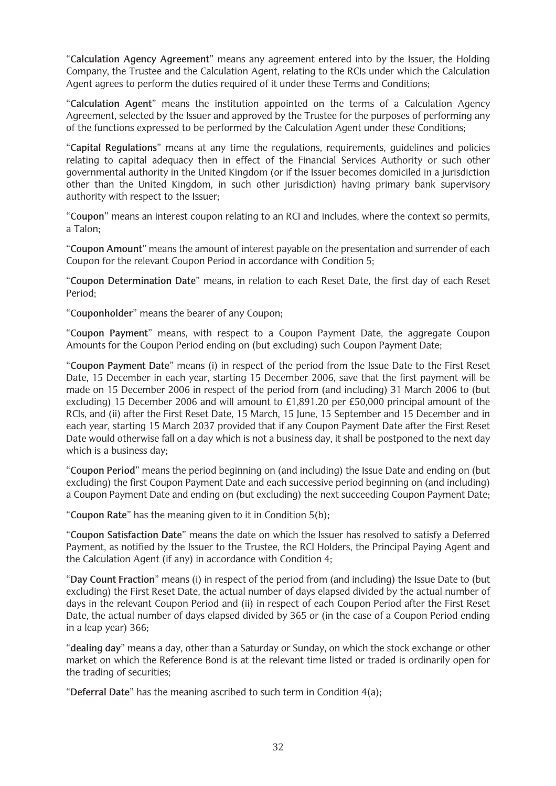"**Calculation Agency Agreement**" means any agreement entered into by the Issuer, the Holding Company, the Trustee and the Calculation Agent, relating to the RCIs under which the Calculation Agent agrees to perform the duties required of it under these Terms and Conditions;

"**Calculation Agent**" means the institution appointed on the terms of a Calculation Agency Agreement, selected by the Issuer and approved by the Trustee for the purposes of performing any of the functions expressed to be performed by the Calculation Agent under these Conditions;

"**Capital Regulations**" means at any time the regulations, requirements, guidelines and policies relating to capital adequacy then in effect of the Financial Services Authority or such other governmental authority in the United Kingdom (or if the Issuer becomes domiciled in a jurisdiction other than the United Kingdom, in such other jurisdiction) having primary bank supervisory authority with respect to the Issuer;

"**Coupon**" means an interest coupon relating to an RCI and includes, where the context so permits, a Talon;

"**Coupon Amount**" means the amount of interest payable on the presentation and surrender of each Coupon for the relevant Coupon Period in accordance with Condition 5;

"**Coupon Determination Date**" means, in relation to each Reset Date, the first day of each Reset Period;

"**Couponholder**" means the bearer of any Coupon;

"**Coupon Payment**" means, with respect to a Coupon Payment Date, the aggregate Coupon Amounts for the Coupon Period ending on (but excluding) such Coupon Payment Date;

"**Coupon Payment Date**" means (i) in respect of the period from the Issue Date to the First Reset Date, 15 December in each year, starting 15 December 2006, save that the first payment will be made on 15 December 2006 in respect of the period from (and including) 31 March 2006 to (but excluding) 15 December 2006 and will amount to £1,891.20 per £50,000 principal amount of the RCIs, and (ii) after the First Reset Date, 15 March, 15 June, 15 September and 15 December and in each year, starting 15 March 2037 provided that if any Coupon Payment Date after the First Reset Date would otherwise fall on a day which is not a business day, it shall be postponed to the next day which is a business day;

"**Coupon Period**" means the period beginning on (and including) the Issue Date and ending on (but excluding) the first Coupon Payment Date and each successive period beginning on (and including) a Coupon Payment Date and ending on (but excluding) the next succeeding Coupon Payment Date;

"**Coupon Rate**" has the meaning given to it in Condition 5(b);

"**Coupon Satisfaction Date**" means the date on which the Issuer has resolved to satisfy a Deferred Payment, as notified by the Issuer to the Trustee, the RCI Holders, the Principal Paying Agent and the Calculation Agent (if any) in accordance with Condition 4;

"**Day Count Fraction**" means (i) in respect of the period from (and including) the Issue Date to (but excluding) the First Reset Date, the actual number of days elapsed divided by the actual number of days in the relevant Coupon Period and (ii) in respect of each Coupon Period after the First Reset Date, the actual number of days elapsed divided by 365 or (in the case of a Coupon Period ending in a leap year) 366;

"**dealing day**" means a day, other than a Saturday or Sunday, on which the stock exchange or other market on which the Reference Bond is at the relevant time listed or traded is ordinarily open for the trading of securities;

"**Deferral Date**" has the meaning ascribed to such term in Condition 4(a);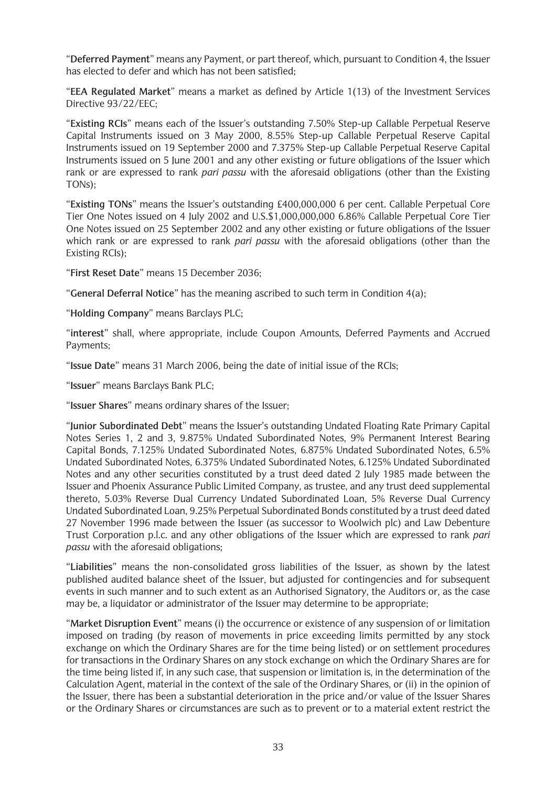"**Deferred Payment**" means any Payment, or part thereof, which, pursuant to Condition 4, the Issuer has elected to defer and which has not been satisfied;

"**EEA Regulated Market**" means a market as defined by Article 1(13) of the Investment Services Directive 93/22/EEC;

"**Existing RCIs**" means each of the Issuer's outstanding 7.50% Step-up Callable Perpetual Reserve Capital Instruments issued on 3 May 2000, 8.55% Step-up Callable Perpetual Reserve Capital Instruments issued on 19 September 2000 and 7.375% Step-up Callable Perpetual Reserve Capital Instruments issued on 5 June 2001 and any other existing or future obligations of the Issuer which rank or are expressed to rank *pari passu* with the aforesaid obligations (other than the Existing TONs);

"**Existing TONs**" means the Issuer's outstanding £400,000,000 6 per cent. Callable Perpetual Core Tier One Notes issued on 4 July 2002 and U.S.\$1,000,000,000 6.86% Callable Perpetual Core Tier One Notes issued on 25 September 2002 and any other existing or future obligations of the Issuer which rank or are expressed to rank *pari passu* with the aforesaid obligations (other than the Existing RCIs);

"**First Reset Date**" means 15 December 2036;

"**General Deferral Notice**" has the meaning ascribed to such term in Condition 4(a);

"**Holding Company**" means Barclays PLC;

"**interest**" shall, where appropriate, include Coupon Amounts, Deferred Payments and Accrued Payments;

"**Issue Date**" means 31 March 2006, being the date of initial issue of the RCIs;

"**Issuer**" means Barclays Bank PLC;

"**Issuer Shares**" means ordinary shares of the Issuer;

"**Junior Subordinated Debt**" means the Issuer's outstanding Undated Floating Rate Primary Capital Notes Series 1, 2 and 3, 9.875% Undated Subordinated Notes, 9% Permanent Interest Bearing Capital Bonds, 7.125% Undated Subordinated Notes, 6.875% Undated Subordinated Notes, 6.5% Undated Subordinated Notes, 6.375% Undated Subordinated Notes, 6.125% Undated Subordinated Notes and any other securities constituted by a trust deed dated 2 July 1985 made between the Issuer and Phoenix Assurance Public Limited Company, as trustee, and any trust deed supplemental thereto, 5.03% Reverse Dual Currency Undated Subordinated Loan, 5% Reverse Dual Currency Undated Subordinated Loan, 9.25% Perpetual Subordinated Bonds constituted by a trust deed dated 27 November 1996 made between the Issuer (as successor to Woolwich plc) and Law Debenture Trust Corporation p.l.c. and any other obligations of the Issuer which are expressed to rank *pari passu* with the aforesaid obligations;

"**Liabilities**" means the non-consolidated gross liabilities of the Issuer, as shown by the latest published audited balance sheet of the Issuer, but adjusted for contingencies and for subsequent events in such manner and to such extent as an Authorised Signatory, the Auditors or, as the case may be, a liquidator or administrator of the Issuer may determine to be appropriate;

"**Market Disruption Event**" means (i) the occurrence or existence of any suspension of or limitation imposed on trading (by reason of movements in price exceeding limits permitted by any stock exchange on which the Ordinary Shares are for the time being listed) or on settlement procedures for transactions in the Ordinary Shares on any stock exchange on which the Ordinary Shares are for the time being listed if, in any such case, that suspension or limitation is, in the determination of the Calculation Agent, material in the context of the sale of the Ordinary Shares, or (ii) in the opinion of the Issuer, there has been a substantial deterioration in the price and/or value of the Issuer Shares or the Ordinary Shares or circumstances are such as to prevent or to a material extent restrict the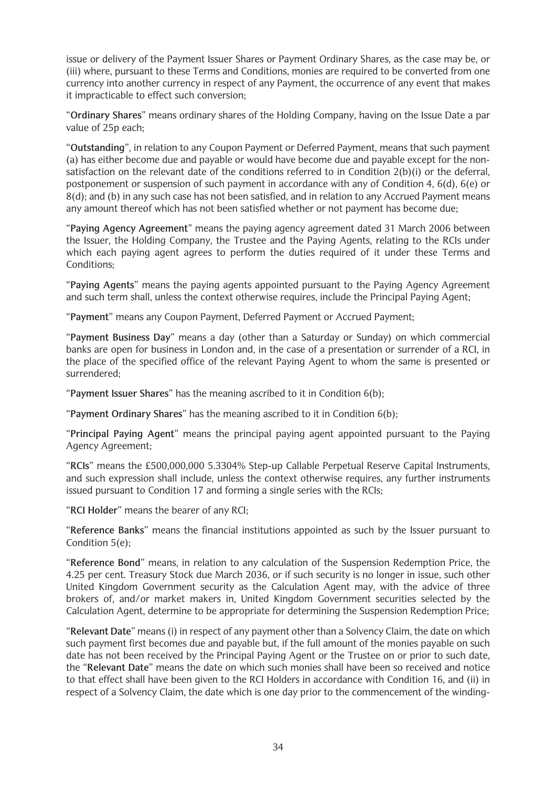issue or delivery of the Payment Issuer Shares or Payment Ordinary Shares, as the case may be, or (iii) where, pursuant to these Terms and Conditions, monies are required to be converted from one currency into another currency in respect of any Payment, the occurrence of any event that makes it impracticable to effect such conversion;

"**Ordinary Shares**" means ordinary shares of the Holding Company, having on the Issue Date a par value of 25p each;

"**Outstanding**", in relation to any Coupon Payment or Deferred Payment, means that such payment (a) has either become due and payable or would have become due and payable except for the nonsatisfaction on the relevant date of the conditions referred to in Condition 2(b)(i) or the deferral, postponement or suspension of such payment in accordance with any of Condition 4, 6(d), 6(e) or 8(d); and (b) in any such case has not been satisfied, and in relation to any Accrued Payment means any amount thereof which has not been satisfied whether or not payment has become due;

"**Paying Agency Agreement**" means the paying agency agreement dated 31 March 2006 between the Issuer, the Holding Company, the Trustee and the Paying Agents, relating to the RCIs under which each paying agent agrees to perform the duties required of it under these Terms and Conditions;

"**Paying Agents**" means the paying agents appointed pursuant to the Paying Agency Agreement and such term shall, unless the context otherwise requires, include the Principal Paying Agent;

"**Payment**" means any Coupon Payment, Deferred Payment or Accrued Payment;

"**Payment Business Day**" means a day (other than a Saturday or Sunday) on which commercial banks are open for business in London and, in the case of a presentation or surrender of a RCI, in the place of the specified office of the relevant Paying Agent to whom the same is presented or surrendered;

"**Payment Issuer Shares**" has the meaning ascribed to it in Condition 6(b);

"**Payment Ordinary Shares**" has the meaning ascribed to it in Condition 6(b);

"**Principal Paying Agent**" means the principal paying agent appointed pursuant to the Paying Agency Agreement;

"**RCIs**" means the £500,000,000 5.3304% Step-up Callable Perpetual Reserve Capital Instruments, and such expression shall include, unless the context otherwise requires, any further instruments issued pursuant to Condition 17 and forming a single series with the RCIs;

"**RCI Holder**" means the bearer of any RCI;

"**Reference Banks**" means the financial institutions appointed as such by the Issuer pursuant to Condition 5(e);

"**Reference Bond**" means, in relation to any calculation of the Suspension Redemption Price, the 4.25 per cent. Treasury Stock due March 2036, or if such security is no longer in issue, such other United Kingdom Government security as the Calculation Agent may, with the advice of three brokers of, and/or market makers in, United Kingdom Government securities selected by the Calculation Agent, determine to be appropriate for determining the Suspension Redemption Price;

"**Relevant Date**" means (i) in respect of any payment other than a Solvency Claim, the date on which such payment first becomes due and payable but, if the full amount of the monies payable on such date has not been received by the Principal Paying Agent or the Trustee on or prior to such date, the "**Relevant Date**" means the date on which such monies shall have been so received and notice to that effect shall have been given to the RCI Holders in accordance with Condition 16, and (ii) in respect of a Solvency Claim, the date which is one day prior to the commencement of the winding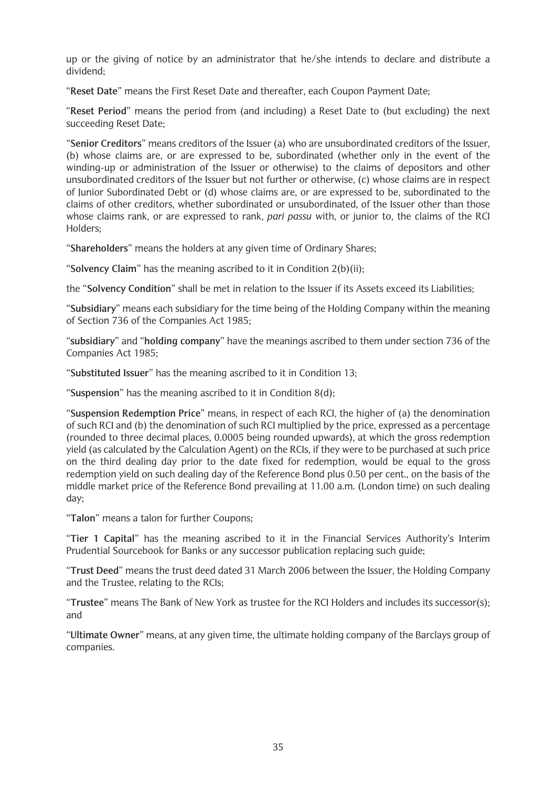up or the giving of notice by an administrator that he/she intends to declare and distribute a dividend;

"**Reset Date**" means the First Reset Date and thereafter, each Coupon Payment Date;

"**Reset Period**" means the period from (and including) a Reset Date to (but excluding) the next succeeding Reset Date;

"**Senior Creditors**" means creditors of the Issuer (a) who are unsubordinated creditors of the Issuer, (b) whose claims are, or are expressed to be, subordinated (whether only in the event of the winding-up or administration of the Issuer or otherwise) to the claims of depositors and other unsubordinated creditors of the Issuer but not further or otherwise, (c) whose claims are in respect of Junior Subordinated Debt or (d) whose claims are, or are expressed to be, subordinated to the claims of other creditors, whether subordinated or unsubordinated, of the Issuer other than those whose claims rank, or are expressed to rank, *pari passu* with, or junior to, the claims of the RCI Holders;

"**Shareholders**" means the holders at any given time of Ordinary Shares;

"**Solvency Claim**" has the meaning ascribed to it in Condition 2(b)(ii);

the "**Solvency Condition**" shall be met in relation to the Issuer if its Assets exceed its Liabilities;

"**Subsidiary**" means each subsidiary for the time being of the Holding Company within the meaning of Section 736 of the Companies Act 1985;

"**subsidiary**" and "**holding company**" have the meanings ascribed to them under section 736 of the Companies Act 1985;

"**Substituted Issuer**" has the meaning ascribed to it in Condition 13;

"**Suspension**" has the meaning ascribed to it in Condition 8(d);

"**Suspension Redemption Price**" means, in respect of each RCI, the higher of (a) the denomination of such RCI and (b) the denomination of such RCI multiplied by the price, expressed as a percentage (rounded to three decimal places, 0.0005 being rounded upwards), at which the gross redemption yield (as calculated by the Calculation Agent) on the RCIs, if they were to be purchased at such price on the third dealing day prior to the date fixed for redemption, would be equal to the gross redemption yield on such dealing day of the Reference Bond plus 0.50 per cent., on the basis of the middle market price of the Reference Bond prevailing at 11.00 a.m. (London time) on such dealing day;

"**Talon**" means a talon for further Coupons;

"**Tier 1 Capital**" has the meaning ascribed to it in the Financial Services Authority's Interim Prudential Sourcebook for Banks or any successor publication replacing such guide;

"**Trust Deed**" means the trust deed dated 31 March 2006 between the Issuer, the Holding Company and the Trustee, relating to the RCIs;

"**Trustee**" means The Bank of New York as trustee for the RCI Holders and includes its successor(s); and

"**Ultimate Owner**" means, at any given time, the ultimate holding company of the Barclays group of companies.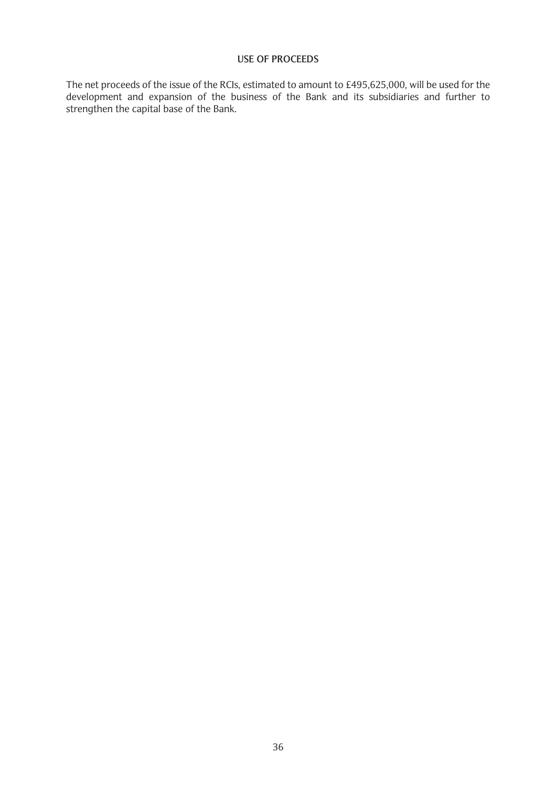## **USE OF PROCEEDS**

The net proceeds of the issue of the RCIs, estimated to amount to £495,625,000, will be used for the development and expansion of the business of the Bank and its subsidiaries and further to strengthen the capital base of the Bank.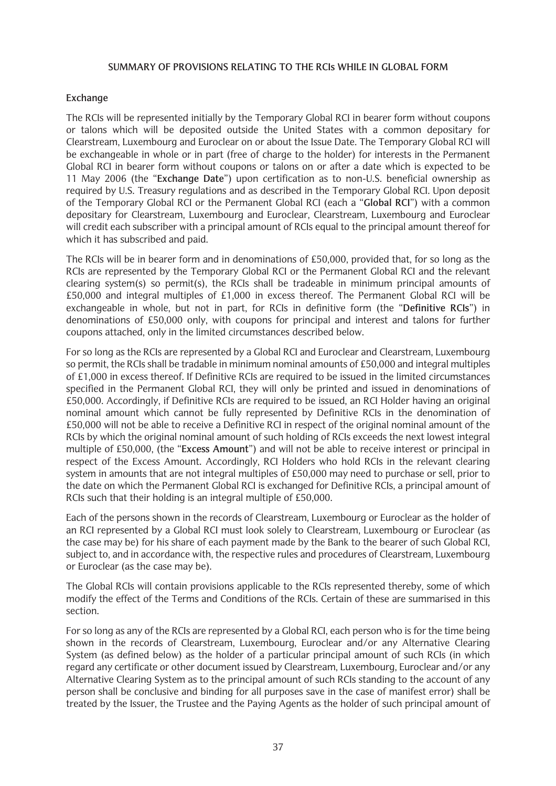#### **SUMMARY OF PROVISIONS RELATING TO THE RCIs WHILE IN GLOBAL FORM**

### **Exchange**

The RCIs will be represented initially by the Temporary Global RCI in bearer form without coupons or talons which will be deposited outside the United States with a common depositary for Clearstream, Luxembourg and Euroclear on or about the Issue Date. The Temporary Global RCI will be exchangeable in whole or in part (free of charge to the holder) for interests in the Permanent Global RCI in bearer form without coupons or talons on or after a date which is expected to be 11 May 2006 (the "**Exchange Date**") upon certification as to non-U.S. beneficial ownership as required by U.S. Treasury regulations and as described in the Temporary Global RCI. Upon deposit of the Temporary Global RCI or the Permanent Global RCI (each a "**Global RCI**") with a common depositary for Clearstream, Luxembourg and Euroclear, Clearstream, Luxembourg and Euroclear will credit each subscriber with a principal amount of RCIs equal to the principal amount thereof for which it has subscribed and paid.

The RCIs will be in bearer form and in denominations of £50,000, provided that, for so long as the RCIs are represented by the Temporary Global RCI or the Permanent Global RCI and the relevant clearing system(s) so permit(s), the RCIs shall be tradeable in minimum principal amounts of £50,000 and integral multiples of £1,000 in excess thereof. The Permanent Global RCI will be exchangeable in whole, but not in part, for RCIs in definitive form (the "**Definitive RCIs**") in denominations of £50,000 only, with coupons for principal and interest and talons for further coupons attached, only in the limited circumstances described below.

For so long as the RCIs are represented by a Global RCI and Euroclear and Clearstream, Luxembourg so permit, the RCIs shall be tradable in minimum nominal amounts of £50,000 and integral multiples of £1,000 in excess thereof. If Definitive RCIs are required to be issued in the limited circumstances specified in the Permanent Global RCI, they will only be printed and issued in denominations of £50,000. Accordingly, if Definitive RCIs are required to be issued, an RCI Holder having an original nominal amount which cannot be fully represented by Definitive RCIs in the denomination of £50,000 will not be able to receive a Definitive RCI in respect of the original nominal amount of the RCIs by which the original nominal amount of such holding of RCIs exceeds the next lowest integral multiple of £50,000, (the "**Excess Amount**") and will not be able to receive interest or principal in respect of the Excess Amount. Accordingly, RCI Holders who hold RCIs in the relevant clearing system in amounts that are not integral multiples of £50,000 may need to purchase or sell, prior to the date on which the Permanent Global RCI is exchanged for Definitive RCIs, a principal amount of RCIs such that their holding is an integral multiple of £50,000.

Each of the persons shown in the records of Clearstream, Luxembourg or Euroclear as the holder of an RCI represented by a Global RCI must look solely to Clearstream, Luxembourg or Euroclear (as the case may be) for his share of each payment made by the Bank to the bearer of such Global RCI, subject to, and in accordance with, the respective rules and procedures of Clearstream, Luxembourg or Euroclear (as the case may be).

The Global RCIs will contain provisions applicable to the RCIs represented thereby, some of which modify the effect of the Terms and Conditions of the RCIs. Certain of these are summarised in this section.

For so long as any of the RCIs are represented by a Global RCI, each person who is for the time being shown in the records of Clearstream, Luxembourg, Euroclear and/or any Alternative Clearing System (as defined below) as the holder of a particular principal amount of such RCIs (in which regard any certificate or other document issued by Clearstream, Luxembourg, Euroclear and/or any Alternative Clearing System as to the principal amount of such RCIs standing to the account of any person shall be conclusive and binding for all purposes save in the case of manifest error) shall be treated by the Issuer, the Trustee and the Paying Agents as the holder of such principal amount of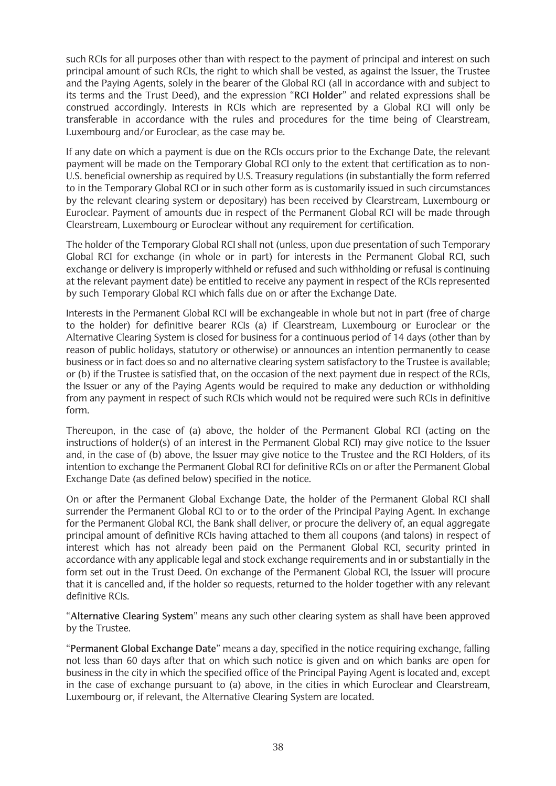such RCIs for all purposes other than with respect to the payment of principal and interest on such principal amount of such RCIs, the right to which shall be vested, as against the Issuer, the Trustee and the Paying Agents, solely in the bearer of the Global RCI (all in accordance with and subject to its terms and the Trust Deed), and the expression "**RCI Holder**" and related expressions shall be construed accordingly. Interests in RCIs which are represented by a Global RCI will only be transferable in accordance with the rules and procedures for the time being of Clearstream, Luxembourg and/or Euroclear, as the case may be.

If any date on which a payment is due on the RCIs occurs prior to the Exchange Date, the relevant payment will be made on the Temporary Global RCI only to the extent that certification as to non-U.S. beneficial ownership as required by U.S. Treasury regulations (in substantially the form referred to in the Temporary Global RCI or in such other form as is customarily issued in such circumstances by the relevant clearing system or depositary) has been received by Clearstream, Luxembourg or Euroclear. Payment of amounts due in respect of the Permanent Global RCI will be made through Clearstream, Luxembourg or Euroclear without any requirement for certification.

The holder of the Temporary Global RCI shall not (unless, upon due presentation of such Temporary Global RCI for exchange (in whole or in part) for interests in the Permanent Global RCI, such exchange or delivery is improperly withheld or refused and such withholding or refusal is continuing at the relevant payment date) be entitled to receive any payment in respect of the RCIs represented by such Temporary Global RCI which falls due on or after the Exchange Date.

Interests in the Permanent Global RCI will be exchangeable in whole but not in part (free of charge to the holder) for definitive bearer RCIs (a) if Clearstream, Luxembourg or Euroclear or the Alternative Clearing System is closed for business for a continuous period of 14 days (other than by reason of public holidays, statutory or otherwise) or announces an intention permanently to cease business or in fact does so and no alternative clearing system satisfactory to the Trustee is available; or (b) if the Trustee is satisfied that, on the occasion of the next payment due in respect of the RCIs, the Issuer or any of the Paying Agents would be required to make any deduction or withholding from any payment in respect of such RCIs which would not be required were such RCIs in definitive form.

Thereupon, in the case of (a) above, the holder of the Permanent Global RCI (acting on the instructions of holder(s) of an interest in the Permanent Global RCI) may give notice to the Issuer and, in the case of (b) above, the Issuer may give notice to the Trustee and the RCI Holders, of its intention to exchange the Permanent Global RCI for definitive RCIs on or after the Permanent Global Exchange Date (as defined below) specified in the notice.

On or after the Permanent Global Exchange Date, the holder of the Permanent Global RCI shall surrender the Permanent Global RCI to or to the order of the Principal Paying Agent. In exchange for the Permanent Global RCI, the Bank shall deliver, or procure the delivery of, an equal aggregate principal amount of definitive RCIs having attached to them all coupons (and talons) in respect of interest which has not already been paid on the Permanent Global RCI, security printed in accordance with any applicable legal and stock exchange requirements and in or substantially in the form set out in the Trust Deed. On exchange of the Permanent Global RCI, the Issuer will procure that it is cancelled and, if the holder so requests, returned to the holder together with any relevant definitive RCIs.

"**Alternative Clearing System**" means any such other clearing system as shall have been approved by the Trustee.

"**Permanent Global Exchange Date**" means a day, specified in the notice requiring exchange, falling not less than 60 days after that on which such notice is given and on which banks are open for business in the city in which the specified office of the Principal Paying Agent is located and, except in the case of exchange pursuant to (a) above, in the cities in which Euroclear and Clearstream, Luxembourg or, if relevant, the Alternative Clearing System are located.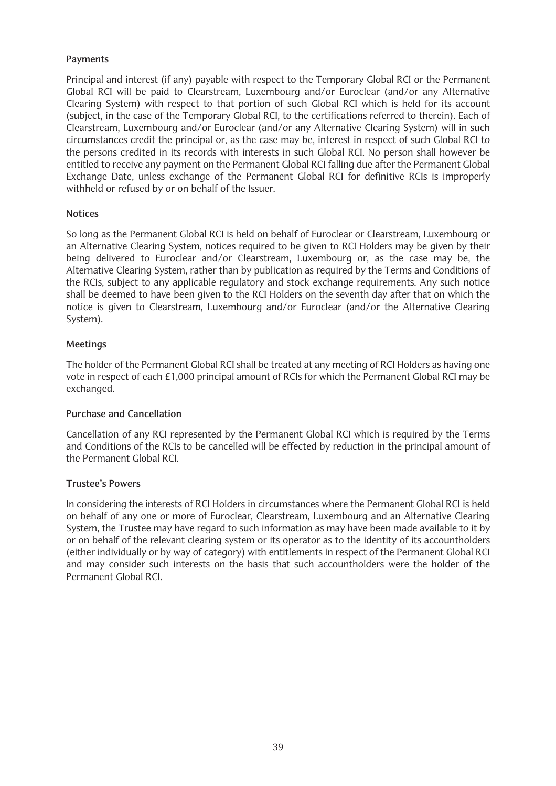## **Payments**

Principal and interest (if any) payable with respect to the Temporary Global RCI or the Permanent Global RCI will be paid to Clearstream, Luxembourg and/or Euroclear (and/or any Alternative Clearing System) with respect to that portion of such Global RCI which is held for its account (subject, in the case of the Temporary Global RCI, to the certifications referred to therein). Each of Clearstream, Luxembourg and/or Euroclear (and/or any Alternative Clearing System) will in such circumstances credit the principal or, as the case may be, interest in respect of such Global RCI to the persons credited in its records with interests in such Global RCI. No person shall however be entitled to receive any payment on the Permanent Global RCI falling due after the Permanent Global Exchange Date, unless exchange of the Permanent Global RCI for definitive RCIs is improperly withheld or refused by or on behalf of the Issuer.

## **Notices**

So long as the Permanent Global RCI is held on behalf of Euroclear or Clearstream, Luxembourg or an Alternative Clearing System, notices required to be given to RCI Holders may be given by their being delivered to Euroclear and/or Clearstream, Luxembourg or, as the case may be, the Alternative Clearing System, rather than by publication as required by the Terms and Conditions of the RCIs, subject to any applicable regulatory and stock exchange requirements. Any such notice shall be deemed to have been given to the RCI Holders on the seventh day after that on which the notice is given to Clearstream, Luxembourg and/or Euroclear (and/or the Alternative Clearing System).

## **Meetings**

The holder of the Permanent Global RCI shall be treated at any meeting of RCI Holders as having one vote in respect of each £1,000 principal amount of RCIs for which the Permanent Global RCI may be exchanged.

## **Purchase and Cancellation**

Cancellation of any RCI represented by the Permanent Global RCI which is required by the Terms and Conditions of the RCIs to be cancelled will be effected by reduction in the principal amount of the Permanent Global RCI.

## **Trustee's Powers**

In considering the interests of RCI Holders in circumstances where the Permanent Global RCI is held on behalf of any one or more of Euroclear, Clearstream, Luxembourg and an Alternative Clearing System, the Trustee may have regard to such information as may have been made available to it by or on behalf of the relevant clearing system or its operator as to the identity of its accountholders (either individually or by way of category) with entitlements in respect of the Permanent Global RCI and may consider such interests on the basis that such accountholders were the holder of the Permanent Global RCI.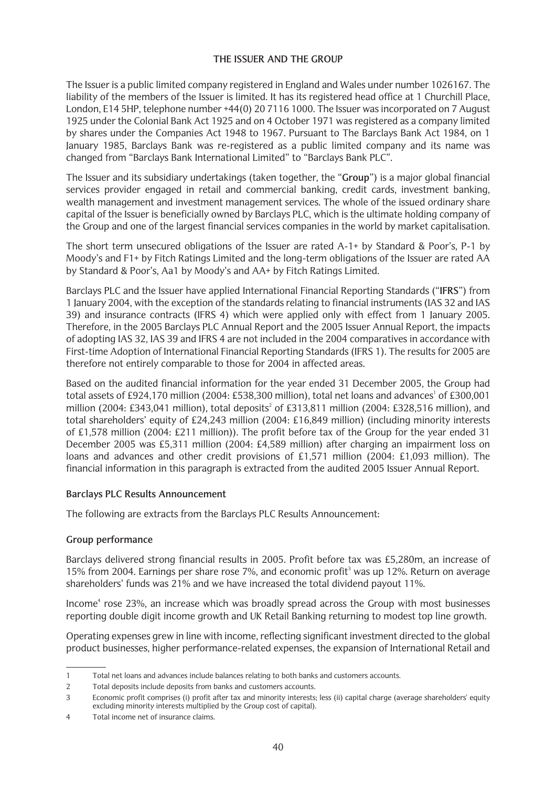## **THE ISSUER AND THE GROUP**

The Issuer is a public limited company registered in England and Wales under number 1026167. The liability of the members of the Issuer is limited. It has its registered head office at 1 Churchill Place, London, E14 5HP, telephone number +44(0) 20 7116 1000. The Issuer was incorporated on 7 August 1925 under the Colonial Bank Act 1925 and on 4 October 1971 was registered as a company limited by shares under the Companies Act 1948 to 1967. Pursuant to The Barclays Bank Act 1984, on 1 January 1985, Barclays Bank was re-registered as a public limited company and its name was changed from "Barclays Bank International Limited" to "Barclays Bank PLC".

The Issuer and its subsidiary undertakings (taken together, the "**Group**") is a major global financial services provider engaged in retail and commercial banking, credit cards, investment banking, wealth management and investment management services. The whole of the issued ordinary share capital of the Issuer is beneficially owned by Barclays PLC, which is the ultimate holding company of the Group and one of the largest financial services companies in the world by market capitalisation.

The short term unsecured obligations of the Issuer are rated A-1+ by Standard & Poor's, P-1 by Moody's and F1+ by Fitch Ratings Limited and the long-term obligations of the Issuer are rated AA by Standard & Poor's, Aa1 by Moody's and AA+ by Fitch Ratings Limited.

Barclays PLC and the Issuer have applied International Financial Reporting Standards ("**IFRS**") from 1 January 2004, with the exception of the standards relating to financial instruments (IAS 32 and IAS 39) and insurance contracts (IFRS 4) which were applied only with effect from 1 January 2005. Therefore, in the 2005 Barclays PLC Annual Report and the 2005 Issuer Annual Report, the impacts of adopting IAS 32, IAS 39 and IFRS 4 are not included in the 2004 comparatives in accordance with First-time Adoption of International Financial Reporting Standards (IFRS 1). The results for 2005 are therefore not entirely comparable to those for 2004 in affected areas.

Based on the audited financial information for the year ended 31 December 2005, the Group had total assets of £924,170 million (2004: £538,300 million), total net loans and advances<sup>1</sup> of £300,001 million (2004: £343,041 million), total deposits<sup>2</sup> of £313,811 million (2004: £328,516 million), and total shareholders' equity of £24,243 million (2004: £16,849 million) (including minority interests of £1,578 million (2004: £211 million)). The profit before tax of the Group for the year ended 31 December 2005 was £5,311 million (2004: £4,589 million) after charging an impairment loss on loans and advances and other credit provisions of £1,571 million (2004: £1,093 million). The financial information in this paragraph is extracted from the audited 2005 Issuer Annual Report.

## **Barclays PLC Results Announcement**

The following are extracts from the Barclays PLC Results Announcement:

### **Group performance**

Barclays delivered strong financial results in 2005. Profit before tax was £5,280m, an increase of 15% from 2004. Earnings per share rose 7%, and economic profit<sup>3</sup> was up 12%. Return on average shareholders' funds was 21% and we have increased the total dividend payout 11%.

Income<sup>4</sup> rose 23%, an increase which was broadly spread across the Group with most businesses reporting double digit income growth and UK Retail Banking returning to modest top line growth.

Operating expenses grew in line with income, reflecting significant investment directed to the global product businesses, higher performance-related expenses, the expansion of International Retail and

<sup>1</sup> Total net loans and advances include balances relating to both banks and customers accounts.

<sup>2</sup> Total deposits include deposits from banks and customers accounts.

<sup>3</sup> Economic profit comprises (i) profit after tax and minority interests; less (ii) capital charge (average shareholders' equity excluding minority interests multiplied by the Group cost of capital).

<sup>4</sup> Total income net of insurance claims.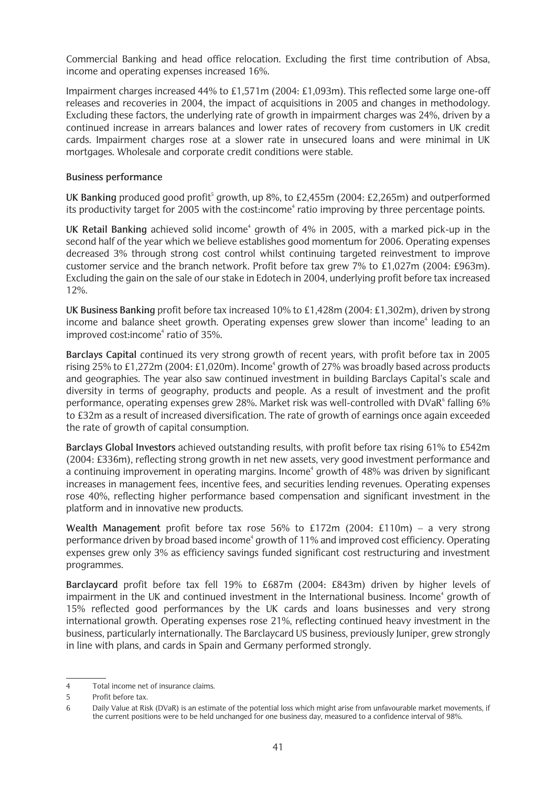Commercial Banking and head office relocation. Excluding the first time contribution of Absa, income and operating expenses increased 16%.

Impairment charges increased 44% to £1,571m (2004: £1,093m). This reflected some large one-off releases and recoveries in 2004, the impact of acquisitions in 2005 and changes in methodology. Excluding these factors, the underlying rate of growth in impairment charges was 24%, driven by a continued increase in arrears balances and lower rates of recovery from customers in UK credit cards. Impairment charges rose at a slower rate in unsecured loans and were minimal in UK mortgages. Wholesale and corporate credit conditions were stable.

### **Business performance**

UK Banking produced good profit<sup>5</sup> growth, up 8%, to £2,455m (2004: £2,265m) and outperformed its productivity target for 2005 with the cost: income<sup>4</sup> ratio improving by three percentage points.

UK Retail Banking achieved solid income<sup>4</sup> growth of 4% in 2005, with a marked pick-up in the second half of the year which we believe establishes good momentum for 2006. Operating expenses decreased 3% through strong cost control whilst continuing targeted reinvestment to improve customer service and the branch network. Profit before tax grew 7% to £1,027m (2004: £963m). Excluding the gain on the sale of our stake in Edotech in 2004, underlying profit before tax increased 12%.

**UK Business Banking** profit before tax increased 10% to £1,428m (2004: £1,302m), driven by strong income and balance sheet growth. Operating expenses grew slower than income<sup>4</sup> leading to an improved cost: income $4$  ratio of 35%.

**Barclays Capital** continued its very strong growth of recent years, with profit before tax in 2005 rising 25% to £1,272m (2004: £1,020m). Income<sup>4</sup> growth of 27% was broadly based across products and geographies. The year also saw continued investment in building Barclays Capital's scale and diversity in terms of geography, products and people. As a result of investment and the profit performance, operating expenses grew 28%. Market risk was well-controlled with DVaR<sup>6</sup> falling 6% to £32m as a result of increased diversification. The rate of growth of earnings once again exceeded the rate of growth of capital consumption.

**Barclays Global Investors** achieved outstanding results, with profit before tax rising 61% to £542m (2004: £336m), reflecting strong growth in net new assets, very good investment performance and a continuing improvement in operating margins. Income<sup>4</sup> growth of 48% was driven by significant increases in management fees, incentive fees, and securities lending revenues. Operating expenses rose 40%, reflecting higher performance based compensation and significant investment in the platform and in innovative new products.

**Wealth Management** profit before tax rose 56% to £172m (2004: £110m) – a very strong performance driven by broad based income<sup>4</sup> growth of 11% and improved cost efficiency. Operating expenses grew only 3% as efficiency savings funded significant cost restructuring and investment programmes.

**Barclaycard** profit before tax fell 19% to £687m (2004: £843m) driven by higher levels of impairment in the UK and continued investment in the International business. Income<sup>4</sup> growth of 15% reflected good performances by the UK cards and loans businesses and very strong international growth. Operating expenses rose 21%, reflecting continued heavy investment in the business, particularly internationally. The Barclaycard US business, previously Juniper, grew strongly in line with plans, and cards in Spain and Germany performed strongly.

<sup>4</sup> Total income net of insurance claims.

<sup>5</sup> Profit before tax.

<sup>6</sup> Daily Value at Risk (DVaR) is an estimate of the potential loss which might arise from unfavourable market movements, if the current positions were to be held unchanged for one business day, measured to a confidence interval of 98%.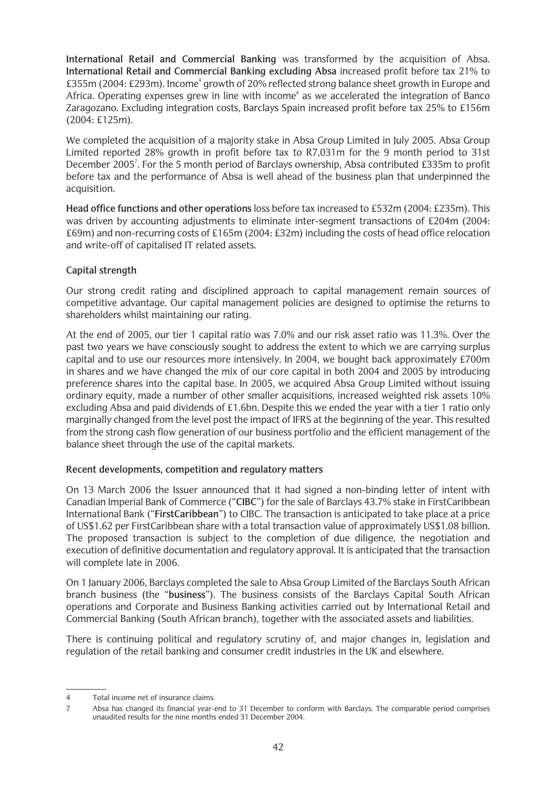**International Retail and Commercial Banking** was transformed by the acquisition of Absa. **International Retail and Commercial Banking excluding Absa** increased profit before tax 21% to £355m (2004: £293m). Income<sup>4</sup> growth of 20% reflected strong balance sheet growth in Europe and Africa. Operating expenses grew in line with income<sup>4</sup> as we accelerated the integration of Banco Zaragozano. Excluding integration costs, Barclays Spain increased profit before tax 25% to £156m (2004: £125m).

We completed the acquisition of a majority stake in Absa Group Limited in July 2005. Absa Group Limited reported 28% growth in profit before tax to R7,031m for the 9 month period to 31st December 2005<sup>7</sup>. For the 5 month period of Barclays ownership, Absa contributed £335m to profit before tax and the performance of Absa is well ahead of the business plan that underpinned the acquisition.

**Head office functions and other operations** loss before tax increased to £532m (2004: £235m). This was driven by accounting adjustments to eliminate inter-segment transactions of £204m (2004: £69m) and non-recurring costs of £165m (2004: £32m) including the costs of head office relocation and write-off of capitalised IT related assets.

## **Capital strength**

Our strong credit rating and disciplined approach to capital management remain sources of competitive advantage. Our capital management policies are designed to optimise the returns to shareholders whilst maintaining our rating.

At the end of 2005, our tier 1 capital ratio was 7.0% and our risk asset ratio was 11.3%. Over the past two years we have consciously sought to address the extent to which we are carrying surplus capital and to use our resources more intensively. In 2004, we bought back approximately £700m in shares and we have changed the mix of our core capital in both 2004 and 2005 by introducing preference shares into the capital base. In 2005, we acquired Absa Group Limited without issuing ordinary equity, made a number of other smaller acquisitions, increased weighted risk assets 10% excluding Absa and paid dividends of £1.6bn. Despite this we ended the year with a tier 1 ratio only marginally changed from the level post the impact of IFRS at the beginning of the year. This resulted from the strong cash flow generation of our business portfolio and the efficient management of the balance sheet through the use of the capital markets.

## **Recent developments, competition and regulatory matters**

On 13 March 2006 the Issuer announced that it had signed a non-binding letter of intent with Canadian Imperial Bank of Commerce ("**CIBC**") for the sale of Barclays 43.7% stake in FirstCaribbean International Bank ("**FirstCaribbean**") to CIBC. The transaction is anticipated to take place at a price of US\$1.62 per FirstCaribbean share with a total transaction value of approximately US\$1.08 billion. The proposed transaction is subject to the completion of due diligence, the negotiation and execution of definitive documentation and regulatory approval. It is anticipated that the transaction will complete late in 2006.

On 1 January 2006, Barclays completed the sale to Absa Group Limited of the Barclays South African branch business (the "**business**"). The business consists of the Barclays Capital South African operations and Corporate and Business Banking activities carried out by International Retail and Commercial Banking (South African branch), together with the associated assets and liabilities.

There is continuing political and regulatory scrutiny of, and major changes in, legislation and regulation of the retail banking and consumer credit industries in the UK and elsewhere.

<sup>4</sup> Total income net of insurance claims.

<sup>7</sup> Absa has changed its financial year-end to 31 December to conform with Barclays. The comparable period comprises unaudited results for the nine months ended 31 December 2004.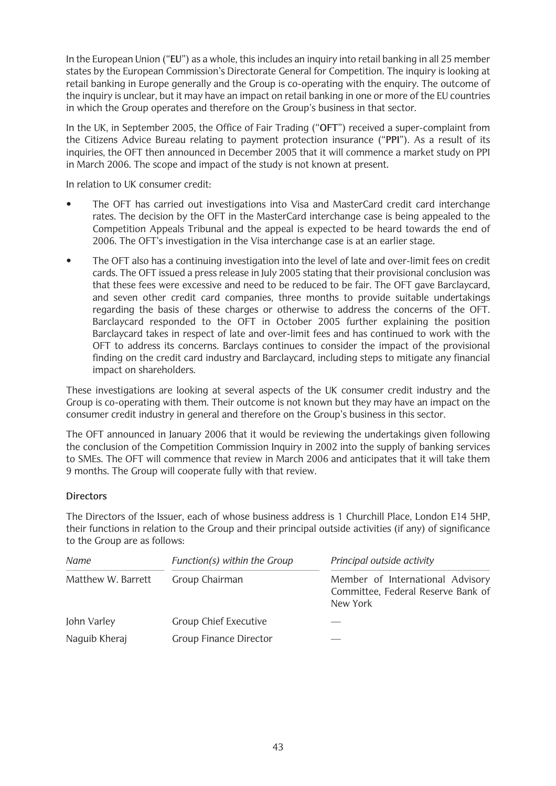In the European Union ("**EU**") as a whole, this includes an inquiry into retail banking in all 25 member states by the European Commission's Directorate General for Competition. The inquiry is looking at retail banking in Europe generally and the Group is co-operating with the enquiry. The outcome of the inquiry is unclear, but it may have an impact on retail banking in one or more of the EU countries in which the Group operates and therefore on the Group's business in that sector.

In the UK, in September 2005, the Office of Fair Trading ("**OFT**") received a super-complaint from the Citizens Advice Bureau relating to payment protection insurance ("**PPI**"). As a result of its inquiries, the OFT then announced in December 2005 that it will commence a market study on PPI in March 2006. The scope and impact of the study is not known at present.

In relation to UK consumer credit:

- The OFT has carried out investigations into Visa and MasterCard credit card interchange rates. The decision by the OFT in the MasterCard interchange case is being appealed to the Competition Appeals Tribunal and the appeal is expected to be heard towards the end of 2006. The OFT's investigation in the Visa interchange case is at an earlier stage.
- The OFT also has a continuing investigation into the level of late and over-limit fees on credit cards. The OFT issued a press release in July 2005 stating that their provisional conclusion was that these fees were excessive and need to be reduced to be fair. The OFT gave Barclaycard, and seven other credit card companies, three months to provide suitable undertakings regarding the basis of these charges or otherwise to address the concerns of the OFT. Barclaycard responded to the OFT in October 2005 further explaining the position Barclaycard takes in respect of late and over-limit fees and has continued to work with the OFT to address its concerns. Barclays continues to consider the impact of the provisional finding on the credit card industry and Barclaycard, including steps to mitigate any financial impact on shareholders.

These investigations are looking at several aspects of the UK consumer credit industry and the Group is co-operating with them. Their outcome is not known but they may have an impact on the consumer credit industry in general and therefore on the Group's business in this sector.

The OFT announced in January 2006 that it would be reviewing the undertakings given following the conclusion of the Competition Commission Inquiry in 2002 into the supply of banking services to SMEs. The OFT will commence that review in March 2006 and anticipates that it will take them 9 months. The Group will cooperate fully with that review.

# **Directors**

The Directors of the Issuer, each of whose business address is 1 Churchill Place, London E14 5HP, their functions in relation to the Group and their principal outside activities (if any) of significance to the Group are as follows:

| Name               | Function(s) within the Group  | Principal outside activity                                                         |  |
|--------------------|-------------------------------|------------------------------------------------------------------------------------|--|
| Matthew W. Barrett | Group Chairman                | Member of International Advisory<br>Committee, Federal Reserve Bank of<br>New York |  |
| John Varley        | Group Chief Executive         |                                                                                    |  |
| Naguib Kheraj      | <b>Group Finance Director</b> |                                                                                    |  |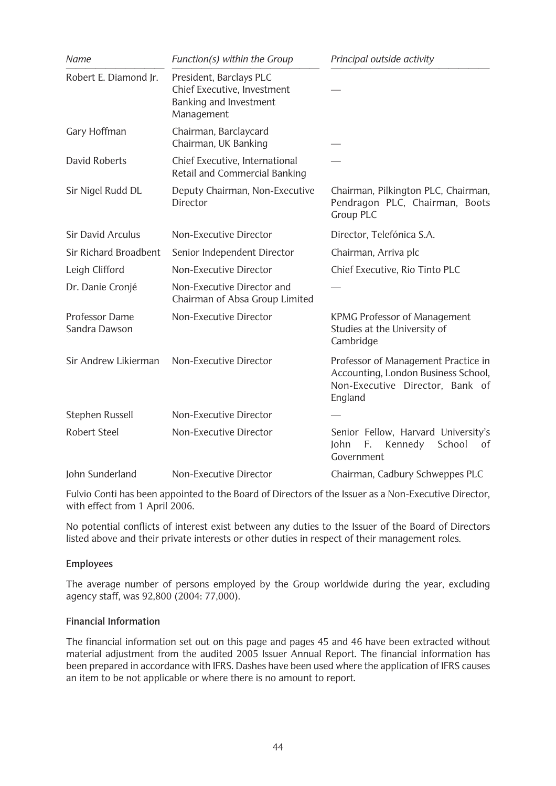| Name                            | Function(s) within the Group                                                                   | Principal outside activity                                                                                               |
|---------------------------------|------------------------------------------------------------------------------------------------|--------------------------------------------------------------------------------------------------------------------------|
| Robert E. Diamond Jr.           | President, Barclays PLC<br>Chief Executive, Investment<br>Banking and Investment<br>Management |                                                                                                                          |
| Gary Hoffman                    | Chairman, Barclaycard<br>Chairman, UK Banking                                                  |                                                                                                                          |
| David Roberts                   | Chief Executive, International<br>Retail and Commercial Banking                                |                                                                                                                          |
| Sir Nigel Rudd DL               | Deputy Chairman, Non-Executive<br>Director                                                     | Chairman, Pilkington PLC, Chairman,<br>Pendragon PLC, Chairman, Boots<br><b>Group PLC</b>                                |
| <b>Sir David Arculus</b>        | Non-Executive Director                                                                         | Director, Telefónica S.A.                                                                                                |
| Sir Richard Broadbent           | Senior Independent Director                                                                    | Chairman, Arriva plc                                                                                                     |
| Leigh Clifford                  | Non-Executive Director                                                                         | Chief Executive, Rio Tinto PLC                                                                                           |
| Dr. Danie Cronjé                | Non-Executive Director and<br>Chairman of Absa Group Limited                                   |                                                                                                                          |
| Professor Dame<br>Sandra Dawson | Non-Executive Director                                                                         | <b>KPMG Professor of Management</b><br>Studies at the University of<br>Cambridge                                         |
| Sir Andrew Likierman            | Non-Executive Director                                                                         | Professor of Management Practice in<br>Accounting, London Business School,<br>Non-Executive Director, Bank of<br>England |
| Stephen Russell                 | Non-Executive Director                                                                         |                                                                                                                          |
| Robert Steel                    | Non-Executive Director                                                                         | Senior Fellow, Harvard University's<br>Kennedy<br>Iohn<br>School<br>F.<br>of<br>Government                               |
| John Sunderland                 | Non-Executive Director                                                                         | Chairman, Cadbury Schweppes PLC                                                                                          |

Fulvio Conti has been appointed to the Board of Directors of the Issuer as a Non-Executive Director, with effect from 1 April 2006.

No potential conflicts of interest exist between any duties to the Issuer of the Board of Directors listed above and their private interests or other duties in respect of their management roles.

## **Employees**

The average number of persons employed by the Group worldwide during the year, excluding agency staff, was 92,800 (2004: 77,000).

### **Financial Information**

The financial information set out on this page and pages 45 and 46 have been extracted without material adjustment from the audited 2005 Issuer Annual Report. The financial information has been prepared in accordance with IFRS. Dashes have been used where the application of IFRS causes an item to be not applicable or where there is no amount to report.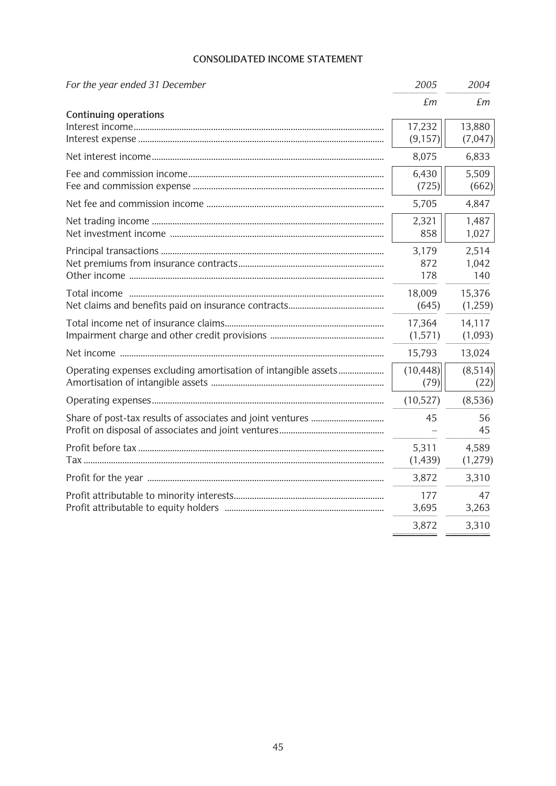## **CONSOLIDATED INCOME STATEMENT**

| For the year ended 31 December                                 | 2005                | 2004                  |
|----------------------------------------------------------------|---------------------|-----------------------|
|                                                                | £m                  | £m                    |
| <b>Continuing operations</b>                                   | 17,232<br>(9, 157)  | 13,880<br>(7,047)     |
|                                                                | 8,075               | 6,833                 |
|                                                                | 6,430<br>(725)      | 5,509<br>(662)        |
|                                                                | 5,705               | 4,847                 |
|                                                                | 2,321<br>858        | 1,487<br>1,027        |
|                                                                | 3,179<br>872<br>178 | 2,514<br>1,042<br>140 |
|                                                                | 18,009<br>(645)     | 15,376<br>(1,259)     |
|                                                                | 17,364<br>(1,571)   | 14,117<br>(1,093)     |
|                                                                | 15,793              | 13,024                |
| Operating expenses excluding amortisation of intangible assets | (10, 448)<br>(79)   | (8,514)<br>(22)       |
|                                                                | (10,527)            | (8,536)               |
|                                                                | 45                  | 56<br>45              |
|                                                                | 5,311<br>(1,439)    | 4,589<br>(1,279)      |
|                                                                | 3,872               | 3,310                 |
|                                                                | 177<br>3,695        | 47<br>3,263           |
|                                                                | 3,872               | 3,310                 |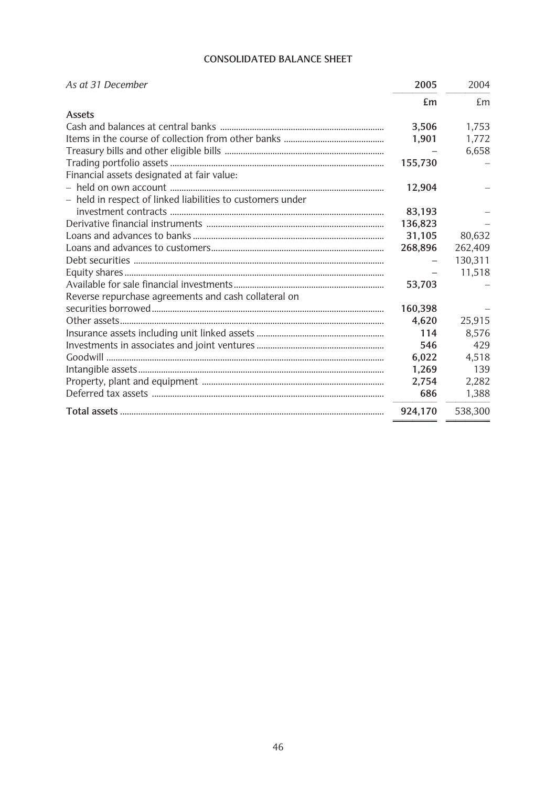## **CONSOLIDATED BALANCE SHEET**

| As at 31 December                                          | 2005    | 2004    |
|------------------------------------------------------------|---------|---------|
|                                                            | £m      | £m      |
| <b>Assets</b>                                              |         |         |
|                                                            | 3,506   | 1,753   |
|                                                            | 1,901   | 1,772   |
|                                                            |         | 6,658   |
|                                                            | 155,730 |         |
| Financial assets designated at fair value:                 |         |         |
|                                                            | 12,904  |         |
| - held in respect of linked liabilities to customers under |         |         |
|                                                            | 83,193  |         |
|                                                            | 136,823 |         |
|                                                            | 31,105  | 80,632  |
|                                                            | 268,896 | 262,409 |
|                                                            |         | 130,311 |
|                                                            |         | 11,518  |
|                                                            | 53,703  |         |
| Reverse repurchase agreements and cash collateral on       |         |         |
|                                                            | 160,398 |         |
|                                                            | 4,620   | 25,915  |
|                                                            | 114     | 8,576   |
|                                                            | 546     | 429     |
|                                                            | 6,022   | 4,518   |
|                                                            | 1,269   | 139     |
|                                                            | 2,754   | 2,282   |
|                                                            | 686     | 1,388   |
|                                                            | 924,170 | 538,300 |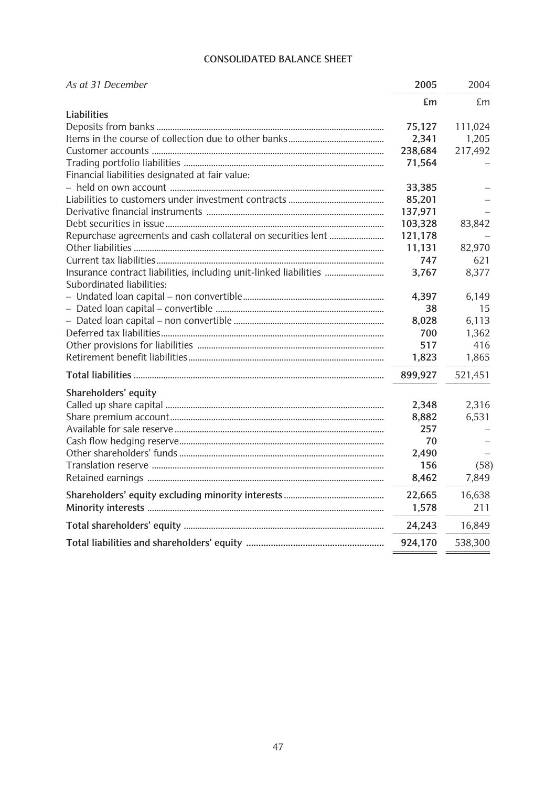## **CONSOLIDATED BALANCE SHEET**

| As at 31 December                                                 | 2005    | 2004    |
|-------------------------------------------------------------------|---------|---------|
|                                                                   | £m      | £m      |
| Liabilities                                                       |         |         |
|                                                                   | 75,127  | 111,024 |
|                                                                   | 2,341   | 1,205   |
|                                                                   | 238,684 | 217,492 |
|                                                                   | 71,564  |         |
| Financial liabilities designated at fair value:                   |         |         |
|                                                                   | 33,385  |         |
|                                                                   | 85,201  |         |
|                                                                   | 137,971 |         |
|                                                                   | 103,328 | 83,842  |
|                                                                   | 121,178 |         |
|                                                                   | 11,131  | 82,970  |
|                                                                   | 747     | 621     |
| Insurance contract liabilities, including unit-linked liabilities | 3,767   | 8,377   |
| Subordinated liabilities:                                         |         |         |
|                                                                   | 4,397   | 6,149   |
|                                                                   | 38      | 15      |
|                                                                   | 8,028   | 6,113   |
|                                                                   | 700     | 1,362   |
|                                                                   | 517     | 416     |
|                                                                   | 1,823   | 1,865   |
|                                                                   | 899,927 | 521,451 |
| Shareholders' equity                                              |         |         |
|                                                                   | 2,348   | 2,316   |
|                                                                   | 8,882   | 6,531   |
|                                                                   | 257     |         |
|                                                                   | 70      |         |
|                                                                   | 2,490   |         |
|                                                                   | 156     | (58)    |
|                                                                   | 8,462   | 7,849   |
|                                                                   | 22,665  | 16,638  |
|                                                                   | 1,578   | 211     |
|                                                                   | 24,243  | 16,849  |
|                                                                   | 924,170 | 538,300 |
|                                                                   |         |         |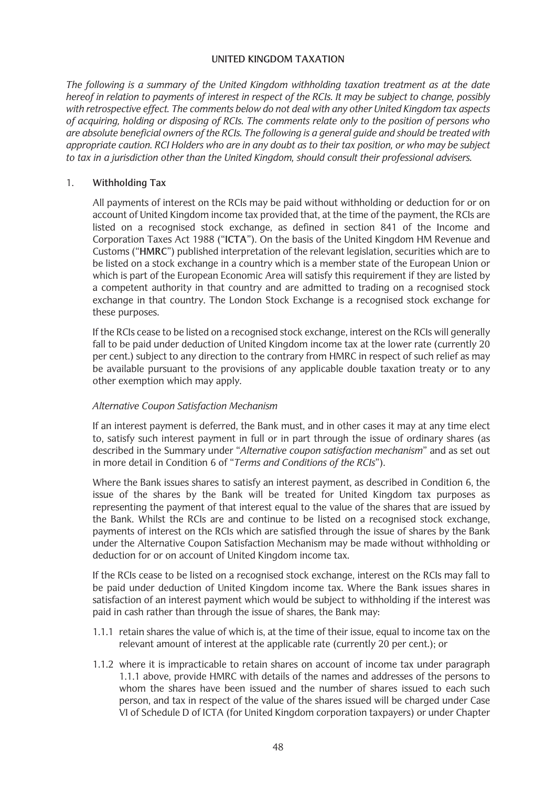### **UNITED KINGDOM TAXATION**

*The following is a summary of the United Kingdom withholding taxation treatment as at the date hereof in relation to payments of interest in respect of the RCIs. It may be subject to change, possibly with retrospective effect. The comments below do not deal with any other United Kingdom tax aspects of acquiring, holding or disposing of RCIs. The comments relate only to the position of persons who are absolute beneficial owners of the RCIs. The following is a general guide and should be treated with appropriate caution. RCI Holders who are in any doubt as to their tax position, or who may be subject to tax in a jurisdiction other than the United Kingdom, should consult their professional advisers.* 

### 1. **Withholding Tax**

All payments of interest on the RCIs may be paid without withholding or deduction for or on account of United Kingdom income tax provided that, at the time of the payment, the RCIs are listed on a recognised stock exchange, as defined in section 841 of the Income and Corporation Taxes Act 1988 ("**ICTA**"). On the basis of the United Kingdom HM Revenue and Customs ("**HMRC**") published interpretation of the relevant legislation, securities which are to be listed on a stock exchange in a country which is a member state of the European Union or which is part of the European Economic Area will satisfy this requirement if they are listed by a competent authority in that country and are admitted to trading on a recognised stock exchange in that country. The London Stock Exchange is a recognised stock exchange for these purposes.

If the RCIs cease to be listed on a recognised stock exchange, interest on the RCIs will generally fall to be paid under deduction of United Kingdom income tax at the lower rate (currently 20 per cent.) subject to any direction to the contrary from HMRC in respect of such relief as may be available pursuant to the provisions of any applicable double taxation treaty or to any other exemption which may apply.

## *Alternative Coupon Satisfaction Mechanism*

If an interest payment is deferred, the Bank must, and in other cases it may at any time elect to, satisfy such interest payment in full or in part through the issue of ordinary shares (as described in the Summary under "*Alternative coupon satisfaction mechanism*" and as set out in more detail in Condition 6 of "*Terms and Conditions of the RCIs*").

Where the Bank issues shares to satisfy an interest payment, as described in Condition 6, the issue of the shares by the Bank will be treated for United Kingdom tax purposes as representing the payment of that interest equal to the value of the shares that are issued by the Bank. Whilst the RCIs are and continue to be listed on a recognised stock exchange, payments of interest on the RCIs which are satisfied through the issue of shares by the Bank under the Alternative Coupon Satisfaction Mechanism may be made without withholding or deduction for or on account of United Kingdom income tax.

If the RCIs cease to be listed on a recognised stock exchange, interest on the RCIs may fall to be paid under deduction of United Kingdom income tax. Where the Bank issues shares in satisfaction of an interest payment which would be subject to withholding if the interest was paid in cash rather than through the issue of shares, the Bank may:

- 1.1.1 retain shares the value of which is, at the time of their issue, equal to income tax on the relevant amount of interest at the applicable rate (currently 20 per cent.); or
- 1.1.2 where it is impracticable to retain shares on account of income tax under paragraph 1.1.1 above, provide HMRC with details of the names and addresses of the persons to whom the shares have been issued and the number of shares issued to each such person, and tax in respect of the value of the shares issued will be charged under Case VI of Schedule D of ICTA (for United Kingdom corporation taxpayers) or under Chapter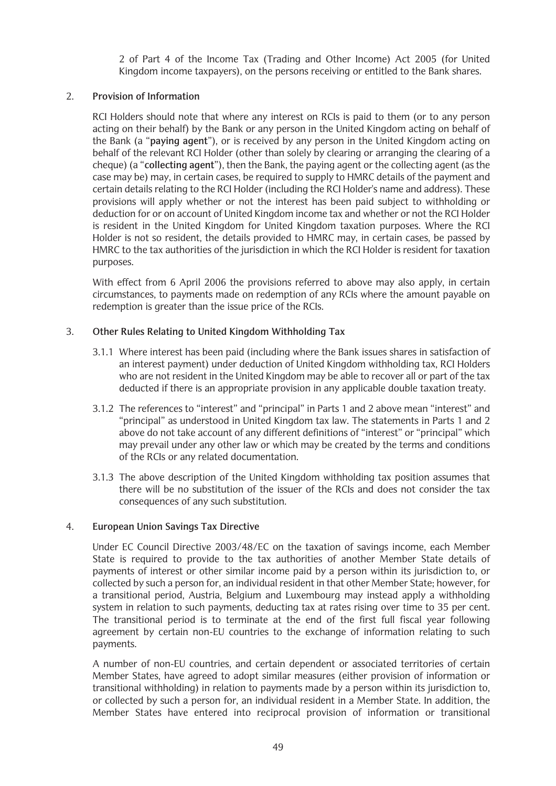2 of Part 4 of the Income Tax (Trading and Other Income) Act 2005 (for United Kingdom income taxpayers), on the persons receiving or entitled to the Bank shares.

## 2. **Provision of Information**

RCI Holders should note that where any interest on RCIs is paid to them (or to any person acting on their behalf) by the Bank or any person in the United Kingdom acting on behalf of the Bank (a "**paying agent**"), or is received by any person in the United Kingdom acting on behalf of the relevant RCI Holder (other than solely by clearing or arranging the clearing of a cheque) (a "**collecting agent**"), then the Bank, the paying agent or the collecting agent (as the case may be) may, in certain cases, be required to supply to HMRC details of the payment and certain details relating to the RCI Holder (including the RCI Holder's name and address). These provisions will apply whether or not the interest has been paid subject to withholding or deduction for or on account of United Kingdom income tax and whether or not the RCI Holder is resident in the United Kingdom for United Kingdom taxation purposes. Where the RCI Holder is not so resident, the details provided to HMRC may, in certain cases, be passed by HMRC to the tax authorities of the jurisdiction in which the RCI Holder is resident for taxation purposes.

With effect from 6 April 2006 the provisions referred to above may also apply, in certain circumstances, to payments made on redemption of any RCIs where the amount payable on redemption is greater than the issue price of the RCIs.

## 3. **Other Rules Relating to United Kingdom Withholding Tax**

- 3.1.1 Where interest has been paid (including where the Bank issues shares in satisfaction of an interest payment) under deduction of United Kingdom withholding tax, RCI Holders who are not resident in the United Kingdom may be able to recover all or part of the tax deducted if there is an appropriate provision in any applicable double taxation treaty.
- 3.1.2 The references to "interest" and "principal" in Parts 1 and 2 above mean "interest" and "principal" as understood in United Kingdom tax law. The statements in Parts 1 and 2 above do not take account of any different definitions of "interest" or "principal" which may prevail under any other law or which may be created by the terms and conditions of the RCIs or any related documentation.
- 3.1.3 The above description of the United Kingdom withholding tax position assumes that there will be no substitution of the issuer of the RCIs and does not consider the tax consequences of any such substitution.

## 4. **European Union Savings Tax Directive**

Under EC Council Directive 2003/48/EC on the taxation of savings income, each Member State is required to provide to the tax authorities of another Member State details of payments of interest or other similar income paid by a person within its jurisdiction to, or collected by such a person for, an individual resident in that other Member State; however, for a transitional period, Austria, Belgium and Luxembourg may instead apply a withholding system in relation to such payments, deducting tax at rates rising over time to 35 per cent. The transitional period is to terminate at the end of the first full fiscal year following agreement by certain non-EU countries to the exchange of information relating to such payments.

A number of non-EU countries, and certain dependent or associated territories of certain Member States, have agreed to adopt similar measures (either provision of information or transitional withholding) in relation to payments made by a person within its jurisdiction to, or collected by such a person for, an individual resident in a Member State. In addition, the Member States have entered into reciprocal provision of information or transitional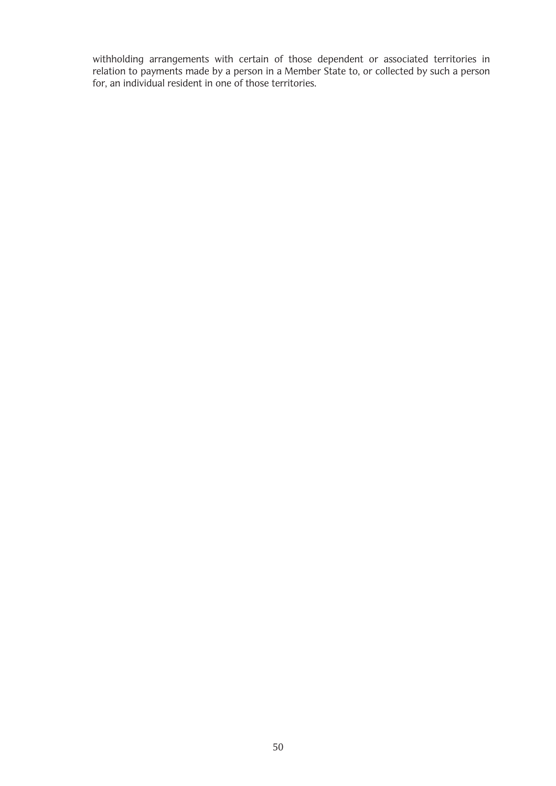withholding arrangements with certain of those dependent or associated territories in relation to payments made by a person in a Member State to, or collected by such a person for, an individual resident in one of those territories.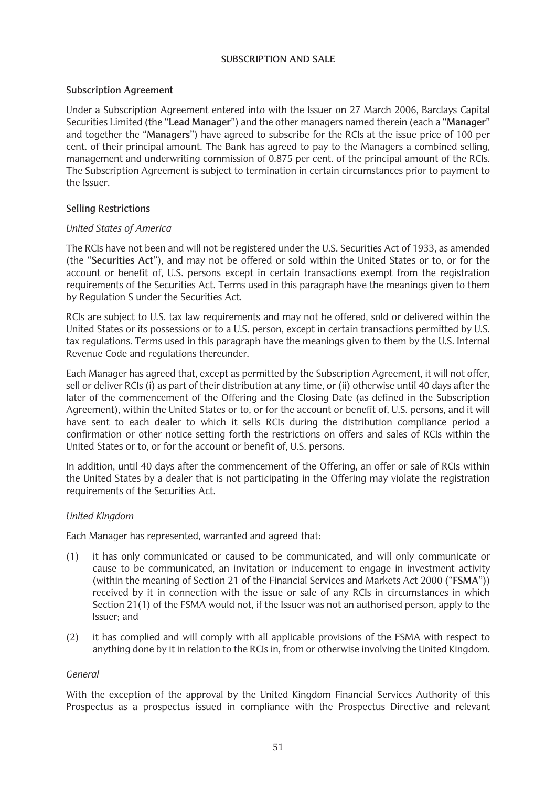### **SUBSCRIPTION AND SALE**

### **Subscription Agreement**

Under a Subscription Agreement entered into with the Issuer on 27 March 2006, Barclays Capital Securities Limited (the "**Lead Manager**") and the other managers named therein (each a "**Manager**" and together the "**Managers**") have agreed to subscribe for the RCIs at the issue price of 100 per cent. of their principal amount. The Bank has agreed to pay to the Managers a combined selling, management and underwriting commission of 0.875 per cent. of the principal amount of the RCIs. The Subscription Agreement is subject to termination in certain circumstances prior to payment to the Issuer.

### **Selling Restrictions**

### *United States of America*

The RCIs have not been and will not be registered under the U.S. Securities Act of 1933, as amended (the "**Securities Act**"), and may not be offered or sold within the United States or to, or for the account or benefit of, U.S. persons except in certain transactions exempt from the registration requirements of the Securities Act. Terms used in this paragraph have the meanings given to them by Regulation S under the Securities Act.

RCIs are subject to U.S. tax law requirements and may not be offered, sold or delivered within the United States or its possessions or to a U.S. person, except in certain transactions permitted by U.S. tax regulations. Terms used in this paragraph have the meanings given to them by the U.S. Internal Revenue Code and regulations thereunder.

Each Manager has agreed that, except as permitted by the Subscription Agreement, it will not offer, sell or deliver RCIs (i) as part of their distribution at any time, or (ii) otherwise until 40 days after the later of the commencement of the Offering and the Closing Date (as defined in the Subscription Agreement), within the United States or to, or for the account or benefit of, U.S. persons, and it will have sent to each dealer to which it sells RCIs during the distribution compliance period a confirmation or other notice setting forth the restrictions on offers and sales of RCIs within the United States or to, or for the account or benefit of, U.S. persons.

In addition, until 40 days after the commencement of the Offering, an offer or sale of RCIs within the United States by a dealer that is not participating in the Offering may violate the registration requirements of the Securities Act.

## *United Kingdom*

Each Manager has represented, warranted and agreed that:

- (1) it has only communicated or caused to be communicated, and will only communicate or cause to be communicated, an invitation or inducement to engage in investment activity (within the meaning of Section 21 of the Financial Services and Markets Act 2000 ("**FSMA**")) received by it in connection with the issue or sale of any RCIs in circumstances in which Section 21(1) of the FSMA would not, if the Issuer was not an authorised person, apply to the Issuer; and
- (2) it has complied and will comply with all applicable provisions of the FSMA with respect to anything done by it in relation to the RCIs in, from or otherwise involving the United Kingdom.

### *General*

With the exception of the approval by the United Kingdom Financial Services Authority of this Prospectus as a prospectus issued in compliance with the Prospectus Directive and relevant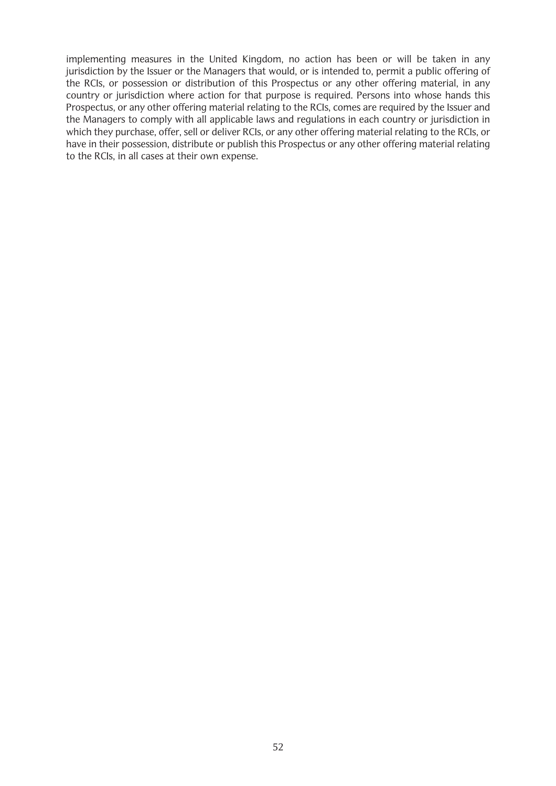implementing measures in the United Kingdom, no action has been or will be taken in any jurisdiction by the Issuer or the Managers that would, or is intended to, permit a public offering of the RCIs, or possession or distribution of this Prospectus or any other offering material, in any country or jurisdiction where action for that purpose is required. Persons into whose hands this Prospectus, or any other offering material relating to the RCIs, comes are required by the Issuer and the Managers to comply with all applicable laws and regulations in each country or jurisdiction in which they purchase, offer, sell or deliver RCIs, or any other offering material relating to the RCIs, or have in their possession, distribute or publish this Prospectus or any other offering material relating to the RCIs, in all cases at their own expense.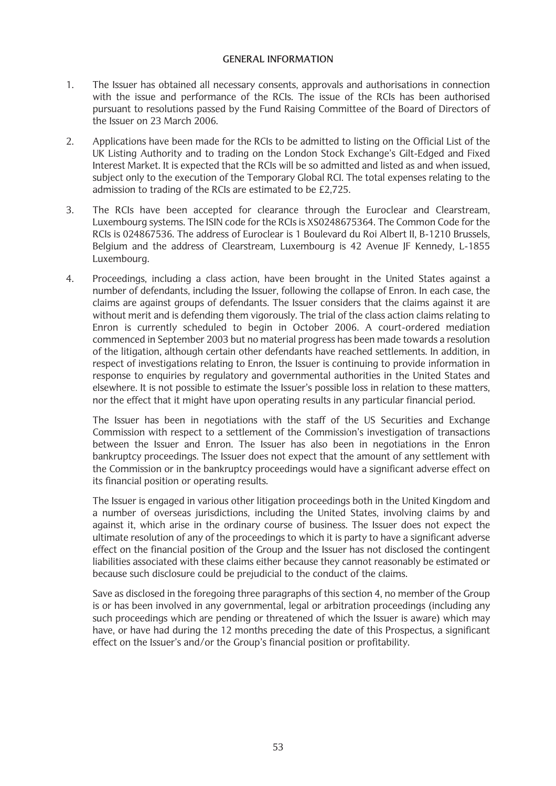### **GENERAL INFORMATION**

- 1. The Issuer has obtained all necessary consents, approvals and authorisations in connection with the issue and performance of the RCIs. The issue of the RCIs has been authorised pursuant to resolutions passed by the Fund Raising Committee of the Board of Directors of the Issuer on 23 March 2006.
- 2. Applications have been made for the RCIs to be admitted to listing on the Official List of the UK Listing Authority and to trading on the London Stock Exchange's Gilt-Edged and Fixed Interest Market. It is expected that the RCIs will be so admitted and listed as and when issued, subject only to the execution of the Temporary Global RCI. The total expenses relating to the admission to trading of the RCIs are estimated to be £2,725.
- 3. The RCIs have been accepted for clearance through the Euroclear and Clearstream, Luxembourg systems. The ISIN code for the RCIs is XS0248675364. The Common Code for the RCIs is 024867536. The address of Euroclear is 1 Boulevard du Roi Albert II, B-1210 Brussels, Belgium and the address of Clearstream, Luxembourg is 42 Avenue JF Kennedy, L-1855 Luxembourg.
- 4. Proceedings, including a class action, have been brought in the United States against a number of defendants, including the Issuer, following the collapse of Enron. In each case, the claims are against groups of defendants. The Issuer considers that the claims against it are without merit and is defending them vigorously. The trial of the class action claims relating to Enron is currently scheduled to begin in October 2006. A court-ordered mediation commenced in September 2003 but no material progress has been made towards a resolution of the litigation, although certain other defendants have reached settlements. In addition, in respect of investigations relating to Enron, the Issuer is continuing to provide information in response to enquiries by regulatory and governmental authorities in the United States and elsewhere. It is not possible to estimate the Issuer's possible loss in relation to these matters, nor the effect that it might have upon operating results in any particular financial period.

The Issuer has been in negotiations with the staff of the US Securities and Exchange Commission with respect to a settlement of the Commission's investigation of transactions between the Issuer and Enron. The Issuer has also been in negotiations in the Enron bankruptcy proceedings. The Issuer does not expect that the amount of any settlement with the Commission or in the bankruptcy proceedings would have a significant adverse effect on its financial position or operating results.

The Issuer is engaged in various other litigation proceedings both in the United Kingdom and a number of overseas jurisdictions, including the United States, involving claims by and against it, which arise in the ordinary course of business. The Issuer does not expect the ultimate resolution of any of the proceedings to which it is party to have a significant adverse effect on the financial position of the Group and the Issuer has not disclosed the contingent liabilities associated with these claims either because they cannot reasonably be estimated or because such disclosure could be prejudicial to the conduct of the claims.

Save as disclosed in the foregoing three paragraphs of this section 4, no member of the Group is or has been involved in any governmental, legal or arbitration proceedings (including any such proceedings which are pending or threatened of which the Issuer is aware) which may have, or have had during the 12 months preceding the date of this Prospectus, a significant effect on the Issuer's and/or the Group's financial position or profitability.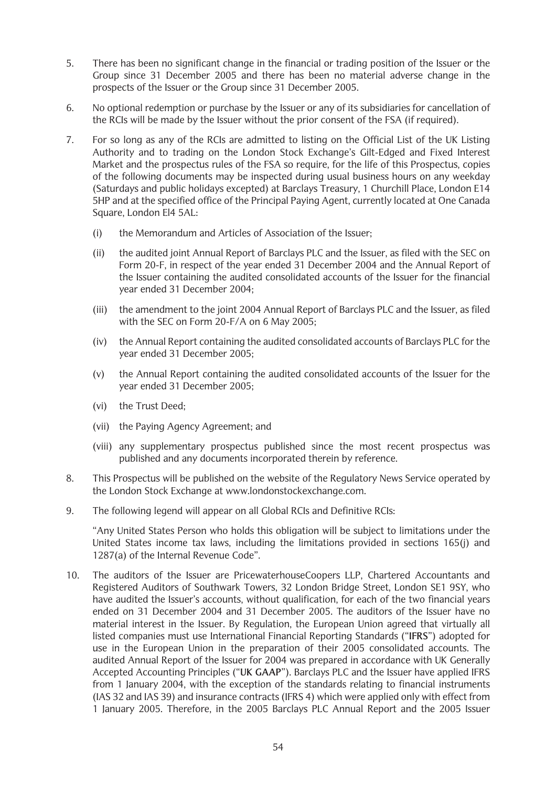- 5. There has been no significant change in the financial or trading position of the Issuer or the Group since 31 December 2005 and there has been no material adverse change in the prospects of the Issuer or the Group since 31 December 2005.
- 6. No optional redemption or purchase by the Issuer or any of its subsidiaries for cancellation of the RCIs will be made by the Issuer without the prior consent of the FSA (if required).
- 7. For so long as any of the RCIs are admitted to listing on the Official List of the UK Listing Authority and to trading on the London Stock Exchange's Gilt-Edged and Fixed Interest Market and the prospectus rules of the FSA so require, for the life of this Prospectus, copies of the following documents may be inspected during usual business hours on any weekday (Saturdays and public holidays excepted) at Barclays Treasury, 1 Churchill Place, London E14 5HP and at the specified office of the Principal Paying Agent, currently located at One Canada Square, London El4 5AL:
	- (i) the Memorandum and Articles of Association of the Issuer;
	- (ii) the audited joint Annual Report of Barclays PLC and the Issuer, as filed with the SEC on Form 20-F, in respect of the year ended 31 December 2004 and the Annual Report of the Issuer containing the audited consolidated accounts of the Issuer for the financial year ended 31 December 2004;
	- (iii) the amendment to the joint 2004 Annual Report of Barclays PLC and the Issuer, as filed with the SEC on Form 20-F/A on 6 May 2005;
	- (iv) the Annual Report containing the audited consolidated accounts of Barclays PLC for the year ended 31 December 2005;
	- (v) the Annual Report containing the audited consolidated accounts of the Issuer for the year ended 31 December 2005;
	- (vi) the Trust Deed;
	- (vii) the Paying Agency Agreement; and
	- (viii) any supplementary prospectus published since the most recent prospectus was published and any documents incorporated therein by reference.
- 8. This Prospectus will be published on the website of the Regulatory News Service operated by the London Stock Exchange at www.londonstockexchange.com.
- 9. The following legend will appear on all Global RCIs and Definitive RCIs:

"Any United States Person who holds this obligation will be subject to limitations under the United States income tax laws, including the limitations provided in sections 165(j) and 1287(a) of the Internal Revenue Code".

10. The auditors of the Issuer are PricewaterhouseCoopers LLP, Chartered Accountants and Registered Auditors of Southwark Towers, 32 London Bridge Street, London SE1 9SY, who have audited the Issuer's accounts, without qualification, for each of the two financial years ended on 31 December 2004 and 31 December 2005. The auditors of the Issuer have no material interest in the Issuer. By Regulation, the European Union agreed that virtually all listed companies must use International Financial Reporting Standards ("**IFRS**") adopted for use in the European Union in the preparation of their 2005 consolidated accounts. The audited Annual Report of the Issuer for 2004 was prepared in accordance with UK Generally Accepted Accounting Principles ("**UK GAAP**"). Barclays PLC and the Issuer have applied IFRS from 1 January 2004, with the exception of the standards relating to financial instruments (IAS 32 and IAS 39) and insurance contracts (IFRS 4) which were applied only with effect from 1 January 2005. Therefore, in the 2005 Barclays PLC Annual Report and the 2005 Issuer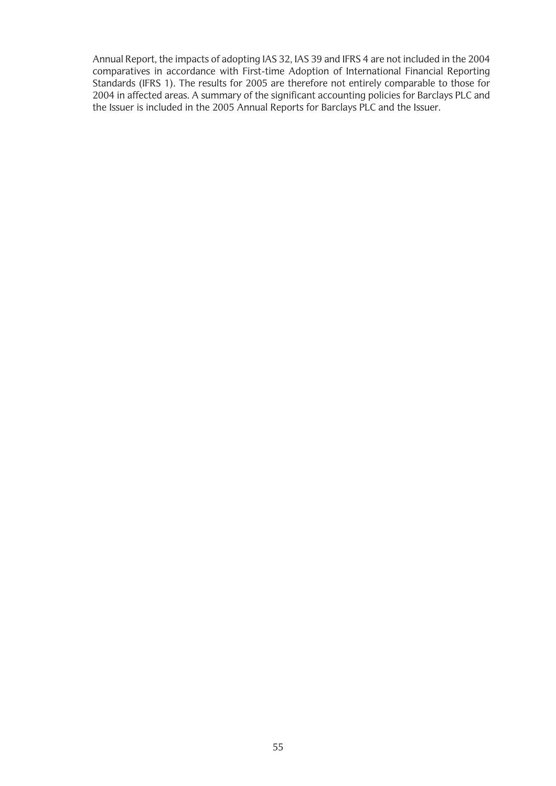Annual Report, the impacts of adopting IAS 32, IAS 39 and IFRS 4 are not included in the 2004 comparatives in accordance with First-time Adoption of International Financial Reporting Standards (IFRS 1). The results for 2005 are therefore not entirely comparable to those for 2004 in affected areas. A summary of the significant accounting policies for Barclays PLC and the Issuer is included in the 2005 Annual Reports for Barclays PLC and the Issuer.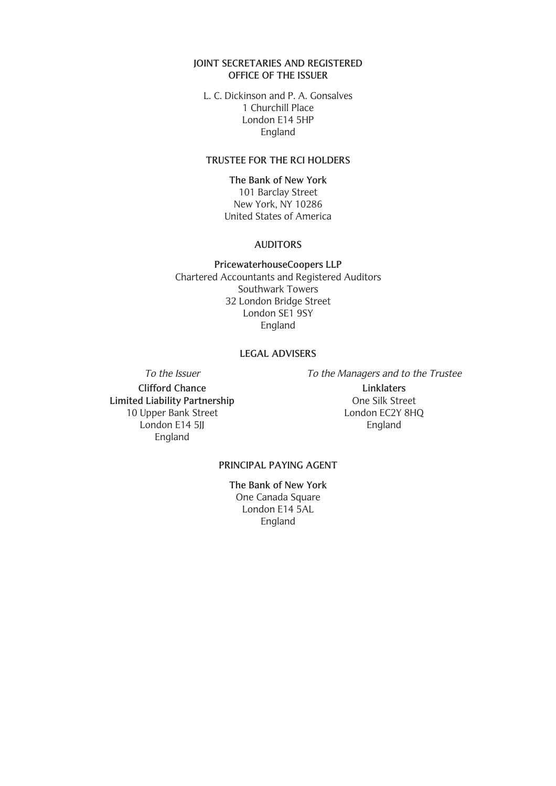### **JOINT SECRETARIES AND REGISTERED OFFICE OF THE ISSUER**

L. C. Dickinson and P. A. Gonsalves 1 Churchill Place London E14 5HP England

### **TRUSTEE FOR THE RCI HOLDERS**

**The Bank of New York** 101 Barclay Street New York, NY 10286 United States of America

#### **AUDITORS**

**PricewaterhouseCoopers LLP** Chartered Accountants and Registered Auditors Southwark Towers 32 London Bridge Street London SE1 9SY England

### **LEGAL ADVISERS**

**Clifford Chance** Linklaters<br> **Computer Computer Computer Computer Computer Computer Computer Computer Computer Computer Computer Computer Computer Computer Computer Computer Computer Computer Computer Computer Computer Co Limited Liability Partnership** 10 Upper Bank Street London EC2Y 8HQ London E14 5JJ England England

To the Issuer To the Managers and to the Trustee

### **PRINCIPAL PAYING AGENT**

**The Bank of New York** One Canada Square London E14 5AL England